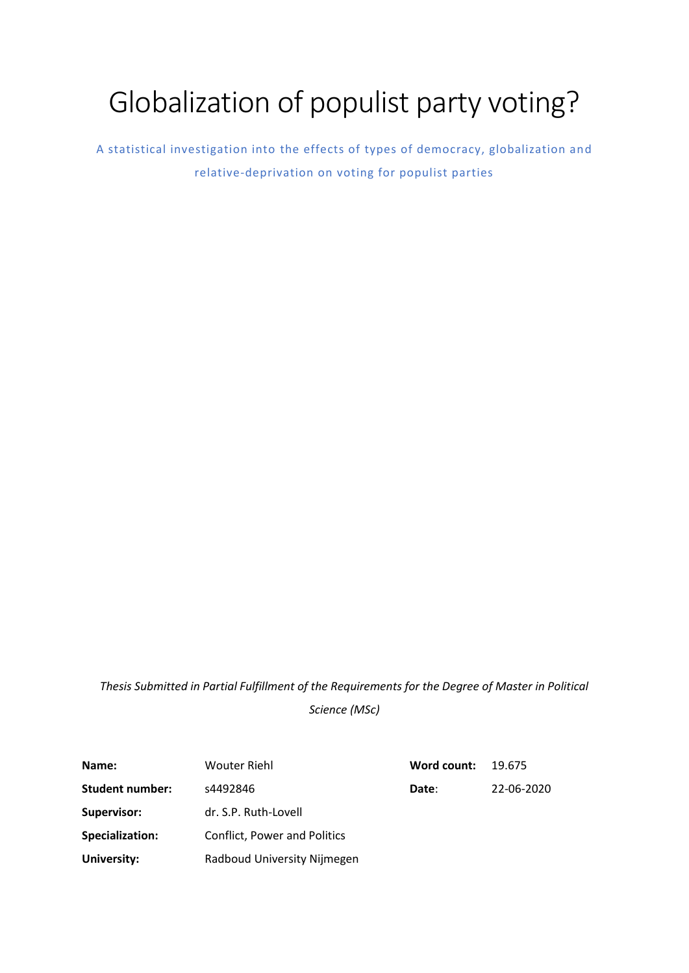# Globalization of populist party voting?

A statistical investigation into the effects of types of democracy, globalization and relative-deprivation on voting for populist parties

*Thesis Submitted in Partial Fulfillment of the Requirements for the Degree of Master in Political Science (MSc)*

| Name:                  | <b>Wouter Riehl</b>                 | Word count: | 19.675     |  |  |
|------------------------|-------------------------------------|-------------|------------|--|--|
| Student number:        | s4492846                            | Date:       | 22-06-2020 |  |  |
| <b>Supervisor:</b>     | dr. S.P. Ruth-Lovell                |             |            |  |  |
| <b>Specialization:</b> | <b>Conflict, Power and Politics</b> |             |            |  |  |
| University:            | Radboud University Nijmegen         |             |            |  |  |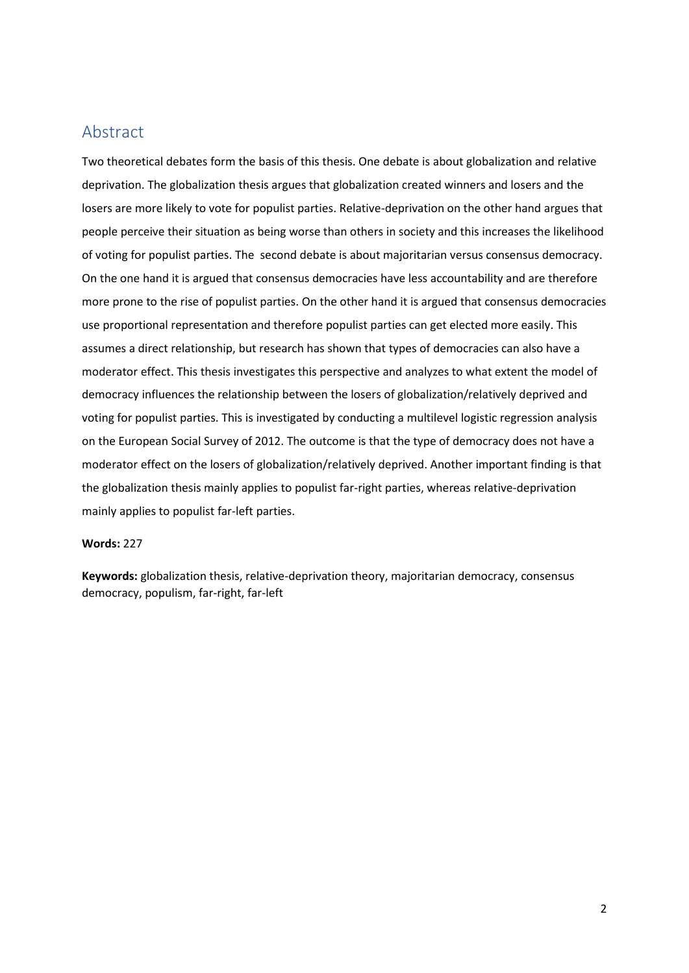# Abstract

Two theoretical debates form the basis of this thesis. One debate is about globalization and relative deprivation. The globalization thesis argues that globalization created winners and losers and the losers are more likely to vote for populist parties. Relative-deprivation on the other hand argues that people perceive their situation as being worse than others in society and this increases the likelihood of voting for populist parties. The second debate is about majoritarian versus consensus democracy. On the one hand it is argued that consensus democracies have less accountability and are therefore more prone to the rise of populist parties. On the other hand it is argued that consensus democracies use proportional representation and therefore populist parties can get elected more easily. This assumes a direct relationship, but research has shown that types of democracies can also have a moderator effect. This thesis investigates this perspective and analyzes to what extent the model of democracy influences the relationship between the losers of globalization/relatively deprived and voting for populist parties. This is investigated by conducting a multilevel logistic regression analysis on the European Social Survey of 2012. The outcome is that the type of democracy does not have a moderator effect on the losers of globalization/relatively deprived. Another important finding is that the globalization thesis mainly applies to populist far-right parties, whereas relative-deprivation mainly applies to populist far-left parties.

#### **Words:** 227

**Keywords:** globalization thesis, relative-deprivation theory, majoritarian democracy, consensus democracy, populism, far-right, far-left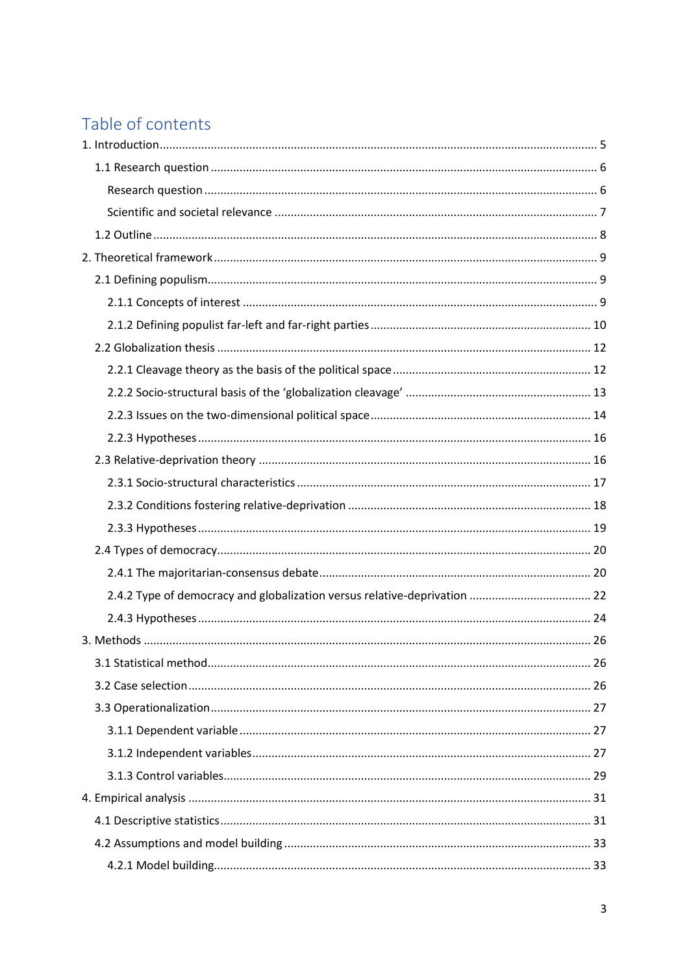# Table of contents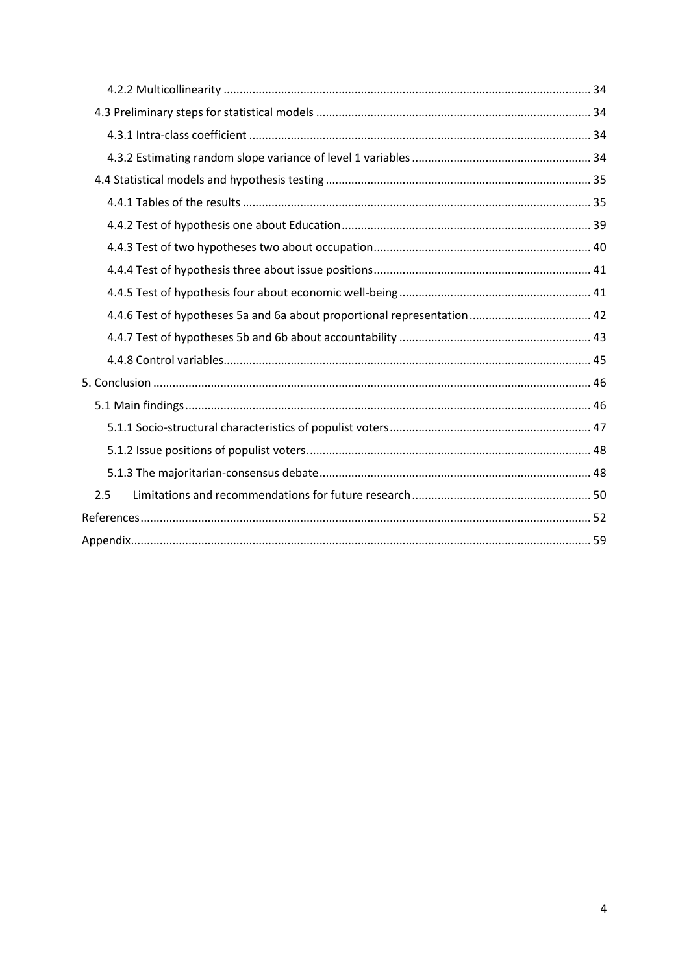| 2.5 |  |
|-----|--|
|     |  |
|     |  |
|     |  |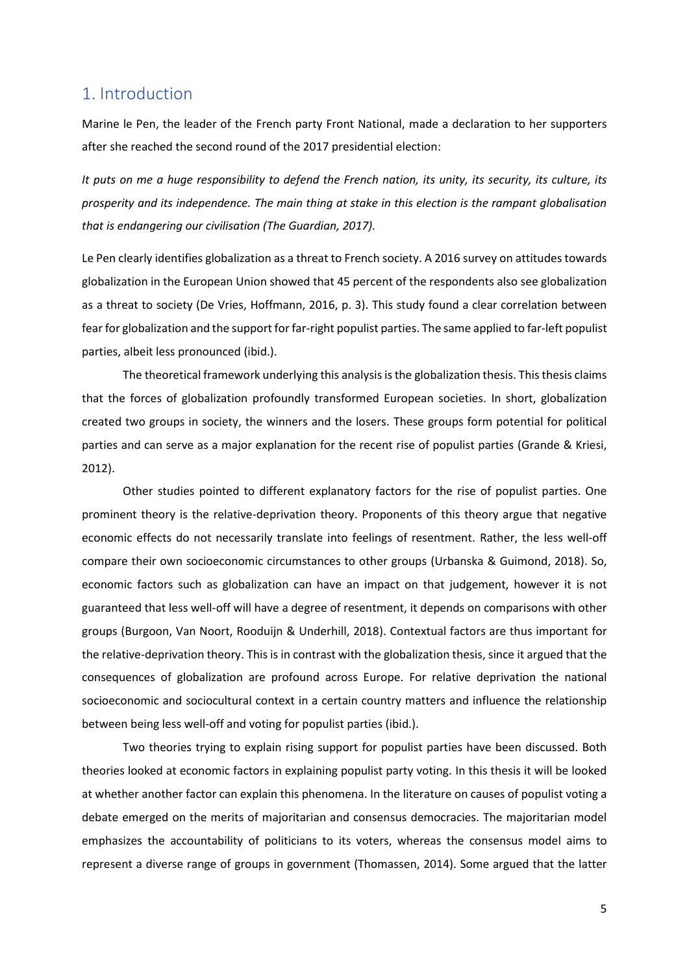# <span id="page-4-0"></span>1. Introduction

Marine le Pen, the leader of the French party Front National, made a declaration to her supporters after she reached the second round of the 2017 presidential election:

*It puts on me a huge responsibility to defend the French nation, its unity, its security, its culture, its prosperity and its independence. The main thing at stake in this election is the rampant globalisation that is endangering our civilisation (The Guardian, 2017).*

Le Pen clearly identifies globalization as a threat to French society. A 2016 survey on attitudes towards globalization in the European Union showed that 45 percent of the respondents also see globalization as a threat to society (De Vries, Hoffmann, 2016, p. 3). This study found a clear correlation between fear for globalization and the support for far-right populist parties. The same applied to far-left populist parties, albeit less pronounced (ibid.).

The theoretical framework underlying this analysis is the globalization thesis. This thesis claims that the forces of globalization profoundly transformed European societies. In short, globalization created two groups in society, the winners and the losers. These groups form potential for political parties and can serve as a major explanation for the recent rise of populist parties (Grande & Kriesi, 2012).

Other studies pointed to different explanatory factors for the rise of populist parties. One prominent theory is the relative-deprivation theory. Proponents of this theory argue that negative economic effects do not necessarily translate into feelings of resentment. Rather, the less well-off compare their own socioeconomic circumstances to other groups (Urbanska & Guimond, 2018). So, economic factors such as globalization can have an impact on that judgement, however it is not guaranteed that less well-off will have a degree of resentment, it depends on comparisons with other groups (Burgoon, Van Noort, Rooduijn & Underhill, 2018). Contextual factors are thus important for the relative-deprivation theory. This is in contrast with the globalization thesis, since it argued that the consequences of globalization are profound across Europe. For relative deprivation the national socioeconomic and sociocultural context in a certain country matters and influence the relationship between being less well-off and voting for populist parties (ibid.).

Two theories trying to explain rising support for populist parties have been discussed. Both theories looked at economic factors in explaining populist party voting. In this thesis it will be looked at whether another factor can explain this phenomena. In the literature on causes of populist voting a debate emerged on the merits of majoritarian and consensus democracies. The majoritarian model emphasizes the accountability of politicians to its voters, whereas the consensus model aims to represent a diverse range of groups in government (Thomassen, 2014). Some argued that the latter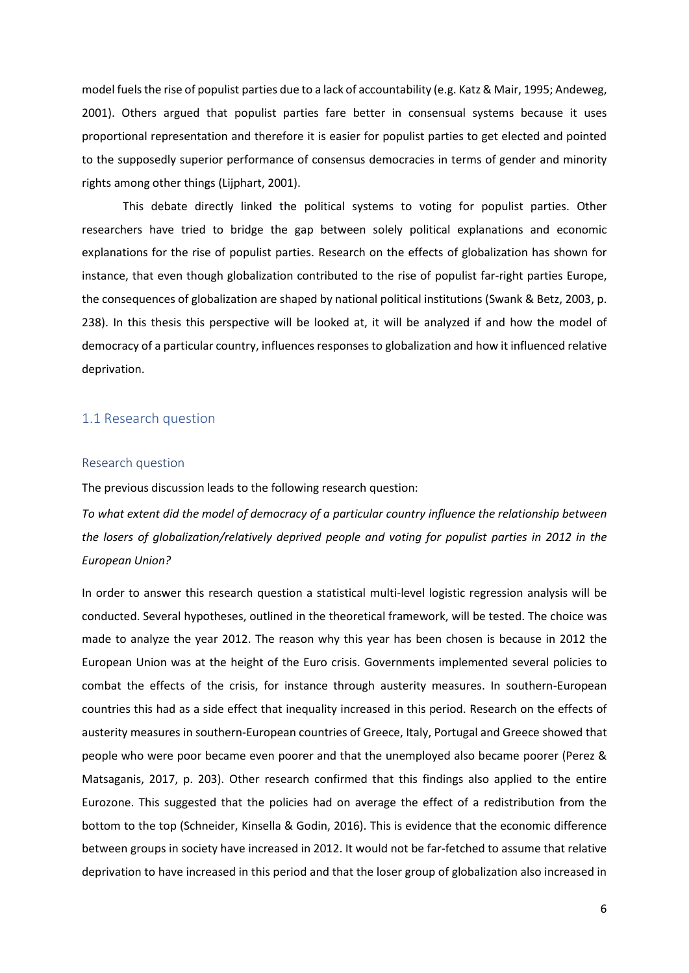model fuels the rise of populist parties due to a lack of accountability (e.g. Katz & Mair, 1995; Andeweg, 2001). Others argued that populist parties fare better in consensual systems because it uses proportional representation and therefore it is easier for populist parties to get elected and pointed to the supposedly superior performance of consensus democracies in terms of gender and minority rights among other things (Lijphart, 2001).

This debate directly linked the political systems to voting for populist parties. Other researchers have tried to bridge the gap between solely political explanations and economic explanations for the rise of populist parties. Research on the effects of globalization has shown for instance, that even though globalization contributed to the rise of populist far-right parties Europe, the consequences of globalization are shaped by national political institutions (Swank & Betz, 2003, p. 238). In this thesis this perspective will be looked at, it will be analyzed if and how the model of democracy of a particular country, influences responses to globalization and how it influenced relative deprivation.

#### <span id="page-5-0"></span>1.1 Research question

#### <span id="page-5-1"></span>Research question

The previous discussion leads to the following research question:

*To what extent did the model of democracy of a particular country influence the relationship between the losers of globalization/relatively deprived people and voting for populist parties in 2012 in the European Union?*

In order to answer this research question a statistical multi-level logistic regression analysis will be conducted. Several hypotheses, outlined in the theoretical framework, will be tested. The choice was made to analyze the year 2012. The reason why this year has been chosen is because in 2012 the European Union was at the height of the Euro crisis. Governments implemented several policies to combat the effects of the crisis, for instance through austerity measures. In southern-European countries this had as a side effect that inequality increased in this period. Research on the effects of austerity measures in southern-European countries of Greece, Italy, Portugal and Greece showed that people who were poor became even poorer and that the unemployed also became poorer (Perez & Matsaganis, 2017, p. 203). Other research confirmed that this findings also applied to the entire Eurozone. This suggested that the policies had on average the effect of a redistribution from the bottom to the top (Schneider, Kinsella & Godin, 2016). This is evidence that the economic difference between groups in society have increased in 2012. It would not be far-fetched to assume that relative deprivation to have increased in this period and that the loser group of globalization also increased in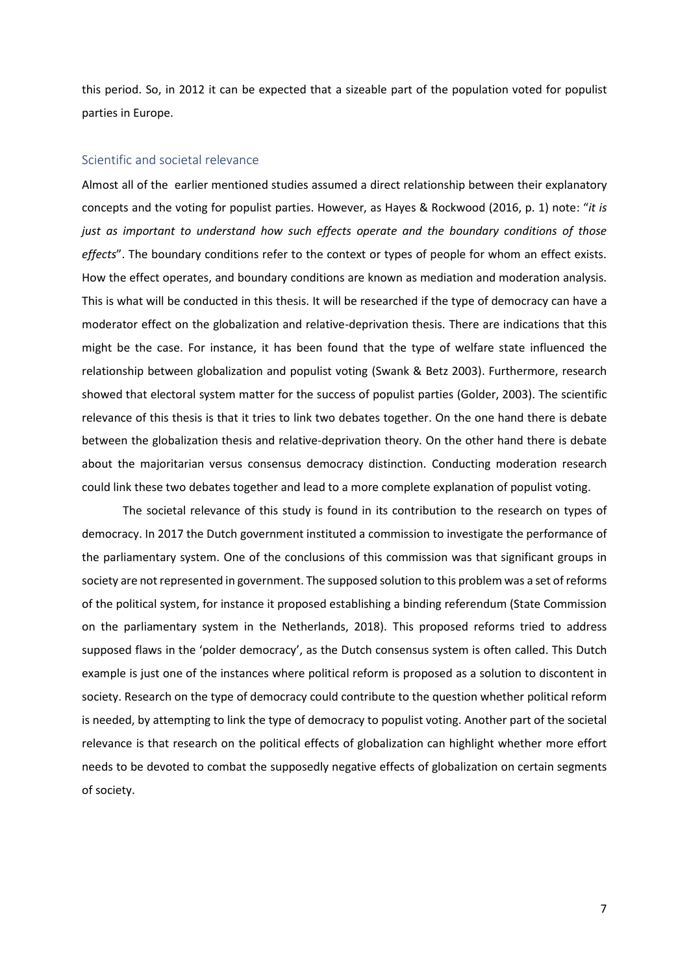this period. So, in 2012 it can be expected that a sizeable part of the population voted for populist parties in Europe.

#### <span id="page-6-0"></span>Scientific and societal relevance

Almost all of the earlier mentioned studies assumed a direct relationship between their explanatory concepts and the voting for populist parties. However, as Hayes & Rockwood (2016, p. 1) note: "*it is just as important to understand how such effects operate and the boundary conditions of those effects*". The boundary conditions refer to the context or types of people for whom an effect exists. How the effect operates, and boundary conditions are known as mediation and moderation analysis. This is what will be conducted in this thesis. It will be researched if the type of democracy can have a moderator effect on the globalization and relative-deprivation thesis. There are indications that this might be the case. For instance, it has been found that the type of welfare state influenced the relationship between globalization and populist voting (Swank & Betz 2003). Furthermore, research showed that electoral system matter for the success of populist parties (Golder, 2003). The scientific relevance of this thesis is that it tries to link two debates together. On the one hand there is debate between the globalization thesis and relative-deprivation theory. On the other hand there is debate about the majoritarian versus consensus democracy distinction. Conducting moderation research could link these two debates together and lead to a more complete explanation of populist voting.

The societal relevance of this study is found in its contribution to the research on types of democracy. In 2017 the Dutch government instituted a commission to investigate the performance of the parliamentary system. One of the conclusions of this commission was that significant groups in society are not represented in government. The supposed solution to this problem was a set of reforms of the political system, for instance it proposed establishing a binding referendum (State Commission on the parliamentary system in the Netherlands, 2018). This proposed reforms tried to address supposed flaws in the 'polder democracy', as the Dutch consensus system is often called. This Dutch example is just one of the instances where political reform is proposed as a solution to discontent in society. Research on the type of democracy could contribute to the question whether political reform is needed, by attempting to link the type of democracy to populist voting. Another part of the societal relevance is that research on the political effects of globalization can highlight whether more effort needs to be devoted to combat the supposedly negative effects of globalization on certain segments of society.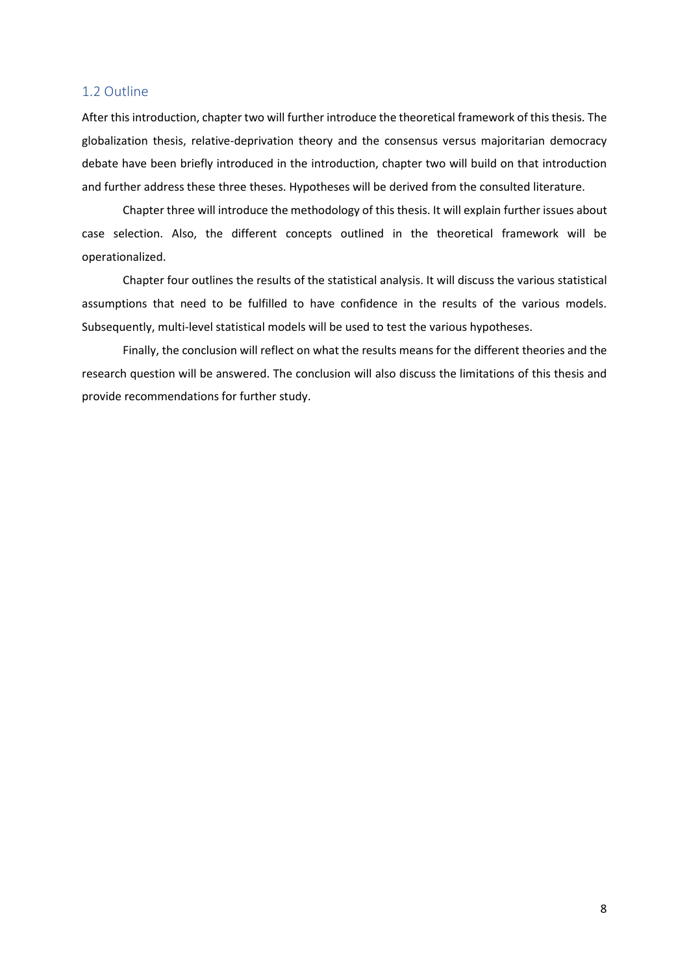#### <span id="page-7-0"></span>1.2 Outline

After this introduction, chapter two will further introduce the theoretical framework of this thesis. The globalization thesis, relative-deprivation theory and the consensus versus majoritarian democracy debate have been briefly introduced in the introduction, chapter two will build on that introduction and further address these three theses. Hypotheses will be derived from the consulted literature.

Chapter three will introduce the methodology of this thesis. It will explain further issues about case selection. Also, the different concepts outlined in the theoretical framework will be operationalized.

Chapter four outlines the results of the statistical analysis. It will discuss the various statistical assumptions that need to be fulfilled to have confidence in the results of the various models. Subsequently, multi-level statistical models will be used to test the various hypotheses.

Finally, the conclusion will reflect on what the results means for the different theories and the research question will be answered. The conclusion will also discuss the limitations of this thesis and provide recommendations for further study.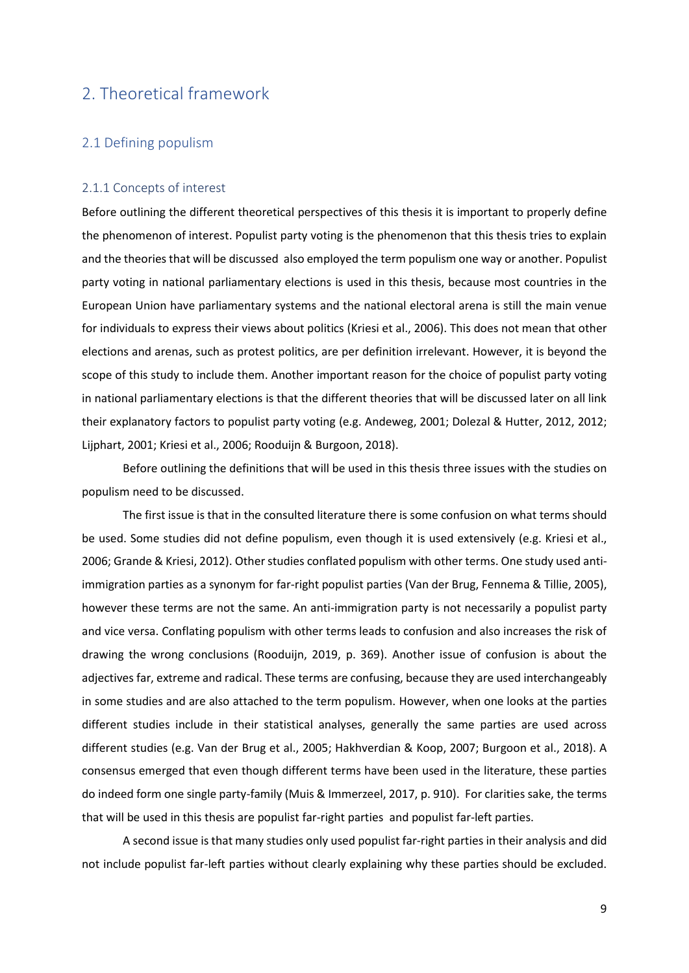# <span id="page-8-0"></span>2. Theoretical framework

#### <span id="page-8-1"></span>2.1 Defining populism

#### <span id="page-8-2"></span>2.1.1 Concepts of interest

Before outlining the different theoretical perspectives of this thesis it is important to properly define the phenomenon of interest. Populist party voting is the phenomenon that this thesis tries to explain and the theories that will be discussed also employed the term populism one way or another. Populist party voting in national parliamentary elections is used in this thesis, because most countries in the European Union have parliamentary systems and the national electoral arena is still the main venue for individuals to express their views about politics (Kriesi et al., 2006). This does not mean that other elections and arenas, such as protest politics, are per definition irrelevant. However, it is beyond the scope of this study to include them. Another important reason for the choice of populist party voting in national parliamentary elections is that the different theories that will be discussed later on all link their explanatory factors to populist party voting (e.g. Andeweg, 2001; Dolezal & Hutter, 2012, 2012; Lijphart, 2001; Kriesi et al., 2006; Rooduijn & Burgoon, 2018).

Before outlining the definitions that will be used in this thesis three issues with the studies on populism need to be discussed.

The first issue is that in the consulted literature there is some confusion on what terms should be used. Some studies did not define populism, even though it is used extensively (e.g. Kriesi et al., 2006; Grande & Kriesi, 2012). Other studies conflated populism with other terms. One study used antiimmigration parties as a synonym for far-right populist parties (Van der Brug, Fennema & Tillie, 2005), however these terms are not the same. An anti-immigration party is not necessarily a populist party and vice versa. Conflating populism with other terms leads to confusion and also increases the risk of drawing the wrong conclusions (Rooduijn, 2019, p. 369). Another issue of confusion is about the adjectives far, extreme and radical. These terms are confusing, because they are used interchangeably in some studies and are also attached to the term populism. However, when one looks at the parties different studies include in their statistical analyses, generally the same parties are used across different studies (e.g. Van der Brug et al., 2005; Hakhverdian & Koop, 2007; Burgoon et al., 2018). A consensus emerged that even though different terms have been used in the literature, these parties do indeed form one single party-family (Muis & Immerzeel, 2017, p. 910). For clarities sake, the terms that will be used in this thesis are populist far-right parties and populist far-left parties.

A second issue is that many studies only used populist far-right parties in their analysis and did not include populist far-left parties without clearly explaining why these parties should be excluded.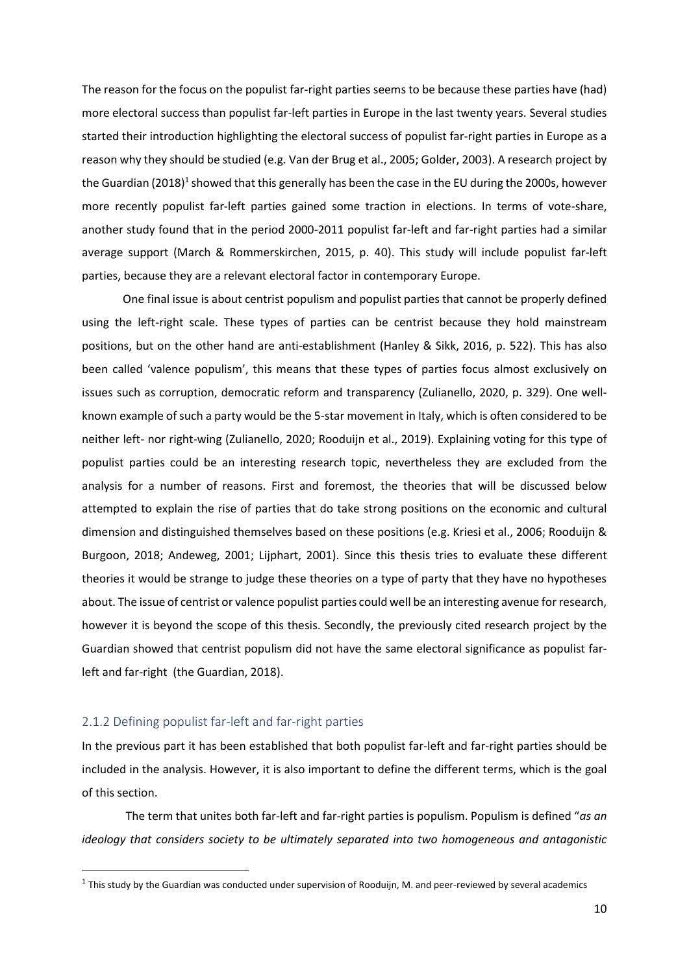The reason for the focus on the populist far-right parties seems to be because these parties have (had) more electoral success than populist far-left parties in Europe in the last twenty years. Several studies started their introduction highlighting the electoral success of populist far-right parties in Europe as a reason why they should be studied (e.g. Van der Brug et al., 2005; Golder, 2003). A research project by the Guardian (2018)<sup>1</sup> showed that this generally has been the case in the EU during the 2000s, however more recently populist far-left parties gained some traction in elections. In terms of vote-share, another study found that in the period 2000-2011 populist far-left and far-right parties had a similar average support (March & Rommerskirchen, 2015, p. 40). This study will include populist far-left parties, because they are a relevant electoral factor in contemporary Europe.

One final issue is about centrist populism and populist parties that cannot be properly defined using the left-right scale. These types of parties can be centrist because they hold mainstream positions, but on the other hand are anti-establishment (Hanley & Sikk, 2016, p. 522). This has also been called 'valence populism', this means that these types of parties focus almost exclusively on issues such as corruption, democratic reform and transparency (Zulianello, 2020, p. 329). One wellknown example of such a party would be the 5-star movement in Italy, which is often considered to be neither left- nor right-wing (Zulianello, 2020; Rooduijn et al., 2019). Explaining voting for this type of populist parties could be an interesting research topic, nevertheless they are excluded from the analysis for a number of reasons. First and foremost, the theories that will be discussed below attempted to explain the rise of parties that do take strong positions on the economic and cultural dimension and distinguished themselves based on these positions (e.g. Kriesi et al., 2006; Rooduijn & Burgoon, 2018; Andeweg, 2001; Lijphart, 2001). Since this thesis tries to evaluate these different theories it would be strange to judge these theories on a type of party that they have no hypotheses about. The issue of centrist or valence populist parties could well be an interesting avenue for research, however it is beyond the scope of this thesis. Secondly, the previously cited research project by the Guardian showed that centrist populism did not have the same electoral significance as populist farleft and far-right (the Guardian, 2018).

#### <span id="page-9-0"></span>2.1.2 Defining populist far-left and far-right parties

In the previous part it has been established that both populist far-left and far-right parties should be included in the analysis. However, it is also important to define the different terms, which is the goal of this section.

The term that unites both far-left and far-right parties is populism. Populism is defined "*as an ideology that considers society to be ultimately separated into two homogeneous and antagonistic* 

 $^1$  This study by the Guardian was conducted under supervision of Rooduijn, M. and peer-reviewed by several academics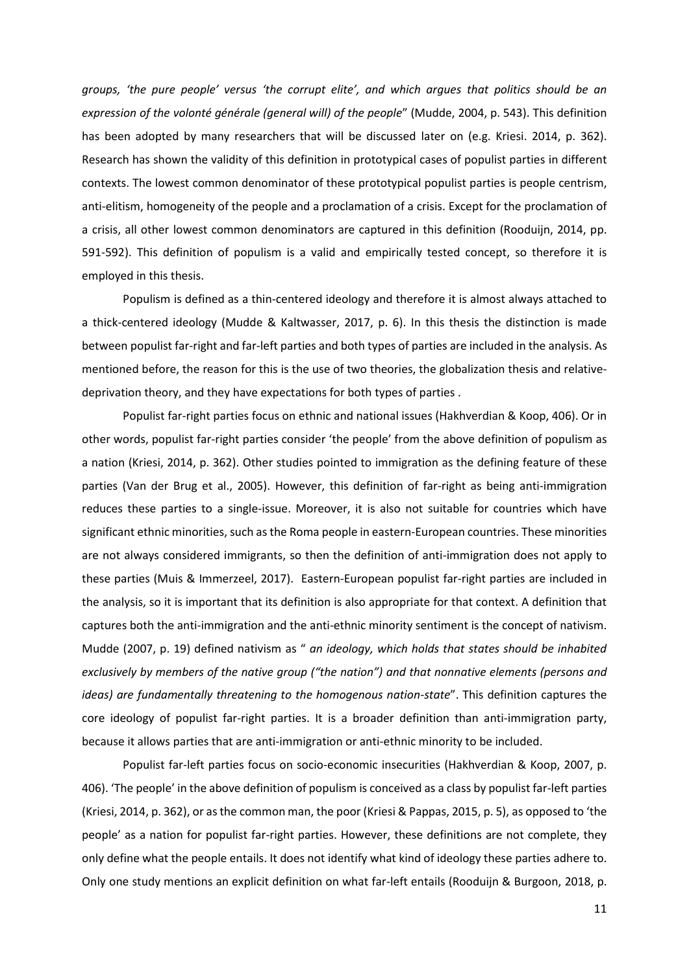*groups, 'the pure people' versus 'the corrupt elite', and which argues that politics should be an expression of the volonté générale (general will) of the people*" (Mudde, 2004, p. 543). This definition has been adopted by many researchers that will be discussed later on (e.g. Kriesi. 2014, p. 362). Research has shown the validity of this definition in prototypical cases of populist parties in different contexts. The lowest common denominator of these prototypical populist parties is people centrism, anti-elitism, homogeneity of the people and a proclamation of a crisis. Except for the proclamation of a crisis, all other lowest common denominators are captured in this definition (Rooduijn, 2014, pp. 591-592). This definition of populism is a valid and empirically tested concept, so therefore it is employed in this thesis.

Populism is defined as a thin-centered ideology and therefore it is almost always attached to a thick-centered ideology (Mudde & Kaltwasser, 2017, p. 6). In this thesis the distinction is made between populist far-right and far-left parties and both types of parties are included in the analysis. As mentioned before, the reason for this is the use of two theories, the globalization thesis and relativedeprivation theory, and they have expectations for both types of parties .

Populist far-right parties focus on ethnic and national issues (Hakhverdian & Koop, 406). Or in other words, populist far-right parties consider 'the people' from the above definition of populism as a nation (Kriesi, 2014, p. 362). Other studies pointed to immigration as the defining feature of these parties (Van der Brug et al., 2005). However, this definition of far-right as being anti-immigration reduces these parties to a single-issue. Moreover, it is also not suitable for countries which have significant ethnic minorities, such as the Roma people in eastern-European countries. These minorities are not always considered immigrants, so then the definition of anti-immigration does not apply to these parties (Muis & Immerzeel, 2017). Eastern-European populist far-right parties are included in the analysis, so it is important that its definition is also appropriate for that context. A definition that captures both the anti-immigration and the anti-ethnic minority sentiment is the concept of nativism. Mudde (2007, p. 19) defined nativism as " *an ideology, which holds that states should be inhabited exclusively by members of the native group ("the nation") and that nonnative elements (persons and ideas) are fundamentally threatening to the homogenous nation-state*". This definition captures the core ideology of populist far-right parties. It is a broader definition than anti-immigration party, because it allows parties that are anti-immigration or anti-ethnic minority to be included.

Populist far-left parties focus on socio-economic insecurities (Hakhverdian & Koop, 2007, p. 406). 'The people' in the above definition of populism is conceived as a class by populist far-left parties (Kriesi, 2014, p. 362), or as the common man, the poor (Kriesi & Pappas, 2015, p. 5), as opposed to 'the people' as a nation for populist far-right parties. However, these definitions are not complete, they only define what the people entails. It does not identify what kind of ideology these parties adhere to. Only one study mentions an explicit definition on what far-left entails (Rooduijn & Burgoon, 2018, p.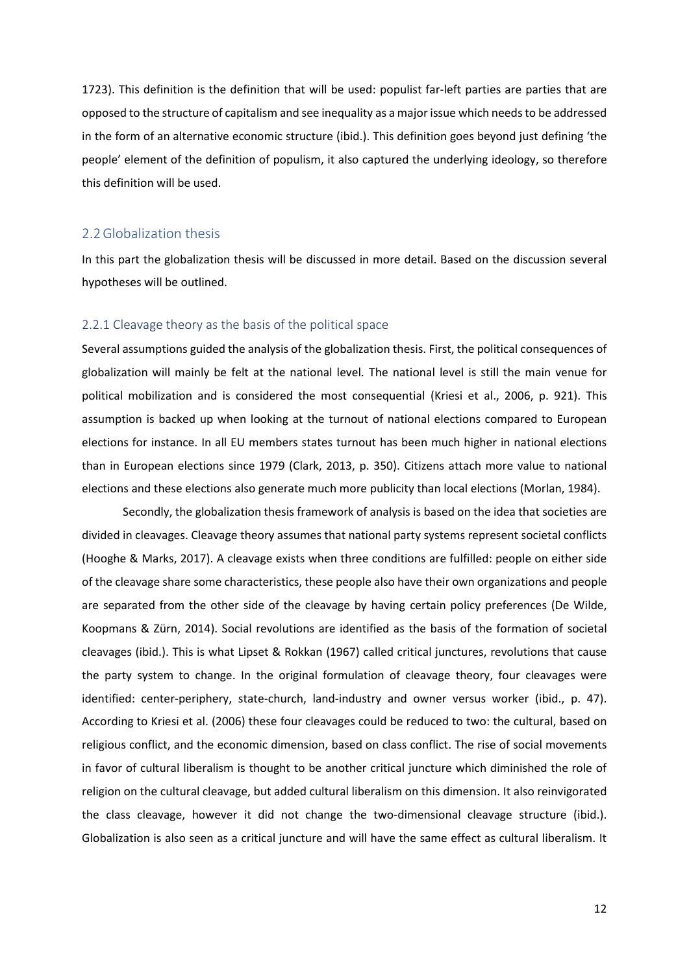1723). This definition is the definition that will be used: populist far-left parties are parties that are opposed to the structure of capitalism and see inequality as a major issue which needs to be addressed in the form of an alternative economic structure (ibid.). This definition goes beyond just defining 'the people' element of the definition of populism, it also captured the underlying ideology, so therefore this definition will be used.

#### <span id="page-11-0"></span>2.2Globalization thesis

In this part the globalization thesis will be discussed in more detail. Based on the discussion several hypotheses will be outlined.

#### <span id="page-11-1"></span>2.2.1 Cleavage theory as the basis of the political space

Several assumptions guided the analysis of the globalization thesis. First, the political consequences of globalization will mainly be felt at the national level. The national level is still the main venue for political mobilization and is considered the most consequential (Kriesi et al., 2006, p. 921). This assumption is backed up when looking at the turnout of national elections compared to European elections for instance. In all EU members states turnout has been much higher in national elections than in European elections since 1979 (Clark, 2013, p. 350). Citizens attach more value to national elections and these elections also generate much more publicity than local elections (Morlan, 1984).

Secondly, the globalization thesis framework of analysis is based on the idea that societies are divided in cleavages. Cleavage theory assumes that national party systems represent societal conflicts (Hooghe & Marks, 2017). A cleavage exists when three conditions are fulfilled: people on either side of the cleavage share some characteristics, these people also have their own organizations and people are separated from the other side of the cleavage by having certain policy preferences (De Wilde, Koopmans & Zürn, 2014). Social revolutions are identified as the basis of the formation of societal cleavages (ibid.). This is what Lipset & Rokkan (1967) called critical junctures, revolutions that cause the party system to change. In the original formulation of cleavage theory, four cleavages were identified: center-periphery, state-church, land-industry and owner versus worker (ibid., p. 47). According to Kriesi et al. (2006) these four cleavages could be reduced to two: the cultural, based on religious conflict, and the economic dimension, based on class conflict. The rise of social movements in favor of cultural liberalism is thought to be another critical juncture which diminished the role of religion on the cultural cleavage, but added cultural liberalism on this dimension. It also reinvigorated the class cleavage, however it did not change the two-dimensional cleavage structure (ibid.). Globalization is also seen as a critical juncture and will have the same effect as cultural liberalism. It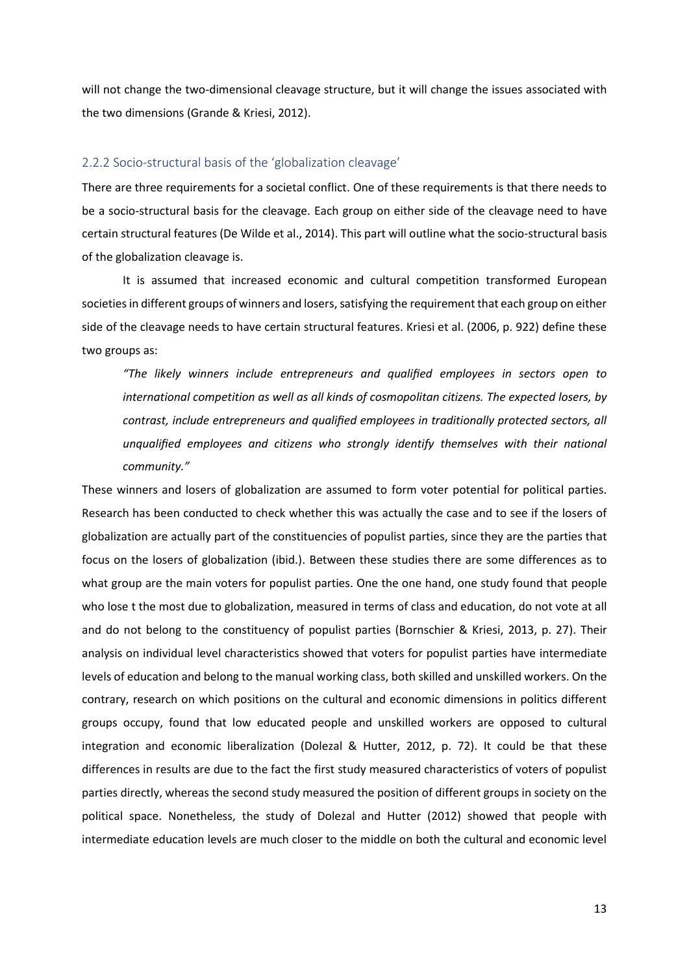will not change the two-dimensional cleavage structure, but it will change the issues associated with the two dimensions (Grande & Kriesi, 2012).

#### <span id="page-12-0"></span>2.2.2 Socio-structural basis of the 'globalization cleavage'

There are three requirements for a societal conflict. One of these requirements is that there needs to be a socio-structural basis for the cleavage. Each group on either side of the cleavage need to have certain structural features (De Wilde et al., 2014). This part will outline what the socio-structural basis of the globalization cleavage is.

It is assumed that increased economic and cultural competition transformed European societies in different groups of winners and losers, satisfying the requirement that each group on either side of the cleavage needs to have certain structural features. Kriesi et al. (2006, p. 922) define these two groups as:

*"The likely winners include entrepreneurs and qualified employees in sectors open to international competition as well as all kinds of cosmopolitan citizens. The expected losers, by contrast, include entrepreneurs and qualified employees in traditionally protected sectors, all unqualified employees and citizens who strongly identify themselves with their national community."*

These winners and losers of globalization are assumed to form voter potential for political parties. Research has been conducted to check whether this was actually the case and to see if the losers of globalization are actually part of the constituencies of populist parties, since they are the parties that focus on the losers of globalization (ibid.). Between these studies there are some differences as to what group are the main voters for populist parties. One the one hand, one study found that people who lose t the most due to globalization, measured in terms of class and education, do not vote at all and do not belong to the constituency of populist parties (Bornschier & Kriesi, 2013, p. 27). Their analysis on individual level characteristics showed that voters for populist parties have intermediate levels of education and belong to the manual working class, both skilled and unskilled workers. On the contrary, research on which positions on the cultural and economic dimensions in politics different groups occupy, found that low educated people and unskilled workers are opposed to cultural integration and economic liberalization (Dolezal & Hutter, 2012, p. 72). It could be that these differences in results are due to the fact the first study measured characteristics of voters of populist parties directly, whereas the second study measured the position of different groups in society on the political space. Nonetheless, the study of Dolezal and Hutter (2012) showed that people with intermediate education levels are much closer to the middle on both the cultural and economic level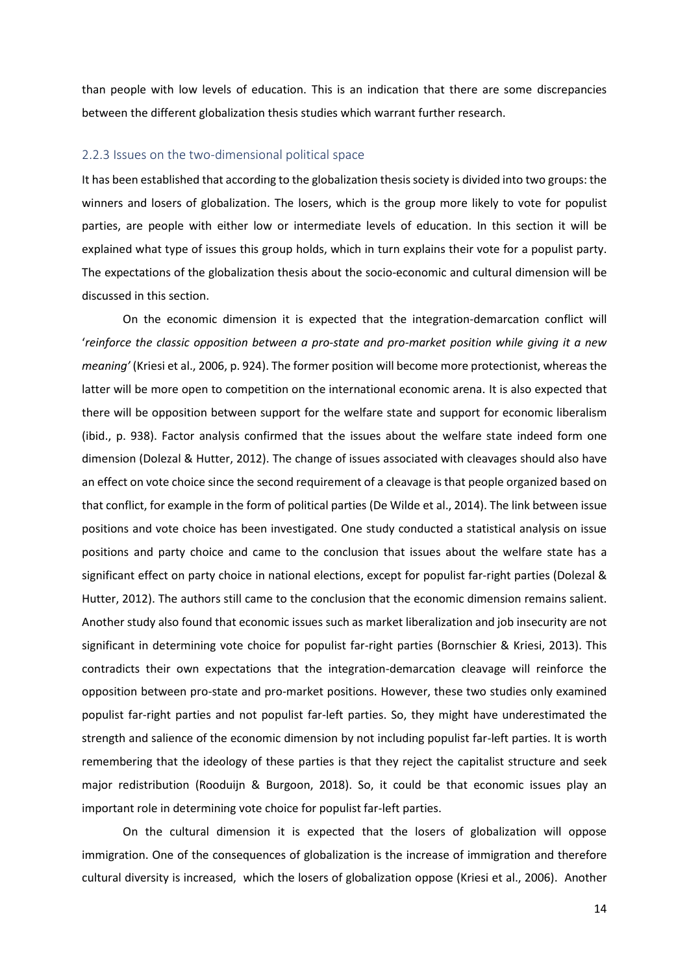than people with low levels of education. This is an indication that there are some discrepancies between the different globalization thesis studies which warrant further research.

#### <span id="page-13-0"></span>2.2.3 Issues on the two-dimensional political space

It has been established that according to the globalization thesis society is divided into two groups: the winners and losers of globalization. The losers, which is the group more likely to vote for populist parties, are people with either low or intermediate levels of education. In this section it will be explained what type of issues this group holds, which in turn explains their vote for a populist party. The expectations of the globalization thesis about the socio-economic and cultural dimension will be discussed in this section.

On the economic dimension it is expected that the integration-demarcation conflict will '*reinforce the classic opposition between a pro-state and pro-market position while giving it a new meaning'* (Kriesi et al., 2006, p. 924). The former position will become more protectionist, whereas the latter will be more open to competition on the international economic arena. It is also expected that there will be opposition between support for the welfare state and support for economic liberalism (ibid., p. 938). Factor analysis confirmed that the issues about the welfare state indeed form one dimension (Dolezal & Hutter, 2012). The change of issues associated with cleavages should also have an effect on vote choice since the second requirement of a cleavage is that people organized based on that conflict, for example in the form of political parties (De Wilde et al., 2014). The link between issue positions and vote choice has been investigated. One study conducted a statistical analysis on issue positions and party choice and came to the conclusion that issues about the welfare state has a significant effect on party choice in national elections, except for populist far-right parties (Dolezal & Hutter, 2012). The authors still came to the conclusion that the economic dimension remains salient. Another study also found that economic issues such as market liberalization and job insecurity are not significant in determining vote choice for populist far-right parties (Bornschier & Kriesi, 2013). This contradicts their own expectations that the integration-demarcation cleavage will reinforce the opposition between pro-state and pro-market positions. However, these two studies only examined populist far-right parties and not populist far-left parties. So, they might have underestimated the strength and salience of the economic dimension by not including populist far-left parties. It is worth remembering that the ideology of these parties is that they reject the capitalist structure and seek major redistribution (Rooduijn & Burgoon, 2018). So, it could be that economic issues play an important role in determining vote choice for populist far-left parties.

On the cultural dimension it is expected that the losers of globalization will oppose immigration. One of the consequences of globalization is the increase of immigration and therefore cultural diversity is increased, which the losers of globalization oppose (Kriesi et al., 2006). Another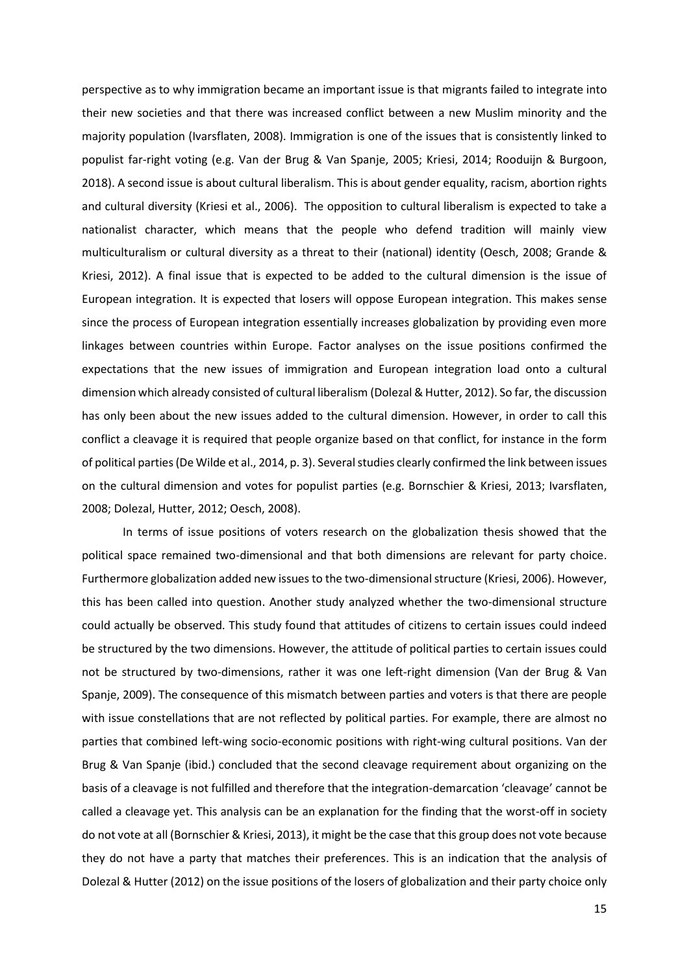perspective as to why immigration became an important issue is that migrants failed to integrate into their new societies and that there was increased conflict between a new Muslim minority and the majority population (Ivarsflaten, 2008). Immigration is one of the issues that is consistently linked to populist far-right voting (e.g. Van der Brug & Van Spanje, 2005; Kriesi, 2014; Rooduijn & Burgoon, 2018). A second issue is about cultural liberalism. This is about gender equality, racism, abortion rights and cultural diversity (Kriesi et al., 2006). The opposition to cultural liberalism is expected to take a nationalist character, which means that the people who defend tradition will mainly view multiculturalism or cultural diversity as a threat to their (national) identity (Oesch, 2008; Grande & Kriesi, 2012). A final issue that is expected to be added to the cultural dimension is the issue of European integration. It is expected that losers will oppose European integration. This makes sense since the process of European integration essentially increases globalization by providing even more linkages between countries within Europe. Factor analyses on the issue positions confirmed the expectations that the new issues of immigration and European integration load onto a cultural dimension which already consisted of cultural liberalism (Dolezal & Hutter, 2012). So far, the discussion has only been about the new issues added to the cultural dimension. However, in order to call this conflict a cleavage it is required that people organize based on that conflict, for instance in the form of political parties (De Wilde et al., 2014, p. 3). Several studies clearly confirmed the link between issues on the cultural dimension and votes for populist parties (e.g. Bornschier & Kriesi, 2013; Ivarsflaten, 2008; Dolezal, Hutter, 2012; Oesch, 2008).

In terms of issue positions of voters research on the globalization thesis showed that the political space remained two-dimensional and that both dimensions are relevant for party choice. Furthermore globalization added new issues to the two-dimensional structure (Kriesi, 2006). However, this has been called into question. Another study analyzed whether the two-dimensional structure could actually be observed. This study found that attitudes of citizens to certain issues could indeed be structured by the two dimensions. However, the attitude of political parties to certain issues could not be structured by two-dimensions, rather it was one left-right dimension (Van der Brug & Van Spanje, 2009). The consequence of this mismatch between parties and voters is that there are people with issue constellations that are not reflected by political parties. For example, there are almost no parties that combined left-wing socio-economic positions with right-wing cultural positions. Van der Brug & Van Spanje (ibid.) concluded that the second cleavage requirement about organizing on the basis of a cleavage is not fulfilled and therefore that the integration-demarcation 'cleavage' cannot be called a cleavage yet. This analysis can be an explanation for the finding that the worst-off in society do not vote at all (Bornschier & Kriesi, 2013), it might be the case that this group does not vote because they do not have a party that matches their preferences. This is an indication that the analysis of Dolezal & Hutter (2012) on the issue positions of the losers of globalization and their party choice only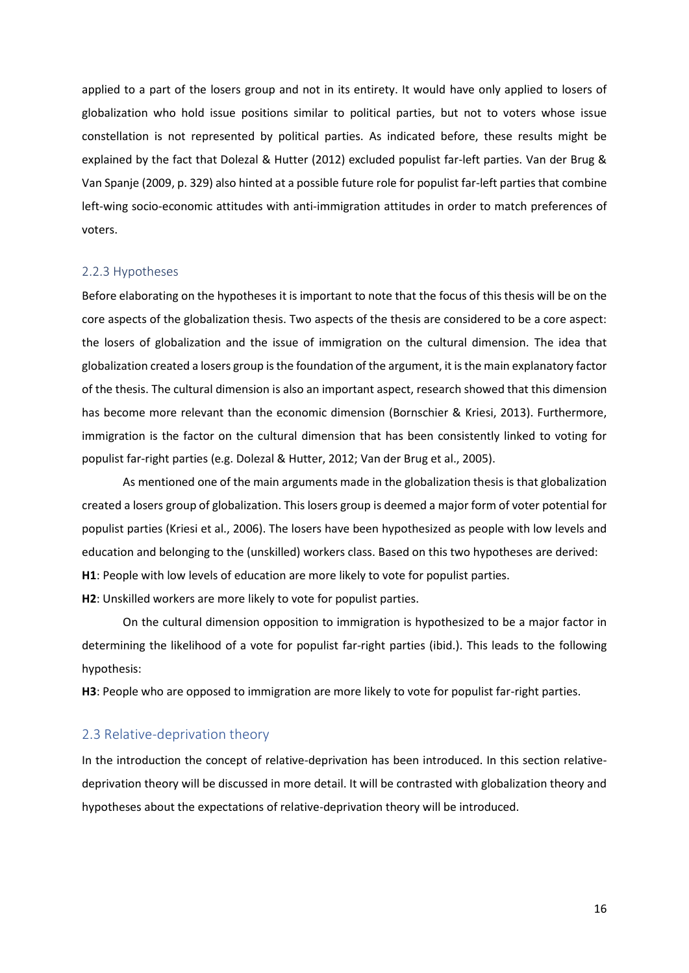applied to a part of the losers group and not in its entirety. It would have only applied to losers of globalization who hold issue positions similar to political parties, but not to voters whose issue constellation is not represented by political parties. As indicated before, these results might be explained by the fact that Dolezal & Hutter (2012) excluded populist far-left parties. Van der Brug & Van Spanje (2009, p. 329) also hinted at a possible future role for populist far-left parties that combine left-wing socio-economic attitudes with anti-immigration attitudes in order to match preferences of voters.

#### <span id="page-15-0"></span>2.2.3 Hypotheses

Before elaborating on the hypotheses it is important to note that the focus of this thesis will be on the core aspects of the globalization thesis. Two aspects of the thesis are considered to be a core aspect: the losers of globalization and the issue of immigration on the cultural dimension. The idea that globalization created a losers group is the foundation of the argument, it is the main explanatory factor of the thesis. The cultural dimension is also an important aspect, research showed that this dimension has become more relevant than the economic dimension (Bornschier & Kriesi, 2013). Furthermore, immigration is the factor on the cultural dimension that has been consistently linked to voting for populist far-right parties (e.g. Dolezal & Hutter, 2012; Van der Brug et al., 2005).

As mentioned one of the main arguments made in the globalization thesis is that globalization created a losers group of globalization. This losers group is deemed a major form of voter potential for populist parties (Kriesi et al., 2006). The losers have been hypothesized as people with low levels and education and belonging to the (unskilled) workers class. Based on this two hypotheses are derived: **H1**: People with low levels of education are more likely to vote for populist parties.

**H2**: Unskilled workers are more likely to vote for populist parties.

On the cultural dimension opposition to immigration is hypothesized to be a major factor in determining the likelihood of a vote for populist far-right parties (ibid.). This leads to the following hypothesis:

**H3**: People who are opposed to immigration are more likely to vote for populist far-right parties.

#### <span id="page-15-1"></span>2.3 Relative-deprivation theory

In the introduction the concept of relative-deprivation has been introduced. In this section relativedeprivation theory will be discussed in more detail. It will be contrasted with globalization theory and hypotheses about the expectations of relative-deprivation theory will be introduced.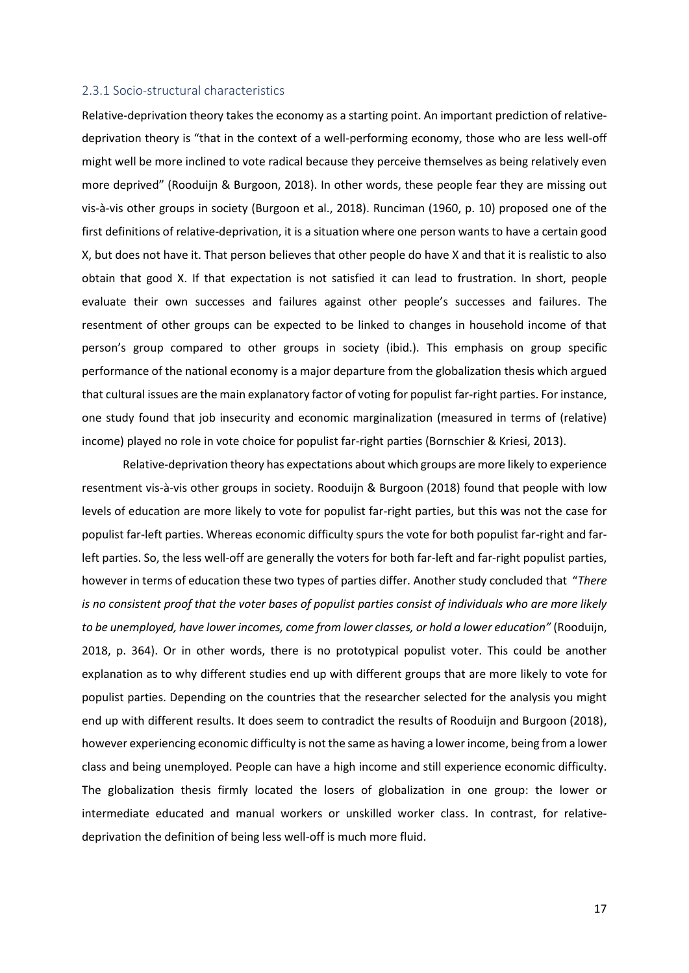#### <span id="page-16-0"></span>2.3.1 Socio-structural characteristics

Relative-deprivation theory takes the economy as a starting point. An important prediction of relativedeprivation theory is "that in the context of a well-performing economy, those who are less well-off might well be more inclined to vote radical because they perceive themselves as being relatively even more deprived" (Rooduijn & Burgoon, 2018). In other words, these people fear they are missing out vis-à-vis other groups in society (Burgoon et al., 2018). Runciman (1960, p. 10) proposed one of the first definitions of relative-deprivation, it is a situation where one person wants to have a certain good X, but does not have it. That person believes that other people do have X and that it is realistic to also obtain that good X. If that expectation is not satisfied it can lead to frustration. In short, people evaluate their own successes and failures against other people's successes and failures. The resentment of other groups can be expected to be linked to changes in household income of that person's group compared to other groups in society (ibid.). This emphasis on group specific performance of the national economy is a major departure from the globalization thesis which argued that cultural issues are the main explanatory factor of voting for populist far-right parties. For instance, one study found that job insecurity and economic marginalization (measured in terms of (relative) income) played no role in vote choice for populist far-right parties (Bornschier & Kriesi, 2013).

Relative-deprivation theory has expectations about which groups are more likely to experience resentment vis-à-vis other groups in society. Rooduijn & Burgoon (2018) found that people with low levels of education are more likely to vote for populist far-right parties, but this was not the case for populist far-left parties. Whereas economic difficulty spurs the vote for both populist far-right and farleft parties. So, the less well-off are generally the voters for both far-left and far-right populist parties, however in terms of education these two types of parties differ. Another study concluded that "*There is no consistent proof that the voter bases of populist parties consist of individuals who are more likely to be unemployed, have lower incomes, come from lower classes, or hold a lower education"* (Rooduijn, 2018, p. 364). Or in other words, there is no prototypical populist voter. This could be another explanation as to why different studies end up with different groups that are more likely to vote for populist parties. Depending on the countries that the researcher selected for the analysis you might end up with different results. It does seem to contradict the results of Rooduijn and Burgoon (2018), however experiencing economic difficulty is not the same as having a lower income, being from a lower class and being unemployed. People can have a high income and still experience economic difficulty. The globalization thesis firmly located the losers of globalization in one group: the lower or intermediate educated and manual workers or unskilled worker class. In contrast, for relativedeprivation the definition of being less well-off is much more fluid.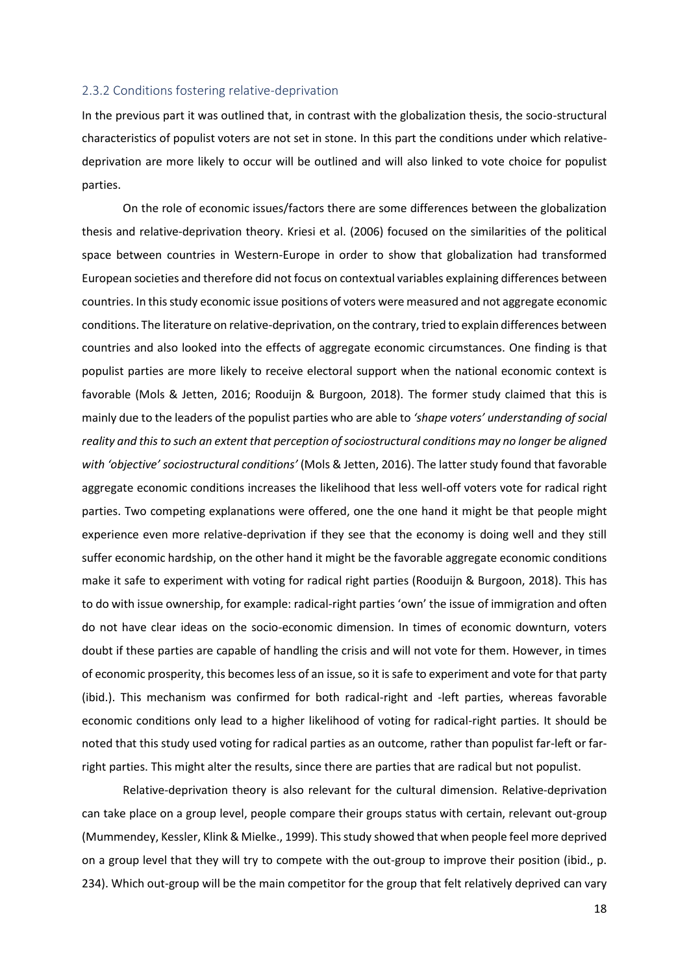#### <span id="page-17-0"></span>2.3.2 Conditions fostering relative-deprivation

In the previous part it was outlined that, in contrast with the globalization thesis, the socio-structural characteristics of populist voters are not set in stone. In this part the conditions under which relativedeprivation are more likely to occur will be outlined and will also linked to vote choice for populist parties.

On the role of economic issues/factors there are some differences between the globalization thesis and relative-deprivation theory. Kriesi et al. (2006) focused on the similarities of the political space between countries in Western-Europe in order to show that globalization had transformed European societies and therefore did not focus on contextual variables explaining differences between countries. In this study economic issue positions of voters were measured and not aggregate economic conditions. The literature on relative-deprivation, on the contrary, tried to explain differences between countries and also looked into the effects of aggregate economic circumstances. One finding is that populist parties are more likely to receive electoral support when the national economic context is favorable (Mols & Jetten, 2016; Rooduijn & Burgoon, 2018). The former study claimed that this is mainly due to the leaders of the populist parties who are able to *'shape voters' understanding of social reality and this to such an extent that perception of sociostructural conditions may no longer be aligned with 'objective' sociostructural conditions'* (Mols & Jetten, 2016). The latter study found that favorable aggregate economic conditions increases the likelihood that less well-off voters vote for radical right parties. Two competing explanations were offered, one the one hand it might be that people might experience even more relative-deprivation if they see that the economy is doing well and they still suffer economic hardship, on the other hand it might be the favorable aggregate economic conditions make it safe to experiment with voting for radical right parties (Rooduijn & Burgoon, 2018). This has to do with issue ownership, for example: radical-right parties 'own' the issue of immigration and often do not have clear ideas on the socio-economic dimension. In times of economic downturn, voters doubt if these parties are capable of handling the crisis and will not vote for them. However, in times of economic prosperity, this becomes less of an issue, so it is safe to experiment and vote for that party (ibid.). This mechanism was confirmed for both radical-right and -left parties, whereas favorable economic conditions only lead to a higher likelihood of voting for radical-right parties. It should be noted that this study used voting for radical parties as an outcome, rather than populist far-left or farright parties. This might alter the results, since there are parties that are radical but not populist.

Relative-deprivation theory is also relevant for the cultural dimension. Relative-deprivation can take place on a group level, people compare their groups status with certain, relevant out-group (Mummendey, Kessler, Klink & Mielke., 1999). This study showed that when people feel more deprived on a group level that they will try to compete with the out-group to improve their position (ibid., p. 234). Which out-group will be the main competitor for the group that felt relatively deprived can vary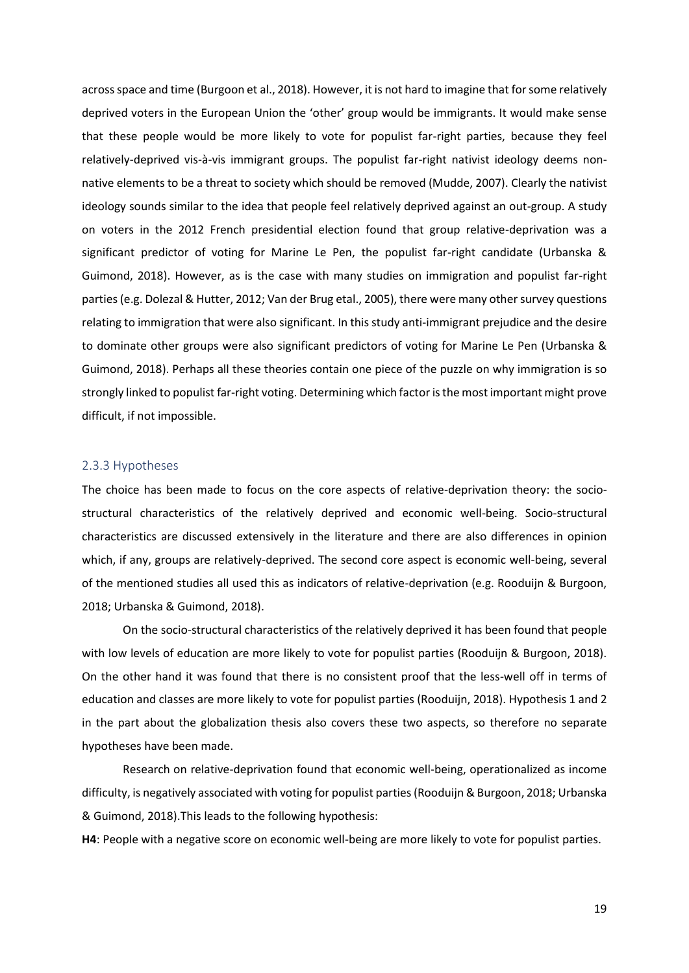across space and time (Burgoon et al., 2018). However, it is not hard to imagine that for some relatively deprived voters in the European Union the 'other' group would be immigrants. It would make sense that these people would be more likely to vote for populist far-right parties, because they feel relatively-deprived vis-à-vis immigrant groups. The populist far-right nativist ideology deems nonnative elements to be a threat to society which should be removed (Mudde, 2007). Clearly the nativist ideology sounds similar to the idea that people feel relatively deprived against an out-group. A study on voters in the 2012 French presidential election found that group relative-deprivation was a significant predictor of voting for Marine Le Pen, the populist far-right candidate (Urbanska & Guimond, 2018). However, as is the case with many studies on immigration and populist far-right parties (e.g. Dolezal & Hutter, 2012; Van der Brug etal., 2005), there were many other survey questions relating to immigration that were also significant. In this study anti-immigrant prejudice and the desire to dominate other groups were also significant predictors of voting for Marine Le Pen (Urbanska & Guimond, 2018). Perhaps all these theories contain one piece of the puzzle on why immigration is so strongly linked to populist far-right voting. Determining which factor is the most important might prove difficult, if not impossible.

#### <span id="page-18-0"></span>2.3.3 Hypotheses

The choice has been made to focus on the core aspects of relative-deprivation theory: the sociostructural characteristics of the relatively deprived and economic well-being. Socio-structural characteristics are discussed extensively in the literature and there are also differences in opinion which, if any, groups are relatively-deprived. The second core aspect is economic well-being, several of the mentioned studies all used this as indicators of relative-deprivation (e.g. Rooduijn & Burgoon, 2018; Urbanska & Guimond, 2018).

On the socio-structural characteristics of the relatively deprived it has been found that people with low levels of education are more likely to vote for populist parties (Rooduijn & Burgoon, 2018). On the other hand it was found that there is no consistent proof that the less-well off in terms of education and classes are more likely to vote for populist parties (Rooduijn, 2018). Hypothesis 1 and 2 in the part about the globalization thesis also covers these two aspects, so therefore no separate hypotheses have been made.

Research on relative-deprivation found that economic well-being, operationalized as income difficulty, is negatively associated with voting for populist parties (Rooduijn& Burgoon, 2018; Urbanska & Guimond, 2018).This leads to the following hypothesis:

**H4**: People with a negative score on economic well-being are more likely to vote for populist parties.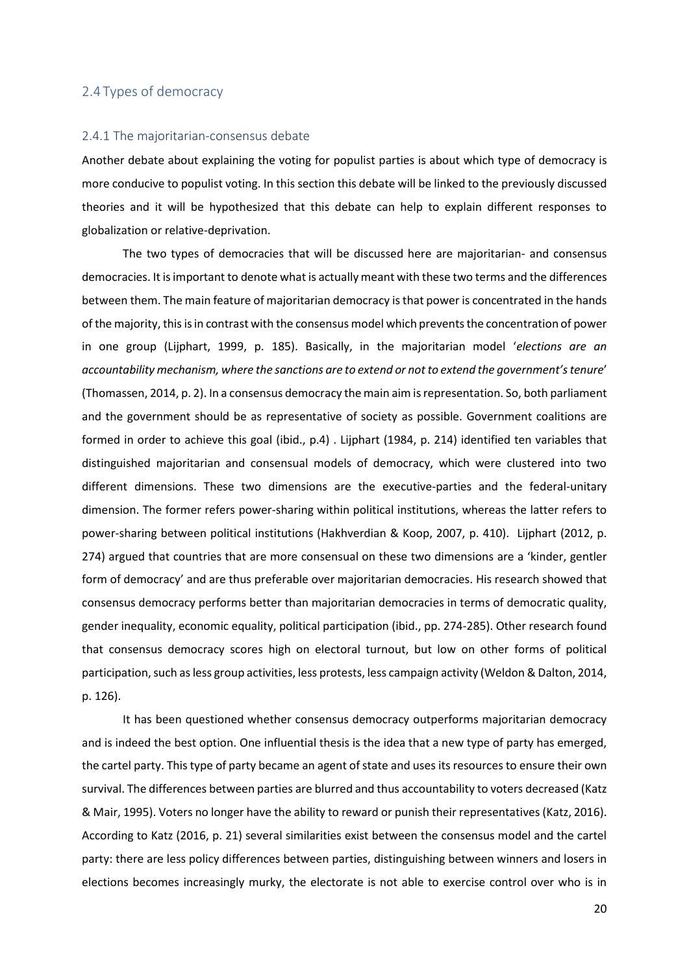#### <span id="page-19-0"></span>2.4 Types of democracy

#### <span id="page-19-1"></span>2.4.1 The majoritarian-consensus debate

Another debate about explaining the voting for populist parties is about which type of democracy is more conducive to populist voting. In this section this debate will be linked to the previously discussed theories and it will be hypothesized that this debate can help to explain different responses to globalization or relative-deprivation.

The two types of democracies that will be discussed here are majoritarian- and consensus democracies. It is important to denote what is actually meant with these two terms and the differences between them. The main feature of majoritarian democracy is that power is concentrated in the hands of the majority, this is in contrast with the consensus model which prevents the concentration of power in one group (Lijphart, 1999, p. 185). Basically, in the majoritarian model '*elections are an accountability mechanism, where the sanctions are to extend or not to extend the government's tenure*' (Thomassen, 2014, p. 2). In a consensus democracy the main aim is representation. So, both parliament and the government should be as representative of society as possible. Government coalitions are formed in order to achieve this goal (ibid., p.4) . Lijphart (1984, p. 214) identified ten variables that distinguished majoritarian and consensual models of democracy, which were clustered into two different dimensions. These two dimensions are the executive-parties and the federal-unitary dimension. The former refers power-sharing within political institutions, whereas the latter refers to power-sharing between political institutions (Hakhverdian & Koop, 2007, p. 410). Lijphart (2012, p. 274) argued that countries that are more consensual on these two dimensions are a 'kinder, gentler form of democracy' and are thus preferable over majoritarian democracies. His research showed that consensus democracy performs better than majoritarian democracies in terms of democratic quality, gender inequality, economic equality, political participation (ibid., pp. 274-285). Other research found that consensus democracy scores high on electoral turnout, but low on other forms of political participation, such as less group activities, less protests, less campaign activity (Weldon & Dalton, 2014, p. 126).

It has been questioned whether consensus democracy outperforms majoritarian democracy and is indeed the best option. One influential thesis is the idea that a new type of party has emerged, the cartel party. This type of party became an agent of state and uses its resources to ensure their own survival. The differences between parties are blurred and thus accountability to voters decreased (Katz & Mair, 1995). Voters no longer have the ability to reward or punish their representatives (Katz, 2016). According to Katz (2016, p. 21) several similarities exist between the consensus model and the cartel party: there are less policy differences between parties, distinguishing between winners and losers in elections becomes increasingly murky, the electorate is not able to exercise control over who is in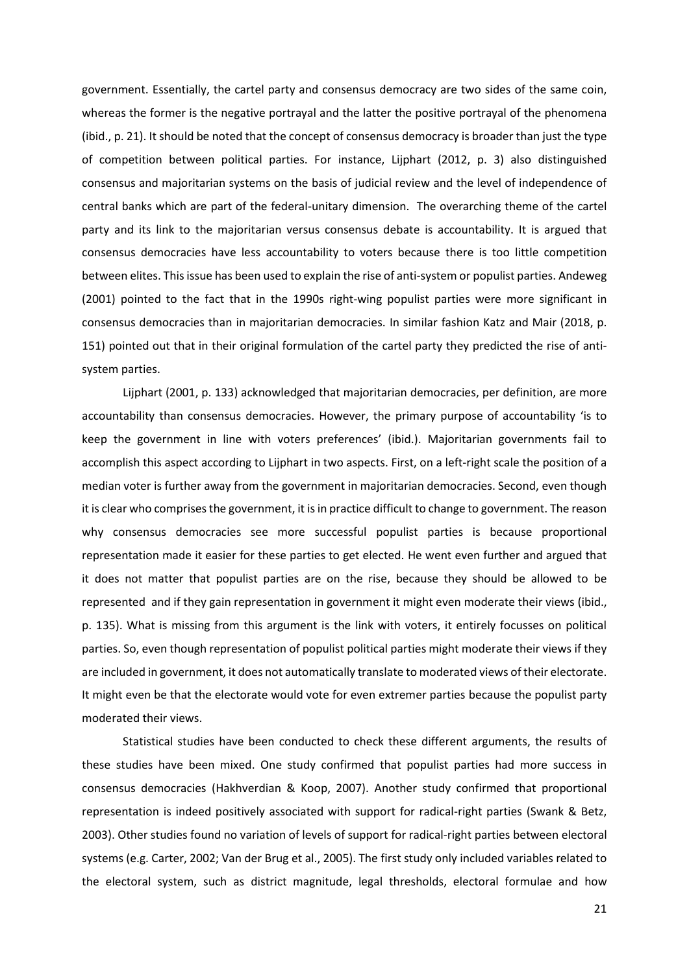government. Essentially, the cartel party and consensus democracy are two sides of the same coin, whereas the former is the negative portrayal and the latter the positive portrayal of the phenomena (ibid., p. 21). It should be noted that the concept of consensus democracy is broader than just the type of competition between political parties. For instance, Lijphart (2012, p. 3) also distinguished consensus and majoritarian systems on the basis of judicial review and the level of independence of central banks which are part of the federal-unitary dimension. The overarching theme of the cartel party and its link to the majoritarian versus consensus debate is accountability. It is argued that consensus democracies have less accountability to voters because there is too little competition between elites. This issue has been used to explain the rise of anti-system or populist parties. Andeweg (2001) pointed to the fact that in the 1990s right-wing populist parties were more significant in consensus democracies than in majoritarian democracies. In similar fashion Katz and Mair (2018, p. 151) pointed out that in their original formulation of the cartel party they predicted the rise of antisystem parties.

Lijphart (2001, p. 133) acknowledged that majoritarian democracies, per definition, are more accountability than consensus democracies. However, the primary purpose of accountability 'is to keep the government in line with voters preferences' (ibid.). Majoritarian governments fail to accomplish this aspect according to Lijphart in two aspects. First, on a left-right scale the position of a median voter is further away from the government in majoritarian democracies. Second, even though it is clear who comprises the government, it is in practice difficult to change to government. The reason why consensus democracies see more successful populist parties is because proportional representation made it easier for these parties to get elected. He went even further and argued that it does not matter that populist parties are on the rise, because they should be allowed to be represented and if they gain representation in government it might even moderate their views (ibid., p. 135). What is missing from this argument is the link with voters, it entirely focusses on political parties. So, even though representation of populist political parties might moderate their views if they are included in government, it does not automatically translate to moderated views of their electorate. It might even be that the electorate would vote for even extremer parties because the populist party moderated their views.

Statistical studies have been conducted to check these different arguments, the results of these studies have been mixed. One study confirmed that populist parties had more success in consensus democracies (Hakhverdian & Koop, 2007). Another study confirmed that proportional representation is indeed positively associated with support for radical-right parties (Swank & Betz, 2003). Other studies found no variation of levels of support for radical-right parties between electoral systems (e.g. Carter, 2002; Van der Brug et al., 2005). The first study only included variables related to the electoral system, such as district magnitude, legal thresholds, electoral formulae and how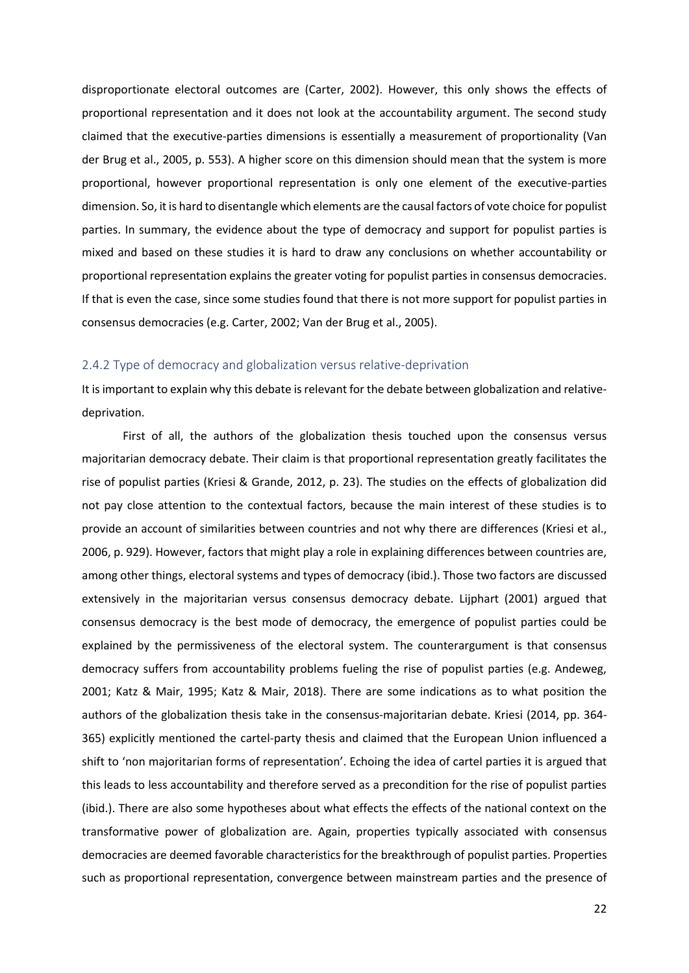disproportionate electoral outcomes are (Carter, 2002). However, this only shows the effects of proportional representation and it does not look at the accountability argument. The second study claimed that the executive-parties dimensions is essentially a measurement of proportionality (Van der Brug et al., 2005, p. 553). A higher score on this dimension should mean that the system is more proportional, however proportional representation is only one element of the executive-parties dimension. So, it is hard to disentangle which elements are the causal factors of vote choice for populist parties. In summary, the evidence about the type of democracy and support for populist parties is mixed and based on these studies it is hard to draw any conclusions on whether accountability or proportional representation explains the greater voting for populist parties in consensus democracies. If that is even the case, since some studies found that there is not more support for populist parties in consensus democracies (e.g. Carter, 2002; Van der Brug et al., 2005).

#### <span id="page-21-0"></span>2.4.2 Type of democracy and globalization versus relative-deprivation

It is important to explain why this debate is relevant for the debate between globalization and relativedeprivation.

First of all, the authors of the globalization thesis touched upon the consensus versus majoritarian democracy debate. Their claim is that proportional representation greatly facilitates the rise of populist parties (Kriesi & Grande, 2012, p. 23). The studies on the effects of globalization did not pay close attention to the contextual factors, because the main interest of these studies is to provide an account of similarities between countries and not why there are differences (Kriesi et al., 2006, p. 929). However, factors that might play a role in explaining differences between countries are, among other things, electoral systems and types of democracy (ibid.). Those two factors are discussed extensively in the majoritarian versus consensus democracy debate. Lijphart (2001) argued that consensus democracy is the best mode of democracy, the emergence of populist parties could be explained by the permissiveness of the electoral system. The counterargument is that consensus democracy suffers from accountability problems fueling the rise of populist parties (e.g. Andeweg, 2001; Katz & Mair, 1995; Katz & Mair, 2018). There are some indications as to what position the authors of the globalization thesis take in the consensus-majoritarian debate. Kriesi (2014, pp. 364- 365) explicitly mentioned the cartel-party thesis and claimed that the European Union influenced a shift to 'non majoritarian forms of representation'. Echoing the idea of cartel parties it is argued that this leads to less accountability and therefore served as a precondition for the rise of populist parties (ibid.). There are also some hypotheses about what effects the effects of the national context on the transformative power of globalization are. Again, properties typically associated with consensus democracies are deemed favorable characteristics for the breakthrough of populist parties. Properties such as proportional representation, convergence between mainstream parties and the presence of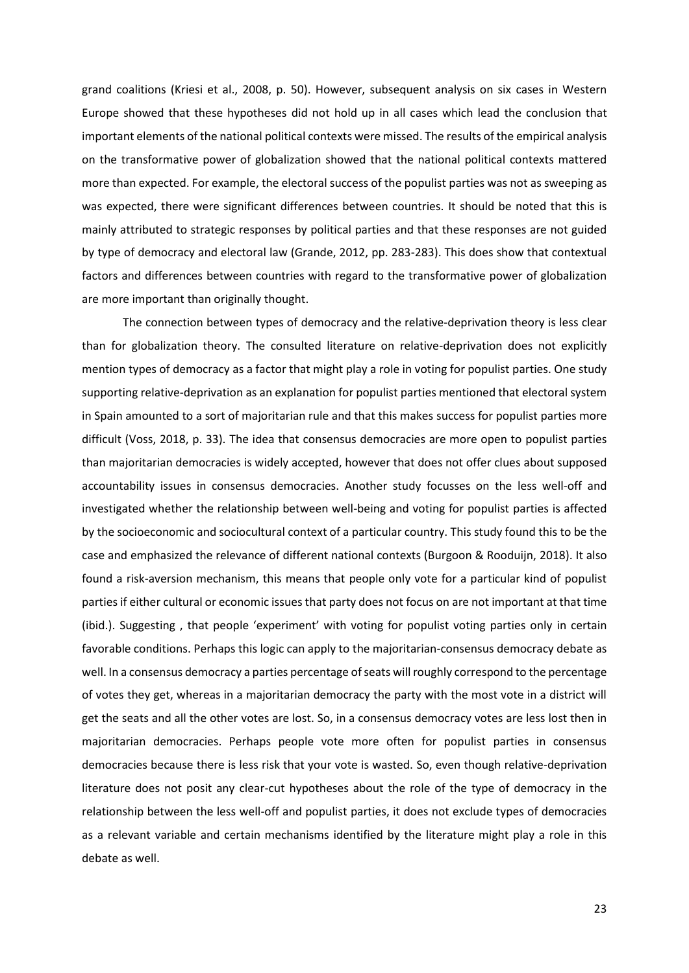grand coalitions (Kriesi et al., 2008, p. 50). However, subsequent analysis on six cases in Western Europe showed that these hypotheses did not hold up in all cases which lead the conclusion that important elements of the national political contexts were missed. The results of the empirical analysis on the transformative power of globalization showed that the national political contexts mattered more than expected. For example, the electoral success of the populist parties was not as sweeping as was expected, there were significant differences between countries. It should be noted that this is mainly attributed to strategic responses by political parties and that these responses are not guided by type of democracy and electoral law (Grande, 2012, pp. 283-283). This does show that contextual factors and differences between countries with regard to the transformative power of globalization are more important than originally thought.

The connection between types of democracy and the relative-deprivation theory is less clear than for globalization theory. The consulted literature on relative-deprivation does not explicitly mention types of democracy as a factor that might play a role in voting for populist parties. One study supporting relative-deprivation as an explanation for populist parties mentioned that electoral system in Spain amounted to a sort of majoritarian rule and that this makes success for populist parties more difficult (Voss, 2018, p. 33). The idea that consensus democracies are more open to populist parties than majoritarian democracies is widely accepted, however that does not offer clues about supposed accountability issues in consensus democracies. Another study focusses on the less well-off and investigated whether the relationship between well-being and voting for populist parties is affected by the socioeconomic and sociocultural context of a particular country. This study found this to be the case and emphasized the relevance of different national contexts (Burgoon & Rooduijn, 2018). It also found a risk-aversion mechanism, this means that people only vote for a particular kind of populist parties if either cultural or economic issues that party does not focus on are not important at that time (ibid.). Suggesting , that people 'experiment' with voting for populist voting parties only in certain favorable conditions. Perhaps this logic can apply to the majoritarian-consensus democracy debate as well. In a consensus democracy a parties percentage of seats will roughly correspond to the percentage of votes they get, whereas in a majoritarian democracy the party with the most vote in a district will get the seats and all the other votes are lost. So, in a consensus democracy votes are less lost then in majoritarian democracies. Perhaps people vote more often for populist parties in consensus democracies because there is less risk that your vote is wasted. So, even though relative-deprivation literature does not posit any clear-cut hypotheses about the role of the type of democracy in the relationship between the less well-off and populist parties, it does not exclude types of democracies as a relevant variable and certain mechanisms identified by the literature might play a role in this debate as well.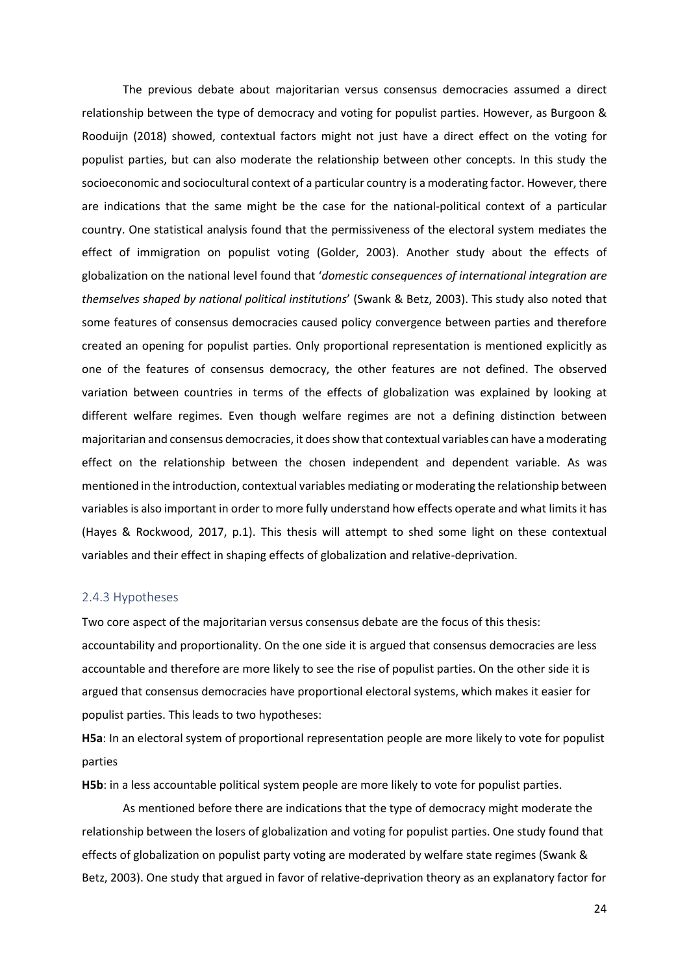The previous debate about majoritarian versus consensus democracies assumed a direct relationship between the type of democracy and voting for populist parties. However, as Burgoon & Rooduijn (2018) showed, contextual factors might not just have a direct effect on the voting for populist parties, but can also moderate the relationship between other concepts. In this study the socioeconomic and sociocultural context of a particular country is a moderating factor. However, there are indications that the same might be the case for the national-political context of a particular country. One statistical analysis found that the permissiveness of the electoral system mediates the effect of immigration on populist voting (Golder, 2003). Another study about the effects of globalization on the national level found that '*domestic consequences of international integration are themselves shaped by national political institutions*' (Swank & Betz, 2003). This study also noted that some features of consensus democracies caused policy convergence between parties and therefore created an opening for populist parties. Only proportional representation is mentioned explicitly as one of the features of consensus democracy, the other features are not defined. The observed variation between countries in terms of the effects of globalization was explained by looking at different welfare regimes. Even though welfare regimes are not a defining distinction between majoritarian and consensus democracies, it does show that contextual variables can have a moderating effect on the relationship between the chosen independent and dependent variable. As was mentioned in the introduction, contextual variables mediating or moderating the relationship between variables is also important in order to more fully understand how effects operate and what limits it has (Hayes & Rockwood, 2017, p.1). This thesis will attempt to shed some light on these contextual variables and their effect in shaping effects of globalization and relative-deprivation.

#### <span id="page-23-0"></span>2.4.3 Hypotheses

Two core aspect of the majoritarian versus consensus debate are the focus of this thesis: accountability and proportionality. On the one side it is argued that consensus democracies are less accountable and therefore are more likely to see the rise of populist parties. On the other side it is argued that consensus democracies have proportional electoral systems, which makes it easier for populist parties. This leads to two hypotheses:

**H5a**: In an electoral system of proportional representation people are more likely to vote for populist parties

**H5b**: in a less accountable political system people are more likely to vote for populist parties.

As mentioned before there are indications that the type of democracy might moderate the relationship between the losers of globalization and voting for populist parties. One study found that effects of globalization on populist party voting are moderated by welfare state regimes (Swank & Betz, 2003). One study that argued in favor of relative-deprivation theory as an explanatory factor for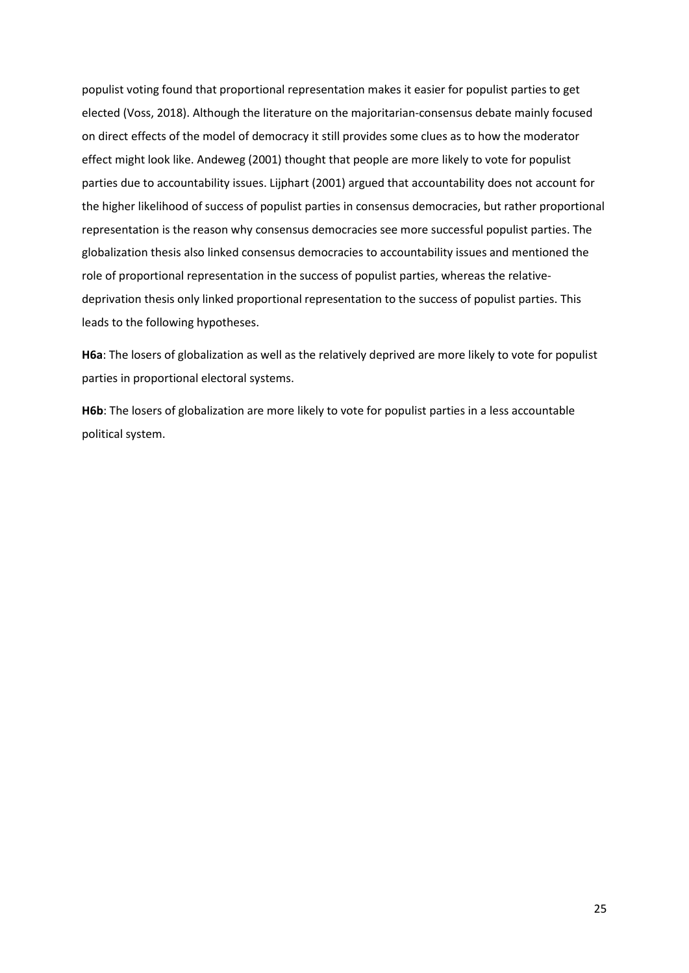populist voting found that proportional representation makes it easier for populist parties to get elected (Voss, 2018). Although the literature on the majoritarian-consensus debate mainly focused on direct effects of the model of democracy it still provides some clues as to how the moderator effect might look like. Andeweg (2001) thought that people are more likely to vote for populist parties due to accountability issues. Lijphart (2001) argued that accountability does not account for the higher likelihood of success of populist parties in consensus democracies, but rather proportional representation is the reason why consensus democracies see more successful populist parties. The globalization thesis also linked consensus democracies to accountability issues and mentioned the role of proportional representation in the success of populist parties, whereas the relativedeprivation thesis only linked proportional representation to the success of populist parties. This leads to the following hypotheses.

**H6a**: The losers of globalization as well as the relatively deprived are more likely to vote for populist parties in proportional electoral systems.

**H6b**: The losers of globalization are more likely to vote for populist parties in a less accountable political system.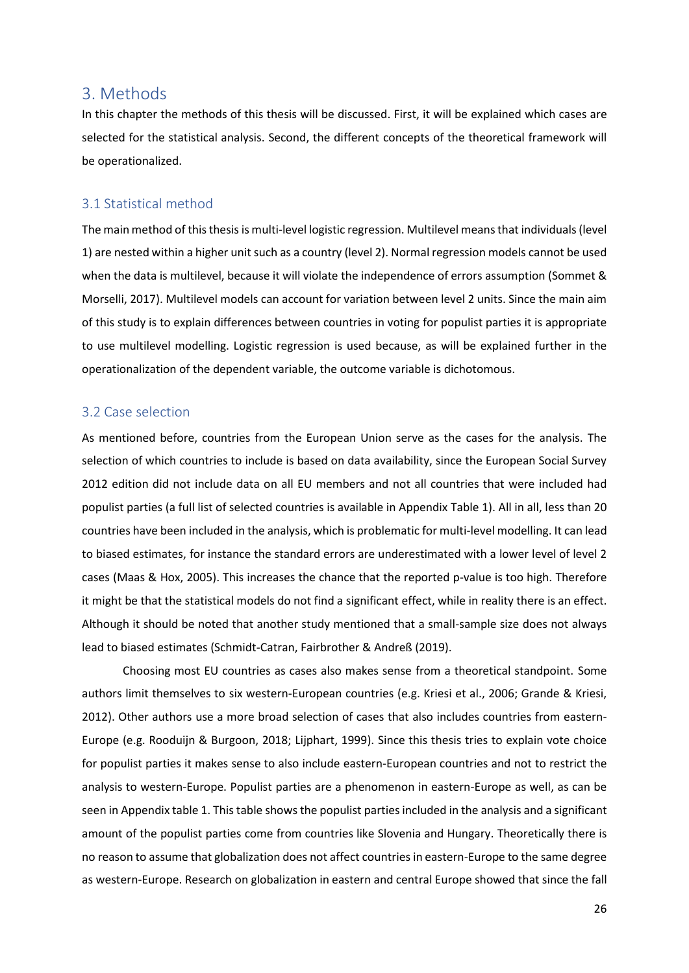### <span id="page-25-0"></span>3. Methods

In this chapter the methods of this thesis will be discussed. First, it will be explained which cases are selected for the statistical analysis. Second, the different concepts of the theoretical framework will be operationalized.

#### <span id="page-25-1"></span>3.1 Statistical method

The main method of this thesis is multi-level logistic regression. Multilevel means that individuals (level 1) are nested within a higher unit such as a country (level 2). Normal regression models cannot be used when the data is multilevel, because it will violate the independence of errors assumption (Sommet & Morselli, 2017). Multilevel models can account for variation between level 2 units. Since the main aim of this study is to explain differences between countries in voting for populist parties it is appropriate to use multilevel modelling. Logistic regression is used because, as will be explained further in the operationalization of the dependent variable, the outcome variable is dichotomous.

#### <span id="page-25-2"></span>3.2 Case selection

As mentioned before, countries from the European Union serve as the cases for the analysis. The selection of which countries to include is based on data availability, since the European Social Survey 2012 edition did not include data on all EU members and not all countries that were included had populist parties (a full list of selected countries is available in Appendix Table 1). All in all, less than 20 countries have been included in the analysis, which is problematic for multi-level modelling. It can lead to biased estimates, for instance the standard errors are underestimated with a lower level of level 2 cases (Maas & Hox, 2005). This increases the chance that the reported p-value is too high. Therefore it might be that the statistical models do not find a significant effect, while in reality there is an effect. Although it should be noted that another study mentioned that a small-sample size does not always lead to biased estimates (Schmidt-Catran, Fairbrother & Andreß (2019).

Choosing most EU countries as cases also makes sense from a theoretical standpoint. Some authors limit themselves to six western-European countries (e.g. Kriesi et al., 2006; Grande & Kriesi, 2012). Other authors use a more broad selection of cases that also includes countries from eastern-Europe (e.g. Rooduijn & Burgoon, 2018; Lijphart, 1999). Since this thesis tries to explain vote choice for populist parties it makes sense to also include eastern-European countries and not to restrict the analysis to western-Europe. Populist parties are a phenomenon in eastern-Europe as well, as can be seen in Appendix table 1. This table shows the populist parties included in the analysis and a significant amount of the populist parties come from countries like Slovenia and Hungary. Theoretically there is no reason to assume that globalization does not affect countries in eastern-Europe to the same degree as western-Europe. Research on globalization in eastern and central Europe showed that since the fall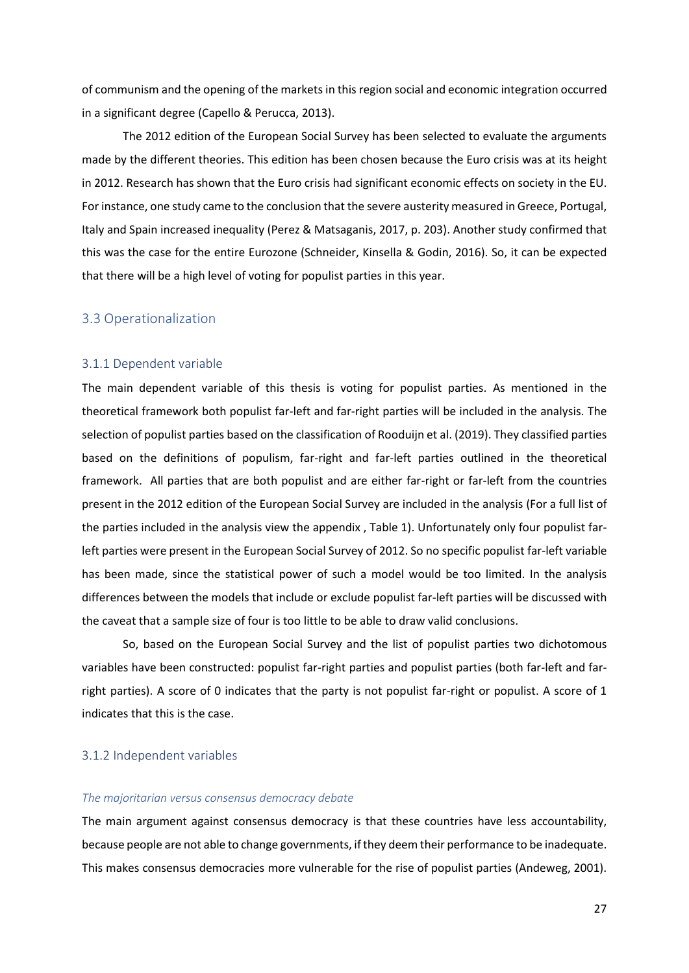of communism and the opening of the markets in this region social and economic integration occurred in a significant degree (Capello & Perucca, 2013).

The 2012 edition of the European Social Survey has been selected to evaluate the arguments made by the different theories. This edition has been chosen because the Euro crisis was at its height in 2012. Research has shown that the Euro crisis had significant economic effects on society in the EU. For instance, one study came to the conclusion that the severe austerity measured in Greece, Portugal, Italy and Spain increased inequality (Perez & Matsaganis, 2017, p. 203). Another study confirmed that this was the case for the entire Eurozone (Schneider, Kinsella & Godin, 2016). So, it can be expected that there will be a high level of voting for populist parties in this year.

#### <span id="page-26-0"></span>3.3 Operationalization

#### <span id="page-26-1"></span>3.1.1 Dependent variable

The main dependent variable of this thesis is voting for populist parties. As mentioned in the theoretical framework both populist far-left and far-right parties will be included in the analysis. The selection of populist parties based on the classification of Rooduijn et al. (2019). They classified parties based on the definitions of populism, far-right and far-left parties outlined in the theoretical framework. All parties that are both populist and are either far-right or far-left from the countries present in the 2012 edition of the European Social Survey are included in the analysis (For a full list of the parties included in the analysis view the appendix , Table 1). Unfortunately only four populist farleft parties were present in the European Social Survey of 2012. So no specific populist far-left variable has been made, since the statistical power of such a model would be too limited. In the analysis differences between the models that include or exclude populist far-left parties will be discussed with the caveat that a sample size of four is too little to be able to draw valid conclusions.

So, based on the European Social Survey and the list of populist parties two dichotomous variables have been constructed: populist far-right parties and populist parties (both far-left and farright parties). A score of 0 indicates that the party is not populist far-right or populist. A score of 1 indicates that this is the case.

#### <span id="page-26-2"></span>3.1.2 Independent variables

#### *The majoritarian versus consensus democracy debate*

The main argument against consensus democracy is that these countries have less accountability, because people are not able to change governments, if they deem their performance to be inadequate. This makes consensus democracies more vulnerable for the rise of populist parties (Andeweg, 2001).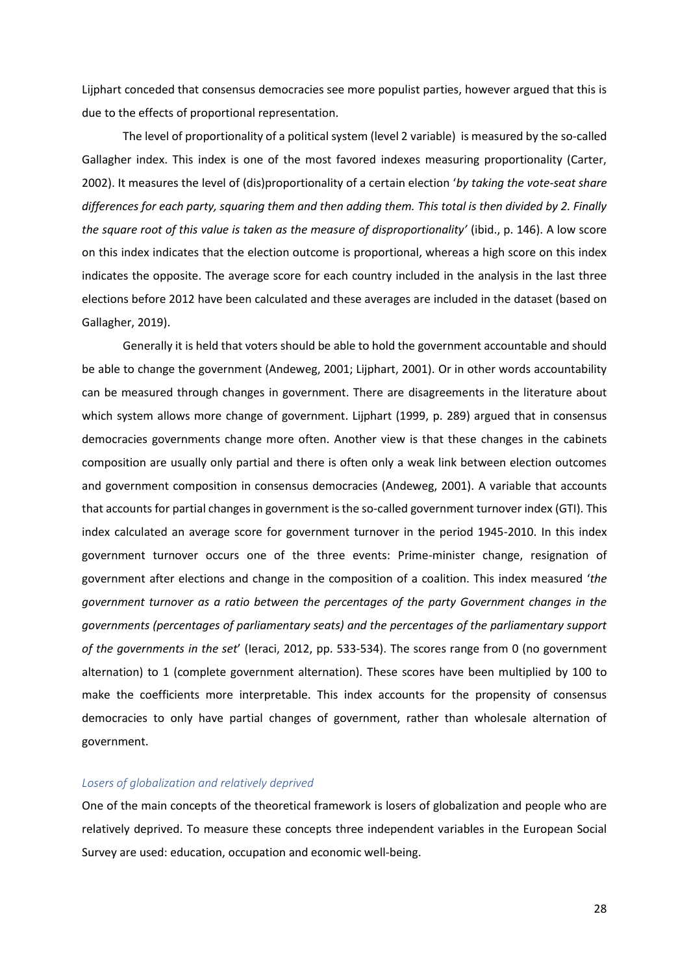Lijphart conceded that consensus democracies see more populist parties, however argued that this is due to the effects of proportional representation.

The level of proportionality of a political system (level 2 variable) is measured by the so-called Gallagher index. This index is one of the most favored indexes measuring proportionality (Carter, 2002). It measures the level of (dis)proportionality of a certain election '*by taking the vote-seat share differences for each party, squaring them and then adding them. This total is then divided by 2. Finally the square root of this value is taken as the measure of disproportionality'* (ibid., p. 146). A low score on this index indicates that the election outcome is proportional, whereas a high score on this index indicates the opposite. The average score for each country included in the analysis in the last three elections before 2012 have been calculated and these averages are included in the dataset (based on Gallagher, 2019).

Generally it is held that voters should be able to hold the government accountable and should be able to change the government (Andeweg, 2001; Lijphart, 2001). Or in other words accountability can be measured through changes in government. There are disagreements in the literature about which system allows more change of government. Lijphart (1999, p. 289) argued that in consensus democracies governments change more often. Another view is that these changes in the cabinets composition are usually only partial and there is often only a weak link between election outcomes and government composition in consensus democracies (Andeweg, 2001). A variable that accounts that accounts for partial changes in government is the so-called government turnover index (GTI). This index calculated an average score for government turnover in the period 1945-2010. In this index government turnover occurs one of the three events: Prime-minister change, resignation of government after elections and change in the composition of a coalition. This index measured '*the government turnover as a ratio between the percentages of the party Government changes in the governments (percentages of parliamentary seats) and the percentages of the parliamentary support of the governments in the set*' (Ieraci, 2012, pp. 533-534). The scores range from 0 (no government alternation) to 1 (complete government alternation). These scores have been multiplied by 100 to make the coefficients more interpretable. This index accounts for the propensity of consensus democracies to only have partial changes of government, rather than wholesale alternation of government.

#### *Losers of globalization and relatively deprived*

One of the main concepts of the theoretical framework is losers of globalization and people who are relatively deprived. To measure these concepts three independent variables in the European Social Survey are used: education, occupation and economic well-being.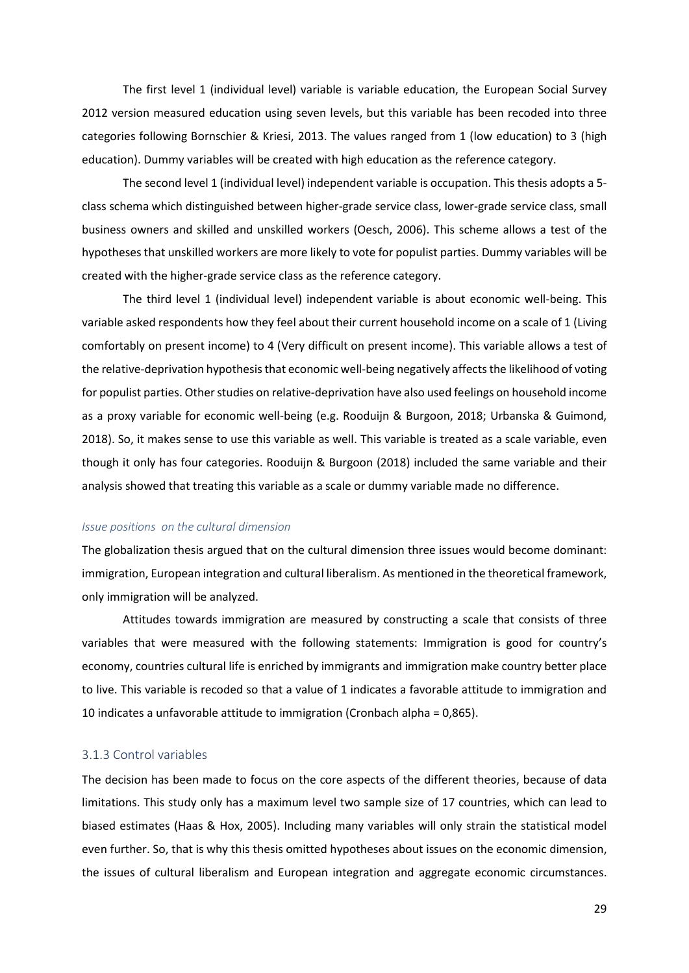The first level 1 (individual level) variable is variable education, the European Social Survey 2012 version measured education using seven levels, but this variable has been recoded into three categories following Bornschier & Kriesi, 2013. The values ranged from 1 (low education) to 3 (high education). Dummy variables will be created with high education as the reference category.

The second level 1 (individual level) independent variable is occupation. This thesis adopts a 5 class schema which distinguished between higher-grade service class, lower-grade service class, small business owners and skilled and unskilled workers (Oesch, 2006). This scheme allows a test of the hypotheses that unskilled workers are more likely to vote for populist parties. Dummy variables will be created with the higher-grade service class as the reference category.

The third level 1 (individual level) independent variable is about economic well-being. This variable asked respondents how they feel about their current household income on a scale of 1 (Living comfortably on present income) to 4 (Very difficult on present income). This variable allows a test of the relative-deprivation hypothesis that economic well-being negatively affects the likelihood of voting for populist parties. Other studies on relative-deprivation have also used feelings on household income as a proxy variable for economic well-being (e.g. Rooduijn & Burgoon, 2018; Urbanska & Guimond, 2018). So, it makes sense to use this variable as well. This variable is treated as a scale variable, even though it only has four categories. Rooduijn & Burgoon (2018) included the same variable and their analysis showed that treating this variable as a scale or dummy variable made no difference.

#### *Issue positions on the cultural dimension*

The globalization thesis argued that on the cultural dimension three issues would become dominant: immigration, European integration and cultural liberalism. As mentioned in the theoretical framework, only immigration will be analyzed.

Attitudes towards immigration are measured by constructing a scale that consists of three variables that were measured with the following statements: Immigration is good for country's economy, countries cultural life is enriched by immigrants and immigration make country better place to live. This variable is recoded so that a value of 1 indicates a favorable attitude to immigration and 10 indicates a unfavorable attitude to immigration (Cronbach alpha = 0,865).

#### <span id="page-28-0"></span>3.1.3 Control variables

The decision has been made to focus on the core aspects of the different theories, because of data limitations. This study only has a maximum level two sample size of 17 countries, which can lead to biased estimates (Haas & Hox, 2005). Including many variables will only strain the statistical model even further. So, that is why this thesis omitted hypotheses about issues on the economic dimension, the issues of cultural liberalism and European integration and aggregate economic circumstances.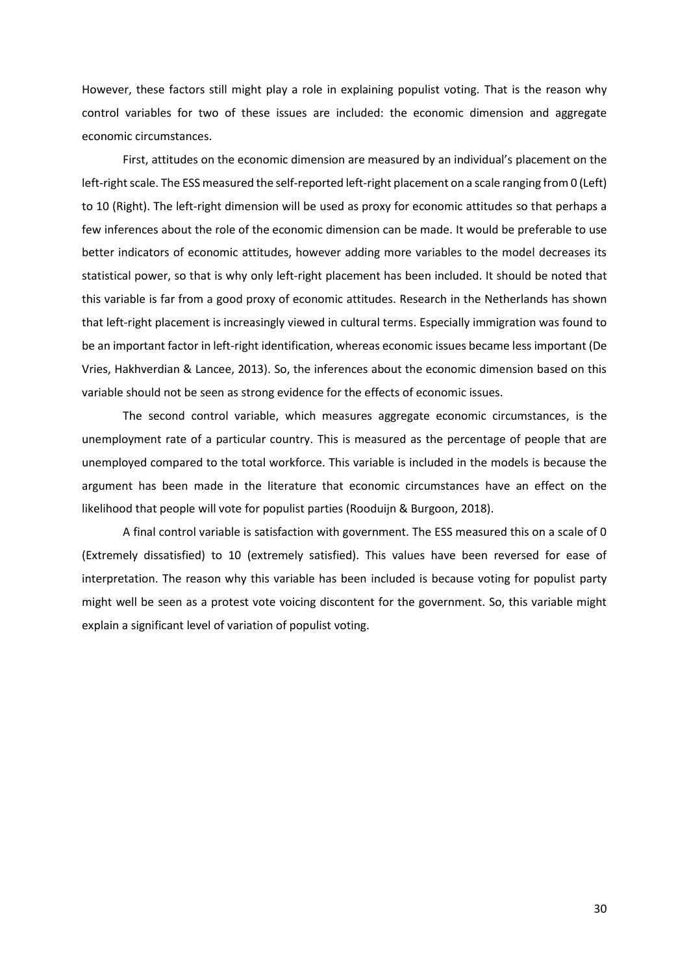However, these factors still might play a role in explaining populist voting. That is the reason why control variables for two of these issues are included: the economic dimension and aggregate economic circumstances.

First, attitudes on the economic dimension are measured by an individual's placement on the left-right scale. The ESS measured the self-reported left-right placement on a scale ranging from 0 (Left) to 10 (Right). The left-right dimension will be used as proxy for economic attitudes so that perhaps a few inferences about the role of the economic dimension can be made. It would be preferable to use better indicators of economic attitudes, however adding more variables to the model decreases its statistical power, so that is why only left-right placement has been included. It should be noted that this variable is far from a good proxy of economic attitudes. Research in the Netherlands has shown that left-right placement is increasingly viewed in cultural terms. Especially immigration was found to be an important factor in left-right identification, whereas economic issues became less important (De Vries, Hakhverdian & Lancee, 2013). So, the inferences about the economic dimension based on this variable should not be seen as strong evidence for the effects of economic issues.

The second control variable, which measures aggregate economic circumstances, is the unemployment rate of a particular country. This is measured as the percentage of people that are unemployed compared to the total workforce. This variable is included in the models is because the argument has been made in the literature that economic circumstances have an effect on the likelihood that people will vote for populist parties (Rooduijn & Burgoon, 2018).

A final control variable is satisfaction with government. The ESS measured this on a scale of 0 (Extremely dissatisfied) to 10 (extremely satisfied). This values have been reversed for ease of interpretation. The reason why this variable has been included is because voting for populist party might well be seen as a protest vote voicing discontent for the government. So, this variable might explain a significant level of variation of populist voting.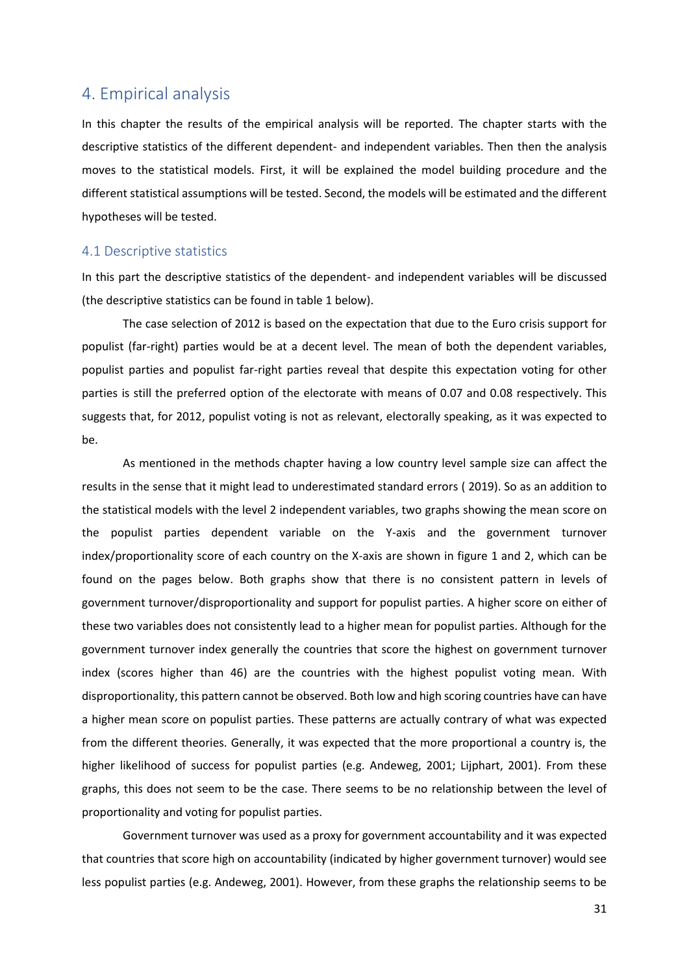## <span id="page-30-0"></span>4. Empirical analysis

In this chapter the results of the empirical analysis will be reported. The chapter starts with the descriptive statistics of the different dependent- and independent variables. Then then the analysis moves to the statistical models. First, it will be explained the model building procedure and the different statistical assumptions will be tested. Second, the models will be estimated and the different hypotheses will be tested.

#### <span id="page-30-1"></span>4.1 Descriptive statistics

In this part the descriptive statistics of the dependent- and independent variables will be discussed (the descriptive statistics can be found in table 1 below).

The case selection of 2012 is based on the expectation that due to the Euro crisis support for populist (far-right) parties would be at a decent level. The mean of both the dependent variables, populist parties and populist far-right parties reveal that despite this expectation voting for other parties is still the preferred option of the electorate with means of 0.07 and 0.08 respectively. This suggests that, for 2012, populist voting is not as relevant, electorally speaking, as it was expected to be.

As mentioned in the methods chapter having a low country level sample size can affect the results in the sense that it might lead to underestimated standard errors ( 2019). So as an addition to the statistical models with the level 2 independent variables, two graphs showing the mean score on the populist parties dependent variable on the Y-axis and the government turnover index/proportionality score of each country on the X-axis are shown in figure 1 and 2, which can be found on the pages below. Both graphs show that there is no consistent pattern in levels of government turnover/disproportionality and support for populist parties. A higher score on either of these two variables does not consistently lead to a higher mean for populist parties. Although for the government turnover index generally the countries that score the highest on government turnover index (scores higher than 46) are the countries with the highest populist voting mean. With disproportionality, this pattern cannot be observed. Both low and high scoring countries have can have a higher mean score on populist parties. These patterns are actually contrary of what was expected from the different theories. Generally, it was expected that the more proportional a country is, the higher likelihood of success for populist parties (e.g. Andeweg, 2001; Lijphart, 2001). From these graphs, this does not seem to be the case. There seems to be no relationship between the level of proportionality and voting for populist parties.

Government turnover was used as a proxy for government accountability and it was expected that countries that score high on accountability (indicated by higher government turnover) would see less populist parties (e.g. Andeweg, 2001). However, from these graphs the relationship seems to be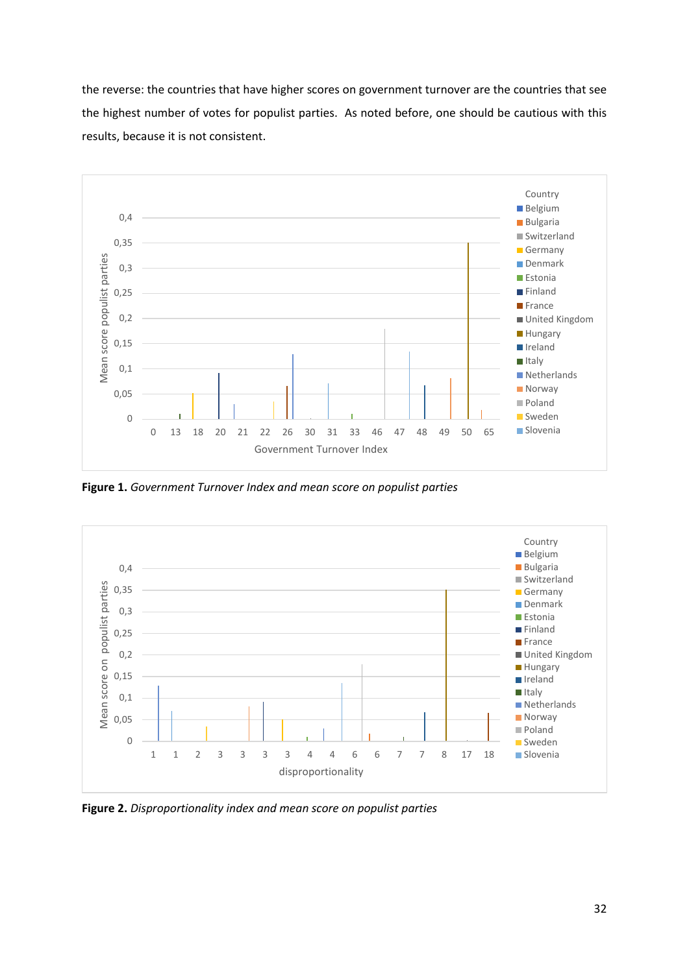the reverse: the countries that have higher scores on government turnover are the countries that see the highest number of votes for populist parties. As noted before, one should be cautious with this results, because it is not consistent.



**Figure 1.** *Government Turnover Index and mean score on populist parties*



**Figure 2.** *Disproportionality index and mean score on populist parties*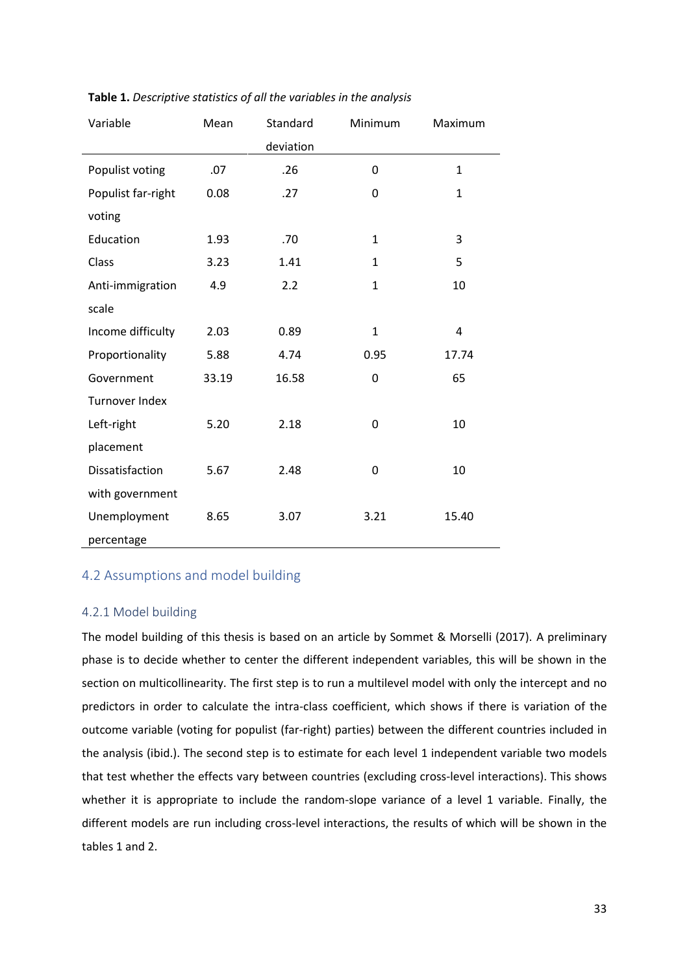| Variable           | Mean  | Standard  | Minimum      | Maximum      |
|--------------------|-------|-----------|--------------|--------------|
|                    |       | deviation |              |              |
| Populist voting    | .07   | .26       | 0            | $\mathbf{1}$ |
| Populist far-right | 0.08  | .27       | 0            | $\mathbf{1}$ |
| voting             |       |           |              |              |
| Education          | 1.93  | .70       | $\mathbf{1}$ | 3            |
| Class              | 3.23  | 1.41      | $\mathbf{1}$ | 5            |
| Anti-immigration   | 4.9   | 2.2       | $\mathbf{1}$ | 10           |
| scale              |       |           |              |              |
| Income difficulty  | 2.03  | 0.89      | $\mathbf{1}$ | 4            |
| Proportionality    | 5.88  | 4.74      | 0.95         | 17.74        |
| Government         | 33.19 | 16.58     | 0            | 65           |
| Turnover Index     |       |           |              |              |
| Left-right         | 5.20  | 2.18      | 0            | 10           |
| placement          |       |           |              |              |
| Dissatisfaction    | 5.67  | 2.48      | 0            | 10           |
| with government    |       |           |              |              |
| Unemployment       | 8.65  | 3.07      | 3.21         | 15.40        |
| percentage         |       |           |              |              |

**Table 1.** *Descriptive statistics of all the variables in the analysis*

### <span id="page-32-0"></span>4.2 Assumptions and model building

#### <span id="page-32-1"></span>4.2.1 Model building

The model building of this thesis is based on an article by Sommet & Morselli (2017). A preliminary phase is to decide whether to center the different independent variables, this will be shown in the section on multicollinearity. The first step is to run a multilevel model with only the intercept and no predictors in order to calculate the intra-class coefficient, which shows if there is variation of the outcome variable (voting for populist (far-right) parties) between the different countries included in the analysis (ibid.). The second step is to estimate for each level 1 independent variable two models that test whether the effects vary between countries (excluding cross-level interactions). This shows whether it is appropriate to include the random-slope variance of a level 1 variable. Finally, the different models are run including cross-level interactions, the results of which will be shown in the tables 1 and 2.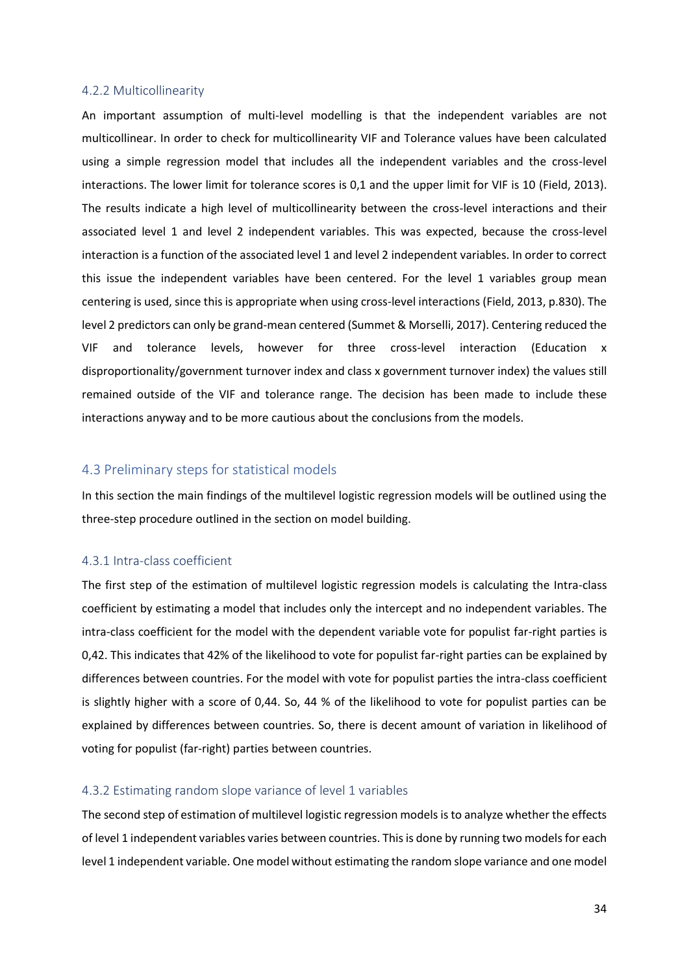#### <span id="page-33-0"></span>4.2.2 Multicollinearity

An important assumption of multi-level modelling is that the independent variables are not multicollinear. In order to check for multicollinearity VIF and Tolerance values have been calculated using a simple regression model that includes all the independent variables and the cross-level interactions. The lower limit for tolerance scores is 0,1 and the upper limit for VIF is 10 (Field, 2013). The results indicate a high level of multicollinearity between the cross-level interactions and their associated level 1 and level 2 independent variables. This was expected, because the cross-level interaction is a function of the associated level 1 and level 2 independent variables. In order to correct this issue the independent variables have been centered. For the level 1 variables group mean centering is used, since this is appropriate when using cross-level interactions (Field, 2013, p.830). The level 2 predictors can only be grand-mean centered (Summet & Morselli, 2017). Centering reduced the VIF and tolerance levels, however for three cross-level interaction (Education x disproportionality/government turnover index and class x government turnover index) the values still remained outside of the VIF and tolerance range. The decision has been made to include these interactions anyway and to be more cautious about the conclusions from the models.

#### <span id="page-33-1"></span>4.3 Preliminary steps for statistical models

In this section the main findings of the multilevel logistic regression models will be outlined using the three-step procedure outlined in the section on model building.

#### <span id="page-33-2"></span>4.3.1 Intra-class coefficient

The first step of the estimation of multilevel logistic regression models is calculating the Intra-class coefficient by estimating a model that includes only the intercept and no independent variables. The intra-class coefficient for the model with the dependent variable vote for populist far-right parties is 0,42. This indicates that 42% of the likelihood to vote for populist far-right parties can be explained by differences between countries. For the model with vote for populist parties the intra-class coefficient is slightly higher with a score of 0,44. So, 44 % of the likelihood to vote for populist parties can be explained by differences between countries. So, there is decent amount of variation in likelihood of voting for populist (far-right) parties between countries.

#### <span id="page-33-3"></span>4.3.2 Estimating random slope variance of level 1 variables

The second step of estimation of multilevel logistic regression models is to analyze whether the effects of level 1 independent variables varies between countries. This is done by running two models for each level 1 independent variable. One model without estimating the random slope variance and one model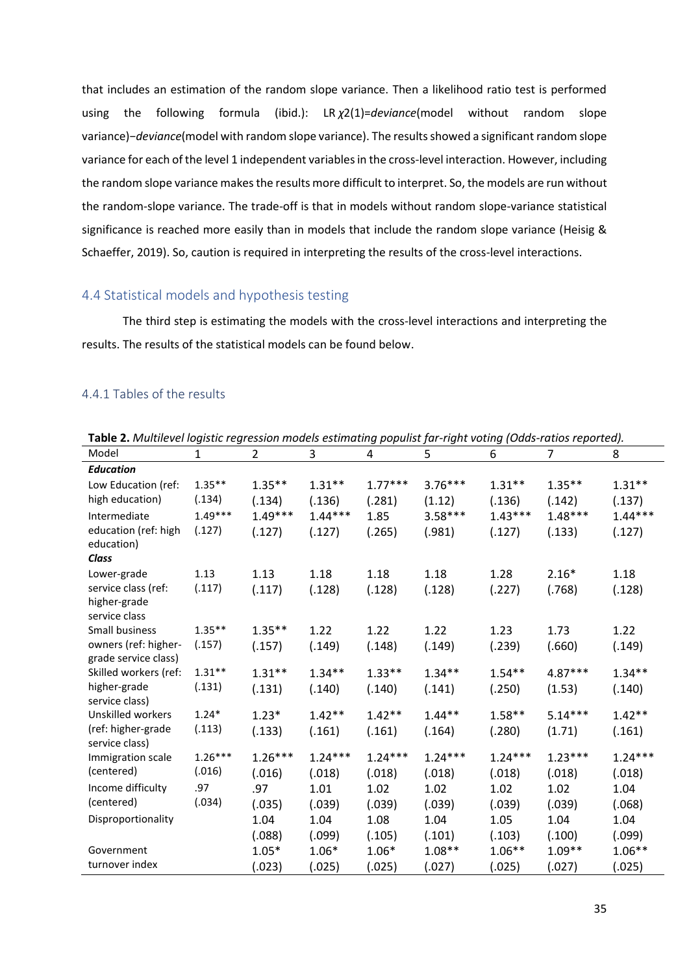that includes an estimation of the random slope variance. Then a likelihood ratio test is performed using the following formula (ibid.): LR *χ*2(1)=*deviance*(model without random slope variance)−*deviance*(model with random slope variance). The results showed a significant random slope variance for each of the level 1 independent variables in the cross-level interaction. However, including the random slope variance makes the results more difficult to interpret. So, the models are run without the random-slope variance. The trade-off is that in models without random slope-variance statistical significance is reached more easily than in models that include the random slope variance (Heisig & Schaeffer, 2019). So, caution is required in interpreting the results of the cross-level interactions.

#### <span id="page-34-0"></span>4.4 Statistical models and hypothesis testing

The third step is estimating the models with the cross-level interactions and interpreting the results. The results of the statistical models can be found below.

#### <span id="page-34-1"></span>4.4.1 Tables of the results

| Model                           | $\mathbf{1}$ | $\overline{2}$ | 3         | 4         | 5         | 6         | $\overline{7}$ | 8         |
|---------------------------------|--------------|----------------|-----------|-----------|-----------|-----------|----------------|-----------|
| <b>Education</b>                |              |                |           |           |           |           |                |           |
| Low Education (ref:             | $1.35**$     | $1.35***$      | $1.31**$  | $1.77***$ | $3.76***$ | $1.31**$  | $1.35***$      | $1.31**$  |
| high education)                 | (.134)       | (.134)         | (.136)    | (.281)    | (1.12)    | (.136)    | (.142)         | (.137)    |
| Intermediate                    | $1.49***$    | $1.49***$      | $1.44***$ | 1.85      | $3.58***$ | $1.43***$ | $1.48***$      | $1.44***$ |
| education (ref: high            | (.127)       | (.127)         | (.127)    | (.265)    | (.981)    | (.127)    | (.133)         | (.127)    |
| education)                      |              |                |           |           |           |           |                |           |
| Class                           |              |                |           |           |           |           |                |           |
| Lower-grade                     | 1.13         | 1.13           | 1.18      | 1.18      | 1.18      | 1.28      | $2.16*$        | 1.18      |
| service class (ref:             | (.117)       | (.117)         | (.128)    | (.128)    | (.128)    | (.227)    | (.768)         | (.128)    |
| higher-grade                    |              |                |           |           |           |           |                |           |
| service class<br>Small business | $1.35***$    | $1.35***$      |           |           |           |           |                |           |
| owners (ref: higher-            | (.157)       |                | 1.22      | 1.22      | 1.22      | 1.23      | 1.73           | 1.22      |
| grade service class)            |              | (.157)         | (.149)    | (.148)    | (.149)    | (.239)    | (.660)         | (.149)    |
| Skilled workers (ref:           | $1.31**$     | $1.31**$       | $1.34**$  | $1.33***$ | $1.34**$  | $1.54**$  | $4.87***$      | $1.34**$  |
| higher-grade                    | (.131)       | (.131)         | (.140)    | (.140)    | (.141)    | (.250)    | (1.53)         | (.140)    |
| service class)                  |              |                |           |           |           |           |                |           |
| Unskilled workers               | $1.24*$      | $1.23*$        | $1.42**$  | $1.42**$  | $1.44**$  | $1.58***$ | $5.14***$      | $1.42**$  |
| (ref: higher-grade              | (.113)       | (.133)         | (.161)    | (.161)    | (.164)    | (.280)    | (1.71)         | (.161)    |
| service class)                  |              |                |           |           |           |           |                |           |
| Immigration scale               | $1.26***$    | $1.26***$      | $1.24***$ | $1.24***$ | $1.24***$ | $1.24***$ | $1.23***$      | $1.24***$ |
| (centered)                      | (.016)       | (.016)         | (.018)    | (.018)    | (.018)    | (.018)    | (.018)         | (.018)    |
| Income difficulty               | .97          | .97            | 1.01      | 1.02      | 1.02      | 1.02      | 1.02           | 1.04      |
| (centered)                      | (.034)       | (.035)         | (.039)    | (.039)    | (.039)    | (.039)    | (.039)         | (.068)    |
| Disproportionality              |              | 1.04           | 1.04      | 1.08      | 1.04      | 1.05      | 1.04           | 1.04      |
|                                 |              | (.088)         | (.099)    | (.105)    | (.101)    | (.103)    | (.100)         | (.099)    |
| Government                      |              | $1.05*$        | $1.06*$   | $1.06*$   | $1.08**$  | $1.06**$  | $1.09**$       | $1.06**$  |
| turnover index                  |              | (.023)         | (.025)    | (.025)    | (.027)    | (.025)    | (.027)         | (.025)    |

**Table 2.** *Multilevel logistic regression models estimating populist far-right voting (Odds-ratios reported).*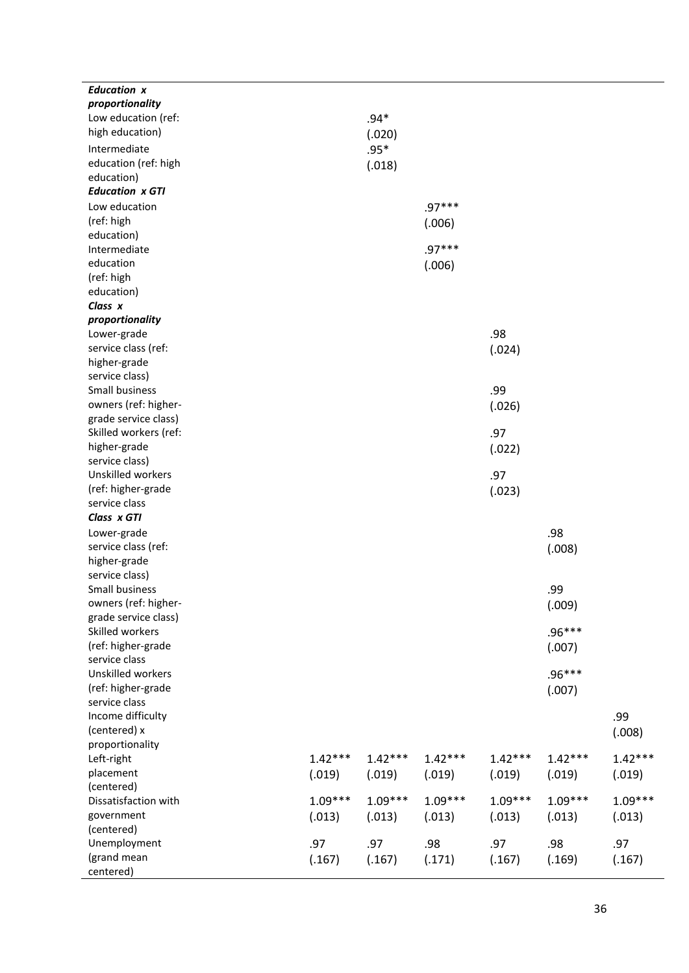| <b>Education x</b>                 |           |           |           |           |           |           |
|------------------------------------|-----------|-----------|-----------|-----------|-----------|-----------|
| proportionality                    |           |           |           |           |           |           |
| Low education (ref:                |           | $.94*$    |           |           |           |           |
| high education)                    |           | (.020)    |           |           |           |           |
| Intermediate                       |           | $.95*$    |           |           |           |           |
| education (ref: high               |           | (.018)    |           |           |           |           |
| education)                         |           |           |           |           |           |           |
| <b>Education x GTI</b>             |           |           |           |           |           |           |
|                                    |           |           | $.97***$  |           |           |           |
| Low education                      |           |           |           |           |           |           |
| (ref: high                         |           |           | (.006)    |           |           |           |
| education)                         |           |           |           |           |           |           |
| Intermediate                       |           |           | $.97***$  |           |           |           |
| education                          |           |           | (.006)    |           |           |           |
| (ref: high                         |           |           |           |           |           |           |
| education)                         |           |           |           |           |           |           |
| Class x                            |           |           |           |           |           |           |
| proportionality                    |           |           |           |           |           |           |
| Lower-grade                        |           |           |           | .98       |           |           |
| service class (ref:                |           |           |           | (.024)    |           |           |
| higher-grade                       |           |           |           |           |           |           |
| service class)                     |           |           |           |           |           |           |
| Small business                     |           |           |           | .99       |           |           |
| owners (ref: higher-               |           |           |           | (.026)    |           |           |
| grade service class)               |           |           |           |           |           |           |
| Skilled workers (ref:              |           |           |           | .97       |           |           |
| higher-grade                       |           |           |           | (.022)    |           |           |
| service class)                     |           |           |           |           |           |           |
| Unskilled workers                  |           |           |           | .97       |           |           |
| (ref: higher-grade                 |           |           |           |           |           |           |
| service class                      |           |           |           | (.023)    |           |           |
|                                    |           |           |           |           |           |           |
| Class x GTI                        |           |           |           |           |           |           |
| Lower-grade                        |           |           |           |           | .98       |           |
| service class (ref:                |           |           |           |           | (.008)    |           |
| higher-grade                       |           |           |           |           |           |           |
| service class)                     |           |           |           |           |           |           |
| Small business                     |           |           |           |           | .99       |           |
| owners (ref: higher-               |           |           |           |           | (.009)    |           |
| grade service class)               |           |           |           |           |           |           |
| Skilled workers                    |           |           |           |           | .96***    |           |
| (ref: higher-grade                 |           |           |           |           | (.007)    |           |
| service class                      |           |           |           |           |           |           |
| Unskilled workers                  |           |           |           |           | $.96***$  |           |
| (ref: higher-grade                 |           |           |           |           | (.007)    |           |
| service class                      |           |           |           |           |           |           |
| Income difficulty                  |           |           |           |           |           | .99       |
| (centered) x                       |           |           |           |           |           | (.008)    |
| proportionality                    |           |           |           |           |           |           |
| Left-right                         | $1.42***$ | $1.42***$ | $1.42***$ | $1.42***$ | $1.42***$ | $1.42***$ |
| placement                          |           |           |           |           |           |           |
|                                    | (.019)    | (.019)    | (.019)    | (.019)    | (.019)    | (.019)    |
| (centered)<br>Dissatisfaction with |           |           |           |           |           |           |
|                                    | $1.09***$ | $1.09***$ | $1.09***$ | $1.09***$ | $1.09***$ | $1.09***$ |
| government                         | (.013)    | (.013)    | (.013)    | (.013)    | (.013)    | (.013)    |
| (centered)                         |           |           |           |           |           |           |
| Unemployment                       | .97       | .97       | .98       | .97       | .98       | .97       |
| (grand mean                        | (.167)    | (.167)    | (.171)    | (.167)    | (.169)    | (.167)    |
| centered)                          |           |           |           |           |           |           |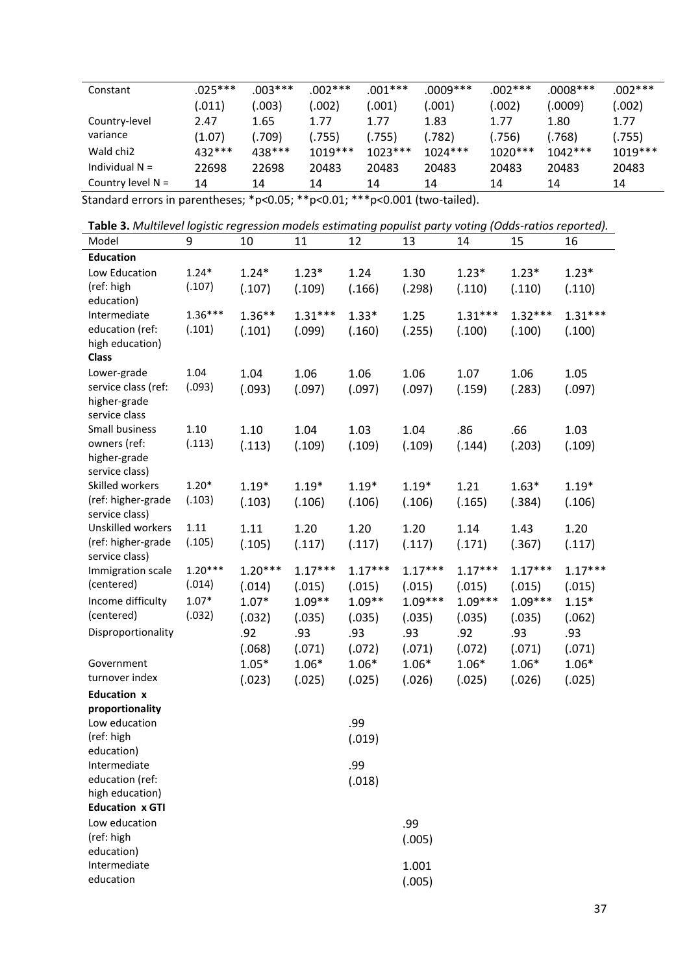| Constant              | $.025***$ | .003*** | .002***   | .001***   | .0009***  | $.002***$ | $.0008***$ | $.002***$ |
|-----------------------|-----------|---------|-----------|-----------|-----------|-----------|------------|-----------|
|                       | (.011)    | 003)    | .002)     | 0.001)    | .001)     | (.002)    | (.0009)    | (.002)    |
| Country-level         | 2.47      | 1.65    | 1.77      | 1.77      | 1.83      | 1.77      | 1.80       | 1.77      |
| variance              | (1.07)    | .709)   | .755)     | (.755)    | .782)     | (.756)    | .768)      | (.755)    |
| Wald chi <sub>2</sub> | 432 ***   | 438 *** | $1019***$ | $1023***$ | $1024***$ | $1020***$ | $1042***$  | $1019***$ |
| Individual $N =$      | 22698     | 22698   | 20483     | 20483     | 20483     | 20483     | 20483      | 20483     |
| Country level $N =$   | 14        | 14      | 14        | 14        | 14        | 14        | 14         | 14        |

Standard errors in parentheses; \*p<0.05; \*\*p<0.01; \*\*\*p<0.001 (two-tailed).

**Table 3.** *Multilevel logistic regression models estimating populist party voting (Odds-ratios reported).*

| Model                                 | 9                 | 10        | 11        | 12        | 13        | 14        | 15        | 16        |
|---------------------------------------|-------------------|-----------|-----------|-----------|-----------|-----------|-----------|-----------|
| <b>Education</b>                      |                   |           |           |           |           |           |           |           |
| Low Education                         | $1.24*$           | $1.24*$   | $1.23*$   | 1.24      | 1.30      | $1.23*$   | $1.23*$   | $1.23*$   |
| (ref: high                            | (.107)            | (.107)    | (.109)    | (.166)    | (.298)    | (.110)    | (.110)    | (.110)    |
| education)                            |                   |           |           |           |           |           |           |           |
| Intermediate                          | $1.36***$         | $1.36**$  | $1.31***$ | $1.33*$   | 1.25      | $1.31***$ | $1.32***$ | $1.31***$ |
| education (ref:<br>high education)    | (.101)            | (.101)    | (.099)    | (.160)    | (.255)    | (.100)    | (.100)    | (.100)    |
| <b>Class</b>                          |                   |           |           |           |           |           |           |           |
| Lower-grade                           | 1.04              | 1.04      | 1.06      | 1.06      | 1.06      | 1.07      | 1.06      | 1.05      |
| service class (ref:                   | (.093)            | (.093)    | (.097)    | (.097)    | (.097)    | (.159)    | (.283)    | (.097)    |
| higher-grade                          |                   |           |           |           |           |           |           |           |
| service class                         |                   |           |           |           |           |           |           |           |
| Small business                        | 1.10              | 1.10      | 1.04      | 1.03      | 1.04      | .86       | .66       | 1.03      |
| owners (ref:                          | (.113)            | (.113)    | (.109)    | (.109)    | (.109)    | (.144)    | (.203)    | (.109)    |
| higher-grade                          |                   |           |           |           |           |           |           |           |
| service class)                        |                   |           |           |           |           |           |           |           |
| Skilled workers<br>(ref: higher-grade | $1.20*$<br>(.103) | $1.19*$   | $1.19*$   | $1.19*$   | $1.19*$   | 1.21      | $1.63*$   | $1.19*$   |
| service class)                        |                   | (.103)    | (.106)    | (.106)    | (.106)    | (.165)    | (.384)    | (.106)    |
| Unskilled workers                     | 1.11              | 1.11      | 1.20      | 1.20      | 1.20      | 1.14      | 1.43      | 1.20      |
| (ref: higher-grade                    | (.105)            | (.105)    | (.117)    | (.117)    | (.117)    | (.171)    | (.367)    | (.117)    |
| service class)                        |                   |           |           |           |           |           |           |           |
| Immigration scale                     | $1.20***$         | $1.20***$ | $1.17***$ | $1.17***$ | $1.17***$ | $1.17***$ | $1.17***$ | $1.17***$ |
| (centered)                            | (.014)            | (.014)    | (.015)    | (.015)    | (.015)    | (.015)    | (.015)    | (.015)    |
| Income difficulty                     | $1.07*$           | $1.07*$   | $1.09**$  | $1.09**$  | $1.09***$ | $1.09***$ | $1.09***$ | $1.15*$   |
| (centered)                            | (.032)            | (.032)    | (.035)    | (.035)    | (.035)    | (.035)    | (.035)    | (.062)    |
| Disproportionality                    |                   | .92       | .93       | .93       | .93       | .92       | .93       | .93       |
|                                       |                   | (.068)    | (.071)    | (.072)    | (.071)    | (.072)    | (.071)    | (.071)    |
| Government                            |                   | $1.05*$   | $1.06*$   | $1.06*$   | $1.06*$   | $1.06*$   | $1.06*$   | $1.06*$   |
| turnover index                        |                   | (.023)    | (.025)    | (.025)    | (.026)    | (.025)    | (.026)    | (.025)    |
| <b>Education x</b>                    |                   |           |           |           |           |           |           |           |
| proportionality                       |                   |           |           |           |           |           |           |           |
| Low education                         |                   |           |           | .99       |           |           |           |           |
| (ref: high<br>education)              |                   |           |           | (.019)    |           |           |           |           |
| Intermediate                          |                   |           |           | .99       |           |           |           |           |
| education (ref:                       |                   |           |           | (.018)    |           |           |           |           |
| high education)                       |                   |           |           |           |           |           |           |           |
| <b>Education x GTI</b>                |                   |           |           |           |           |           |           |           |
| Low education                         |                   |           |           |           | .99       |           |           |           |
| (ref: high                            |                   |           |           |           | (.005)    |           |           |           |
| education)                            |                   |           |           |           |           |           |           |           |
| Intermediate                          |                   |           |           |           | 1.001     |           |           |           |
| education                             |                   |           |           |           | (.005)    |           |           |           |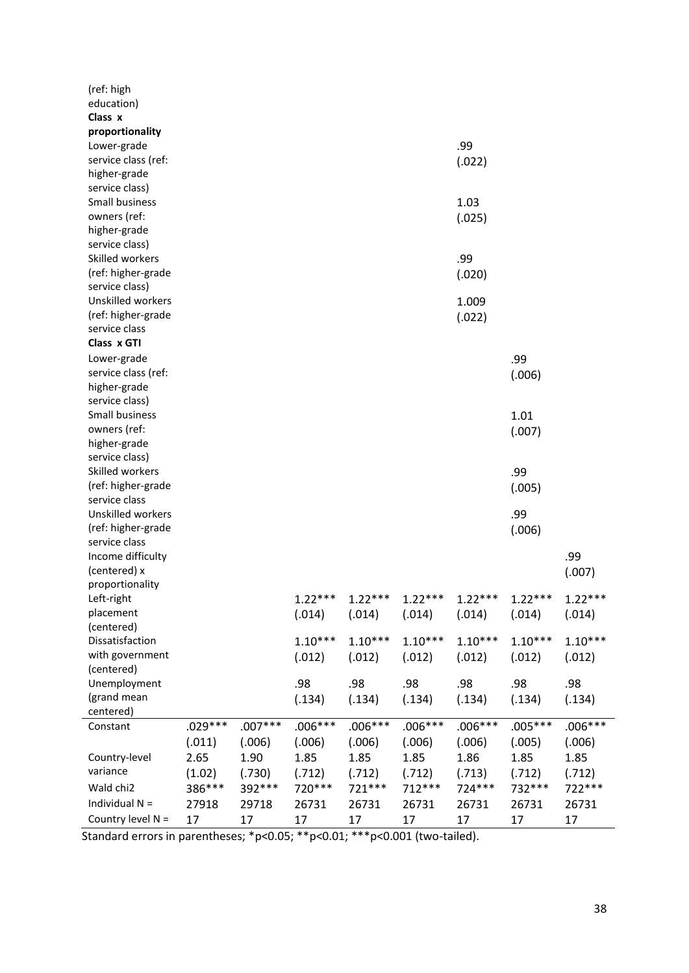| (ref: high<br>education)<br>Class x<br>proportionality                    |                             |                             |                             |                             |                             |                             |                             |                             |
|---------------------------------------------------------------------------|-----------------------------|-----------------------------|-----------------------------|-----------------------------|-----------------------------|-----------------------------|-----------------------------|-----------------------------|
| Lower-grade<br>service class (ref:<br>higher-grade                        |                             |                             |                             |                             |                             | .99<br>(.022)               |                             |                             |
| service class)<br>Small business<br>owners (ref:<br>higher-grade          |                             |                             |                             |                             |                             | 1.03<br>(.025)              |                             |                             |
| service class)<br>Skilled workers<br>(ref: higher-grade<br>service class) |                             |                             |                             |                             |                             | .99<br>(.020)               |                             |                             |
| Unskilled workers<br>(ref: higher-grade<br>service class                  |                             |                             |                             |                             |                             | 1.009<br>(.022)             |                             |                             |
| Class x GTI<br>Lower-grade<br>service class (ref:<br>higher-grade         |                             |                             |                             |                             |                             |                             | .99<br>(.006)               |                             |
| service class)<br>Small business<br>owners (ref:<br>higher-grade          |                             |                             |                             |                             |                             |                             | 1.01<br>(.007)              |                             |
| service class)<br>Skilled workers<br>(ref: higher-grade<br>service class  |                             |                             |                             |                             |                             |                             | .99<br>(.005)               |                             |
| Unskilled workers<br>(ref: higher-grade<br>service class                  |                             |                             |                             |                             |                             |                             | .99<br>(.006)               |                             |
| Income difficulty<br>(centered) x<br>proportionality                      |                             |                             |                             |                             |                             |                             |                             | .99<br>(.007)               |
| Left-right<br>placement<br>(centered)                                     |                             |                             | $1.22***$<br>(.014)         | $1.22***$<br>(.014)         | $1.22***$<br>(.014)         | $1.22***$<br>(.014)         | $1.22***$<br>(.014)         | $1.22***$<br>(.014)         |
| Dissatisfaction<br>with government<br>(centered)                          |                             |                             | $1.10***$<br>(.012)         | $1.10***$<br>(.012)         | $1.10***$<br>(.012)         | $1.10***$<br>(.012)         | $1.10***$<br>(.012)         | $1.10***$<br>(.012)         |
| Unemployment<br>(grand mean<br>centered)                                  |                             |                             | .98<br>(.134)               | .98<br>(.134)               | .98<br>(.134)               | .98<br>(.134)               | .98<br>(.134)               | .98<br>(.134)               |
| Constant<br>Country-level                                                 | $.029***$<br>(.011)<br>2.65 | $.007***$<br>(.006)<br>1.90 | $.006***$<br>(.006)<br>1.85 | $.006***$<br>(.006)<br>1.85 | $.006***$<br>(.006)<br>1.85 | $.006***$<br>(.006)<br>1.86 | $.005***$<br>(.005)<br>1.85 | $.006***$<br>(.006)<br>1.85 |
| variance<br>Wald chi2<br>Individual $N =$                                 | (1.02)<br>386***<br>27918   | (.730)<br>392 ***<br>29718  | (.712)<br>720***<br>26731   | (.712)<br>721 ***<br>26731  | (.712)<br>712 ***<br>26731  | (.713)<br>724 ***<br>26731  | (.712)<br>732 ***<br>26731  | (.712)<br>722 ***<br>26731  |
| Country level N =                                                         | 17                          | 17                          | 17                          | 17                          | 17                          | 17                          | 17                          | 17                          |

Standard errors in parentheses; \*p<0.05; \*\*p<0.01; \*\*\*p<0.001 (two-tailed).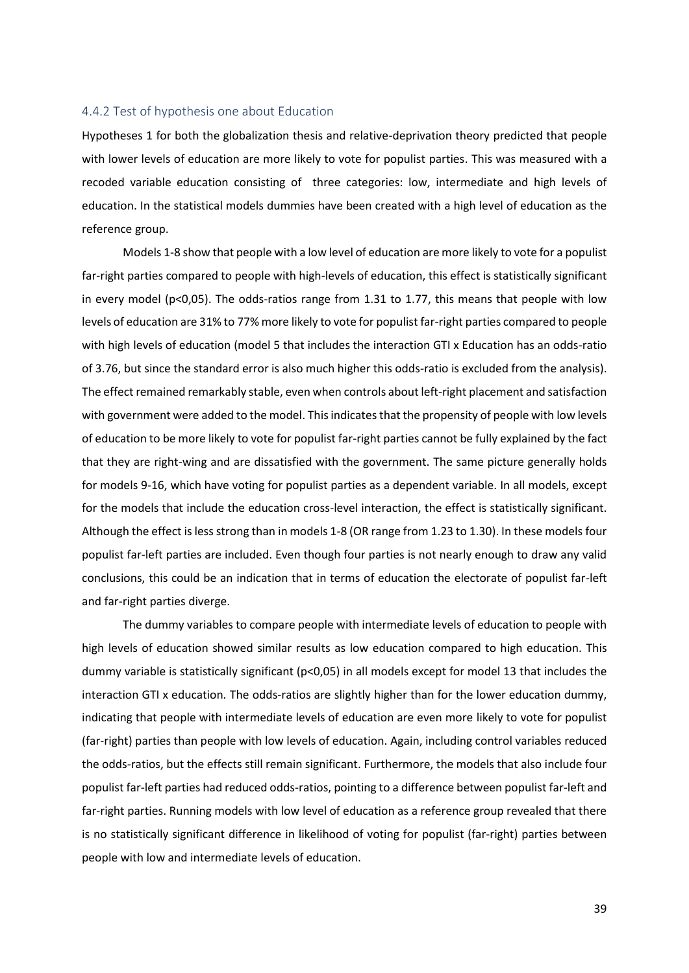#### <span id="page-38-0"></span>4.4.2 Test of hypothesis one about Education

Hypotheses 1 for both the globalization thesis and relative-deprivation theory predicted that people with lower levels of education are more likely to vote for populist parties. This was measured with a recoded variable education consisting of three categories: low, intermediate and high levels of education. In the statistical models dummies have been created with a high level of education as the reference group.

Models 1-8 show that people with a low level of education are more likely to vote for a populist far-right parties compared to people with high-levels of education, this effect is statistically significant in every model (p<0,05). The odds-ratios range from 1.31 to 1.77, this means that people with low levels of education are 31% to 77% more likely to vote for populist far-right parties compared to people with high levels of education (model 5 that includes the interaction GTI x Education has an odds-ratio of 3.76, but since the standard error is also much higher this odds-ratio is excluded from the analysis). The effect remained remarkably stable, even when controls about left-right placement and satisfaction with government were added to the model. This indicates that the propensity of people with low levels of education to be more likely to vote for populist far-right parties cannot be fully explained by the fact that they are right-wing and are dissatisfied with the government. The same picture generally holds for models 9-16, which have voting for populist parties as a dependent variable. In all models, except for the models that include the education cross-level interaction, the effect is statistically significant. Although the effect is less strong than in models 1-8 (OR range from 1.23 to 1.30). In these models four populist far-left parties are included. Even though four parties is not nearly enough to draw any valid conclusions, this could be an indication that in terms of education the electorate of populist far-left and far-right parties diverge.

The dummy variables to compare people with intermediate levels of education to people with high levels of education showed similar results as low education compared to high education. This dummy variable is statistically significant (p<0,05) in all models except for model 13 that includes the interaction GTI x education. The odds-ratios are slightly higher than for the lower education dummy, indicating that people with intermediate levels of education are even more likely to vote for populist (far-right) parties than people with low levels of education. Again, including control variables reduced the odds-ratios, but the effects still remain significant. Furthermore, the models that also include four populist far-left parties had reduced odds-ratios, pointing to a difference between populist far-left and far-right parties. Running models with low level of education as a reference group revealed that there is no statistically significant difference in likelihood of voting for populist (far-right) parties between people with low and intermediate levels of education.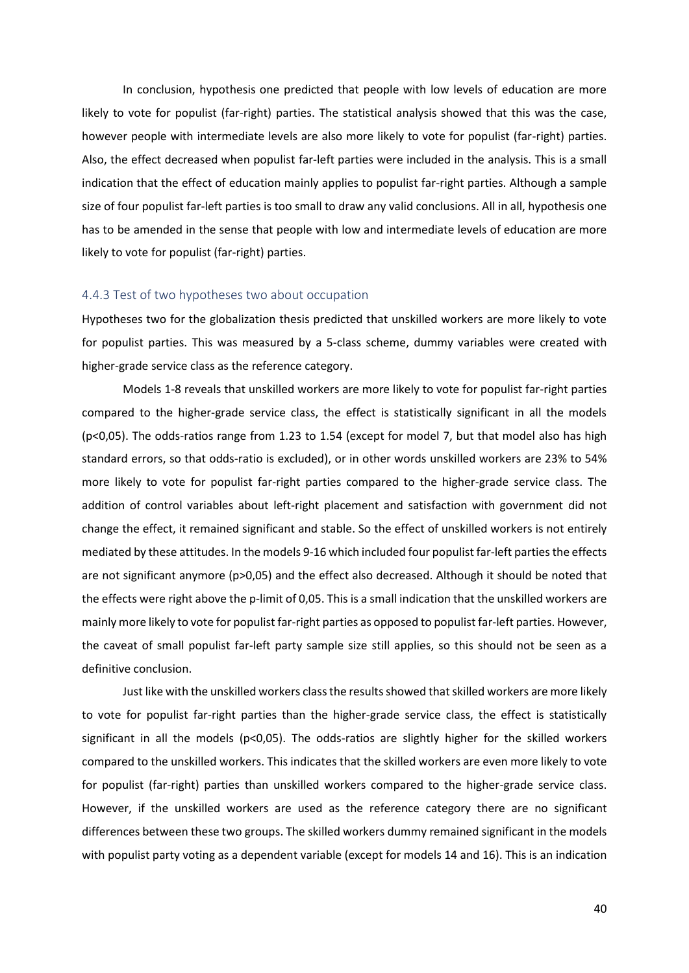In conclusion, hypothesis one predicted that people with low levels of education are more likely to vote for populist (far-right) parties. The statistical analysis showed that this was the case, however people with intermediate levels are also more likely to vote for populist (far-right) parties. Also, the effect decreased when populist far-left parties were included in the analysis. This is a small indication that the effect of education mainly applies to populist far-right parties. Although a sample size of four populist far-left parties is too small to draw any valid conclusions. All in all, hypothesis one has to be amended in the sense that people with low and intermediate levels of education are more likely to vote for populist (far-right) parties.

#### <span id="page-39-0"></span>4.4.3 Test of two hypotheses two about occupation

Hypotheses two for the globalization thesis predicted that unskilled workers are more likely to vote for populist parties. This was measured by a 5-class scheme, dummy variables were created with higher-grade service class as the reference category.

Models 1-8 reveals that unskilled workers are more likely to vote for populist far-right parties compared to the higher-grade service class, the effect is statistically significant in all the models (p<0,05). The odds-ratios range from 1.23 to 1.54 (except for model 7, but that model also has high standard errors, so that odds-ratio is excluded), or in other words unskilled workers are 23% to 54% more likely to vote for populist far-right parties compared to the higher-grade service class. The addition of control variables about left-right placement and satisfaction with government did not change the effect, it remained significant and stable. So the effect of unskilled workers is not entirely mediated by these attitudes. In the models 9-16 which included four populist far-left parties the effects are not significant anymore (p>0,05) and the effect also decreased. Although it should be noted that the effects were right above the p-limit of 0,05. This is a small indication that the unskilled workers are mainly more likely to vote for populist far-right parties as opposed to populist far-left parties. However, the caveat of small populist far-left party sample size still applies, so this should not be seen as a definitive conclusion.

Just like with the unskilled workers class the results showed that skilled workers are more likely to vote for populist far-right parties than the higher-grade service class, the effect is statistically significant in all the models (p<0,05). The odds-ratios are slightly higher for the skilled workers compared to the unskilled workers. This indicates that the skilled workers are even more likely to vote for populist (far-right) parties than unskilled workers compared to the higher-grade service class. However, if the unskilled workers are used as the reference category there are no significant differences between these two groups. The skilled workers dummy remained significant in the models with populist party voting as a dependent variable (except for models 14 and 16). This is an indication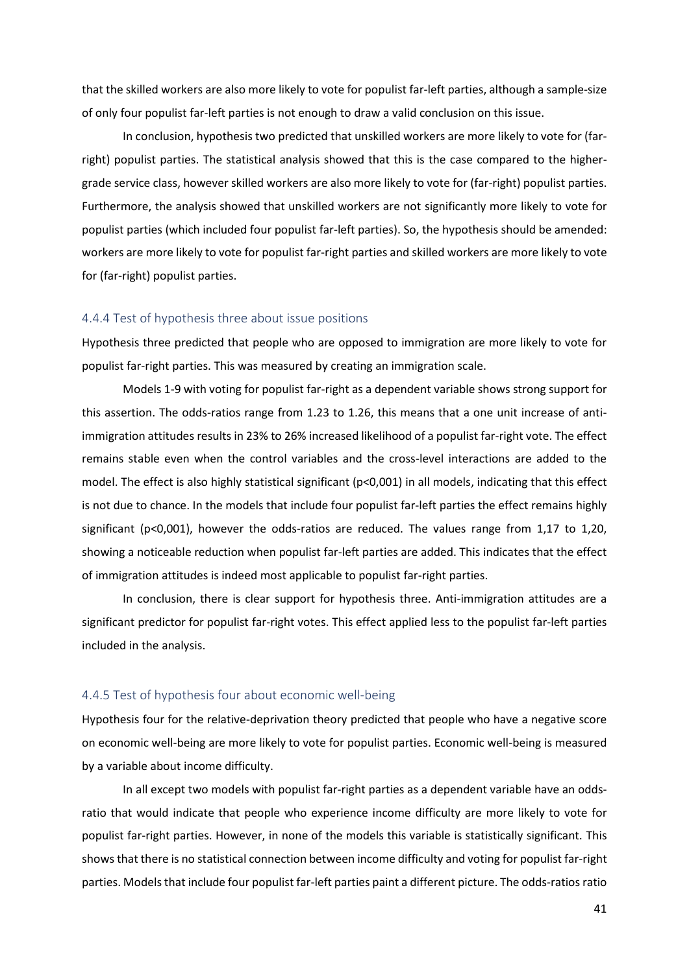that the skilled workers are also more likely to vote for populist far-left parties, although a sample-size of only four populist far-left parties is not enough to draw a valid conclusion on this issue.

In conclusion, hypothesis two predicted that unskilled workers are more likely to vote for (farright) populist parties. The statistical analysis showed that this is the case compared to the highergrade service class, however skilled workers are also more likely to vote for (far-right) populist parties. Furthermore, the analysis showed that unskilled workers are not significantly more likely to vote for populist parties (which included four populist far-left parties). So, the hypothesis should be amended: workers are more likely to vote for populist far-right parties and skilled workers are more likely to vote for (far-right) populist parties.

#### <span id="page-40-0"></span>4.4.4 Test of hypothesis three about issue positions

Hypothesis three predicted that people who are opposed to immigration are more likely to vote for populist far-right parties. This was measured by creating an immigration scale.

Models 1-9 with voting for populist far-right as a dependent variable shows strong support for this assertion. The odds-ratios range from 1.23 to 1.26, this means that a one unit increase of antiimmigration attitudes results in 23% to 26% increased likelihood of a populist far-right vote. The effect remains stable even when the control variables and the cross-level interactions are added to the model. The effect is also highly statistical significant (p<0,001) in all models, indicating that this effect is not due to chance. In the models that include four populist far-left parties the effect remains highly significant (p<0,001), however the odds-ratios are reduced. The values range from 1,17 to 1,20, showing a noticeable reduction when populist far-left parties are added. This indicates that the effect of immigration attitudes is indeed most applicable to populist far-right parties.

In conclusion, there is clear support for hypothesis three. Anti-immigration attitudes are a significant predictor for populist far-right votes. This effect applied less to the populist far-left parties included in the analysis.

#### <span id="page-40-1"></span>4.4.5 Test of hypothesis four about economic well-being

Hypothesis four for the relative-deprivation theory predicted that people who have a negative score on economic well-being are more likely to vote for populist parties. Economic well-being is measured by a variable about income difficulty.

In all except two models with populist far-right parties as a dependent variable have an oddsratio that would indicate that people who experience income difficulty are more likely to vote for populist far-right parties. However, in none of the models this variable is statistically significant. This shows that there is no statistical connection between income difficulty and voting for populist far-right parties. Models that include four populist far-left parties paint a different picture. The odds-ratios ratio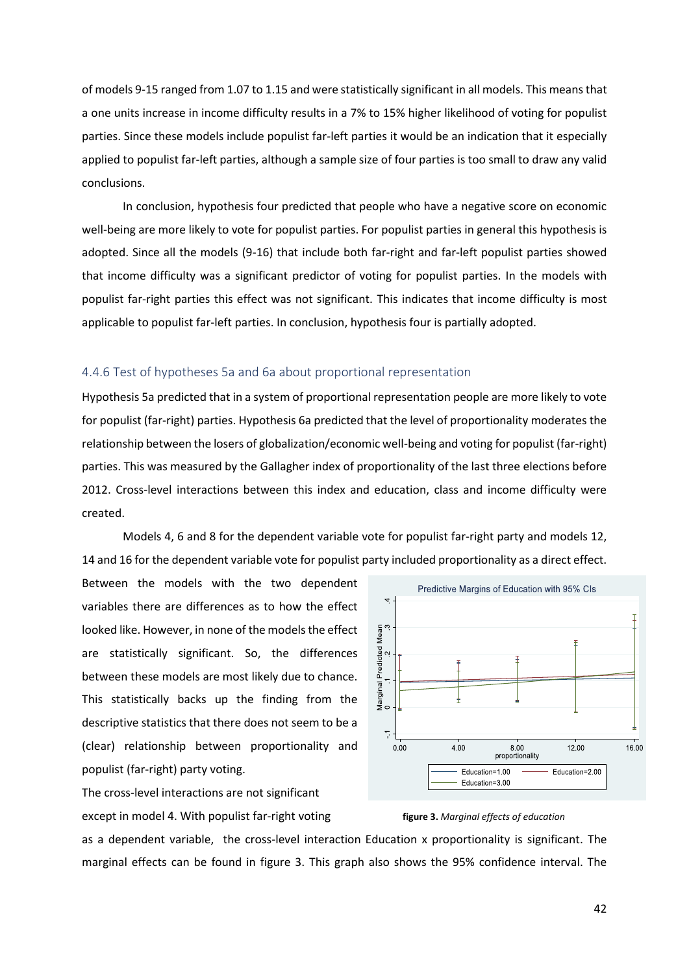of models 9-15 ranged from 1.07 to 1.15 and were statistically significant in all models. This means that a one units increase in income difficulty results in a 7% to 15% higher likelihood of voting for populist parties. Since these models include populist far-left parties it would be an indication that it especially applied to populist far-left parties, although a sample size of four parties is too small to draw any valid conclusions.

In conclusion, hypothesis four predicted that people who have a negative score on economic well-being are more likely to vote for populist parties. For populist parties in general this hypothesis is adopted. Since all the models (9-16) that include both far-right and far-left populist parties showed that income difficulty was a significant predictor of voting for populist parties. In the models with populist far-right parties this effect was not significant. This indicates that income difficulty is most applicable to populist far-left parties. In conclusion, hypothesis four is partially adopted.

#### <span id="page-41-0"></span>4.4.6 Test of hypotheses 5a and 6a about proportional representation

Hypothesis 5a predicted that in a system of proportional representation people are more likely to vote for populist (far-right) parties. Hypothesis 6a predicted that the level of proportionality moderates the relationship between the losers of globalization/economic well-being and voting for populist (far-right) parties. This was measured by the Gallagher index of proportionality of the last three elections before 2012. Cross-level interactions between this index and education, class and income difficulty were created.

Models 4, 6 and 8 for the dependent variable vote for populist far-right party and models 12, 14 and 16 for the dependent variable vote for populist party included proportionality as a direct effect.

Between the models with the two dependent variables there are differences as to how the effect looked like. However, in none of the models the effect are statistically significant. So, the differences between these models are most likely due to chance. This statistically backs up the finding from the descriptive statistics that there does not seem to be a (clear) relationship between proportionality and populist (far-right) party voting.

The cross-level interactions are not significant except in model 4. With populist far-right voting **figure 3.** *Marginal effects of education*



as a dependent variable, the cross-level interaction Education x proportionality is significant. The marginal effects can be found in figure 3. This graph also shows the 95% confidence interval. The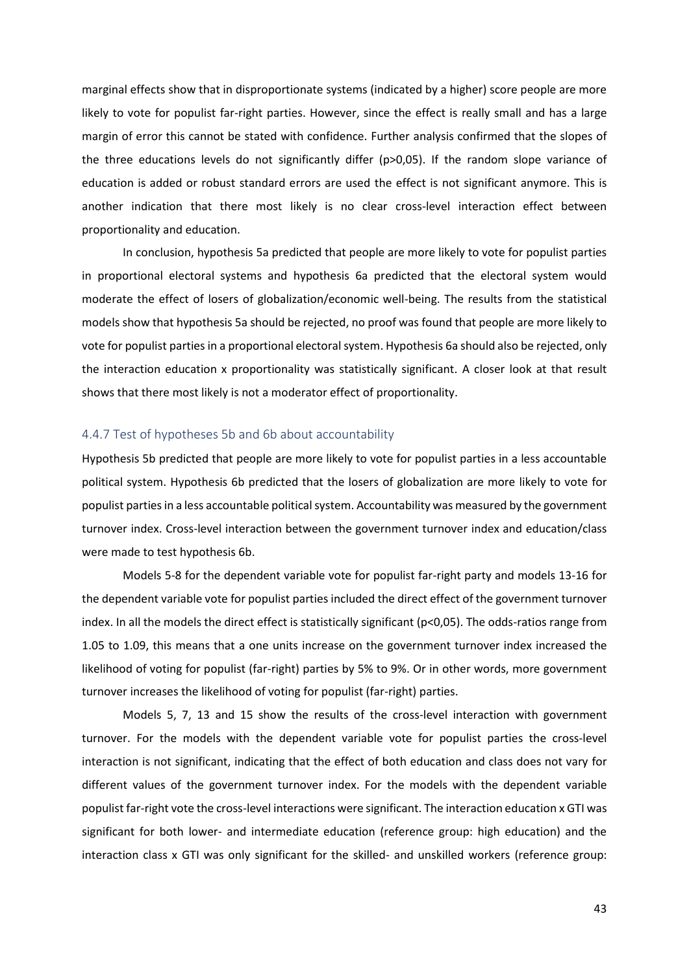marginal effects show that in disproportionate systems (indicated by a higher) score people are more likely to vote for populist far-right parties. However, since the effect is really small and has a large margin of error this cannot be stated with confidence. Further analysis confirmed that the slopes of the three educations levels do not significantly differ (p>0,05). If the random slope variance of education is added or robust standard errors are used the effect is not significant anymore. This is another indication that there most likely is no clear cross-level interaction effect between proportionality and education.

In conclusion, hypothesis 5a predicted that people are more likely to vote for populist parties in proportional electoral systems and hypothesis 6a predicted that the electoral system would moderate the effect of losers of globalization/economic well-being. The results from the statistical models show that hypothesis 5a should be rejected, no proof was found that people are more likely to vote for populist parties in a proportional electoral system. Hypothesis 6a should also be rejected, only the interaction education x proportionality was statistically significant. A closer look at that result shows that there most likely is not a moderator effect of proportionality.

#### <span id="page-42-0"></span>4.4.7 Test of hypotheses 5b and 6b about accountability

Hypothesis 5b predicted that people are more likely to vote for populist parties in a less accountable political system. Hypothesis 6b predicted that the losers of globalization are more likely to vote for populist parties in a less accountable political system. Accountability was measured by the government turnover index. Cross-level interaction between the government turnover index and education/class were made to test hypothesis 6b.

Models 5-8 for the dependent variable vote for populist far-right party and models 13-16 for the dependent variable vote for populist parties included the direct effect of the government turnover index. In all the models the direct effect is statistically significant (p<0,05). The odds-ratios range from 1.05 to 1.09, this means that a one units increase on the government turnover index increased the likelihood of voting for populist (far-right) parties by 5% to 9%. Or in other words, more government turnover increases the likelihood of voting for populist (far-right) parties.

Models 5, 7, 13 and 15 show the results of the cross-level interaction with government turnover. For the models with the dependent variable vote for populist parties the cross-level interaction is not significant, indicating that the effect of both education and class does not vary for different values of the government turnover index. For the models with the dependent variable populist far-right vote the cross-level interactions were significant. The interaction education x GTI was significant for both lower- and intermediate education (reference group: high education) and the interaction class x GTI was only significant for the skilled- and unskilled workers (reference group: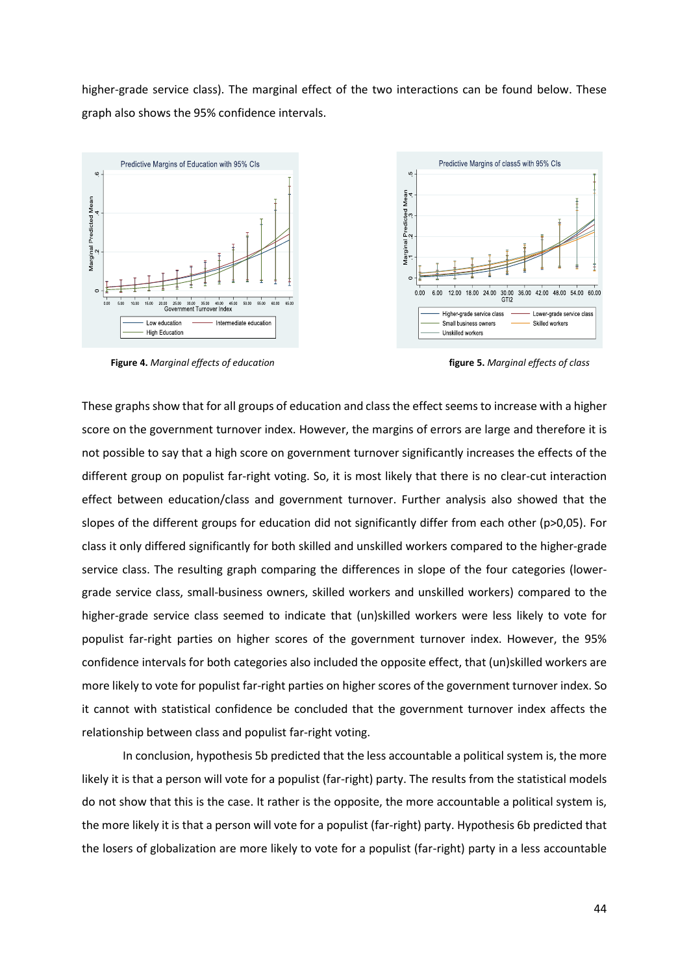higher-grade service class). The marginal effect of the two interactions can be found below. These graph also shows the 95% confidence intervals.



**Figure 4.** *Marginal effects of education* **figure 5.** *Marginal effects of class*

These graphs show that for all groups of education and class the effect seems to increase with a higher score on the government turnover index. However, the margins of errors are large and therefore it is not possible to say that a high score on government turnover significantly increases the effects of the different group on populist far-right voting. So, it is most likely that there is no clear-cut interaction effect between education/class and government turnover. Further analysis also showed that the slopes of the different groups for education did not significantly differ from each other (p>0,05). For class it only differed significantly for both skilled and unskilled workers compared to the higher-grade service class. The resulting graph comparing the differences in slope of the four categories (lowergrade service class, small-business owners, skilled workers and unskilled workers) compared to the higher-grade service class seemed to indicate that (un)skilled workers were less likely to vote for populist far-right parties on higher scores of the government turnover index. However, the 95% confidence intervals for both categories also included the opposite effect, that (un)skilled workers are more likely to vote for populist far-right parties on higher scores of the government turnover index. So it cannot with statistical confidence be concluded that the government turnover index affects the relationship between class and populist far-right voting.

In conclusion, hypothesis 5b predicted that the less accountable a political system is, the more likely it is that a person will vote for a populist (far-right) party. The results from the statistical models do not show that this is the case. It rather is the opposite, the more accountable a political system is, the more likely it is that a person will vote for a populist (far-right) party. Hypothesis 6b predicted that the losers of globalization are more likely to vote for a populist (far-right) party in a less accountable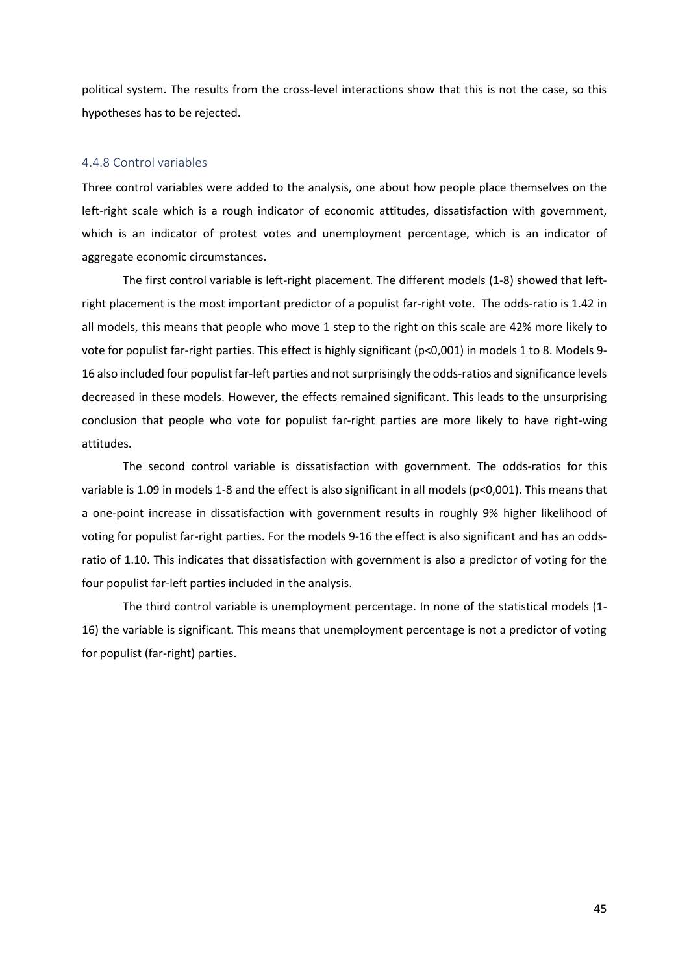political system. The results from the cross-level interactions show that this is not the case, so this hypotheses has to be rejected.

#### <span id="page-44-0"></span>4.4.8 Control variables

Three control variables were added to the analysis, one about how people place themselves on the left-right scale which is a rough indicator of economic attitudes, dissatisfaction with government, which is an indicator of protest votes and unemployment percentage, which is an indicator of aggregate economic circumstances.

The first control variable is left-right placement. The different models (1-8) showed that leftright placement is the most important predictor of a populist far-right vote. The odds-ratio is 1.42 in all models, this means that people who move 1 step to the right on this scale are 42% more likely to vote for populist far-right parties. This effect is highly significant (p<0,001) in models 1 to 8. Models 9- 16 also included four populist far-left parties and not surprisingly the odds-ratios and significance levels decreased in these models. However, the effects remained significant. This leads to the unsurprising conclusion that people who vote for populist far-right parties are more likely to have right-wing attitudes.

The second control variable is dissatisfaction with government. The odds-ratios for this variable is 1.09 in models 1-8 and the effect is also significant in all models (p<0,001). This means that a one-point increase in dissatisfaction with government results in roughly 9% higher likelihood of voting for populist far-right parties. For the models 9-16 the effect is also significant and has an oddsratio of 1.10. This indicates that dissatisfaction with government is also a predictor of voting for the four populist far-left parties included in the analysis.

The third control variable is unemployment percentage. In none of the statistical models (1- 16) the variable is significant. This means that unemployment percentage is not a predictor of voting for populist (far-right) parties.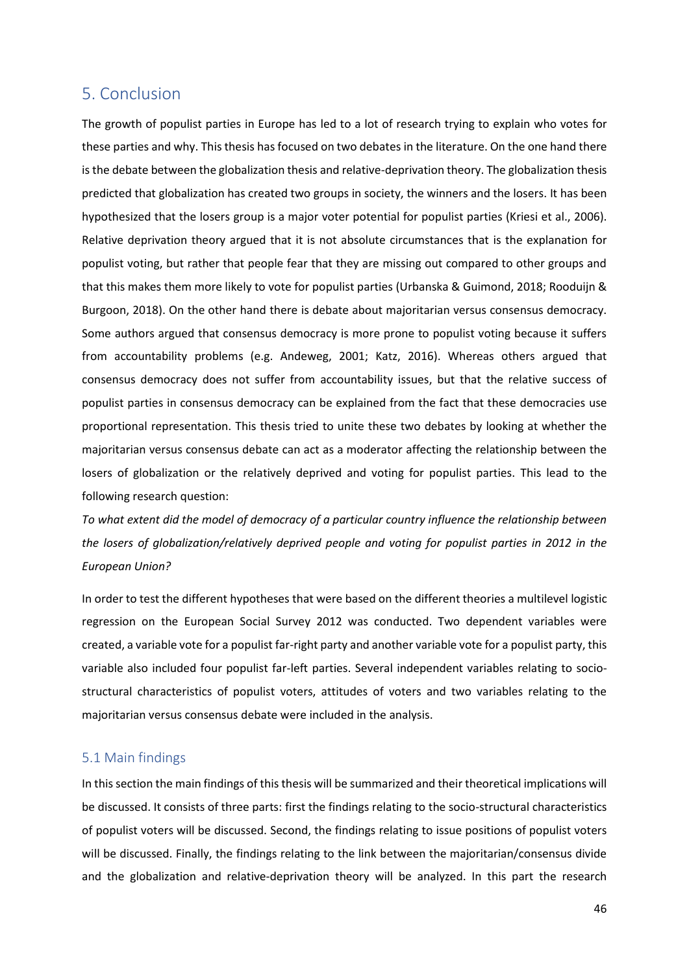# <span id="page-45-0"></span>5. Conclusion

The growth of populist parties in Europe has led to a lot of research trying to explain who votes for these parties and why. This thesis has focused on two debates in the literature. On the one hand there is the debate between the globalization thesis and relative-deprivation theory. The globalization thesis predicted that globalization has created two groups in society, the winners and the losers. It has been hypothesized that the losers group is a major voter potential for populist parties (Kriesi et al., 2006). Relative deprivation theory argued that it is not absolute circumstances that is the explanation for populist voting, but rather that people fear that they are missing out compared to other groups and that this makes them more likely to vote for populist parties (Urbanska & Guimond, 2018; Rooduijn & Burgoon, 2018). On the other hand there is debate about majoritarian versus consensus democracy. Some authors argued that consensus democracy is more prone to populist voting because it suffers from accountability problems (e.g. Andeweg, 2001; Katz, 2016). Whereas others argued that consensus democracy does not suffer from accountability issues, but that the relative success of populist parties in consensus democracy can be explained from the fact that these democracies use proportional representation. This thesis tried to unite these two debates by looking at whether the majoritarian versus consensus debate can act as a moderator affecting the relationship between the losers of globalization or the relatively deprived and voting for populist parties. This lead to the following research question:

*To what extent did the model of democracy of a particular country influence the relationship between the losers of globalization/relatively deprived people and voting for populist parties in 2012 in the European Union?*

In order to test the different hypotheses that were based on the different theories a multilevel logistic regression on the European Social Survey 2012 was conducted. Two dependent variables were created, a variable vote for a populist far-right party and another variable vote for a populist party, this variable also included four populist far-left parties. Several independent variables relating to sociostructural characteristics of populist voters, attitudes of voters and two variables relating to the majoritarian versus consensus debate were included in the analysis.

### <span id="page-45-1"></span>5.1 Main findings

In this section the main findings of this thesis will be summarized and their theoretical implications will be discussed. It consists of three parts: first the findings relating to the socio-structural characteristics of populist voters will be discussed. Second, the findings relating to issue positions of populist voters will be discussed. Finally, the findings relating to the link between the majoritarian/consensus divide and the globalization and relative-deprivation theory will be analyzed. In this part the research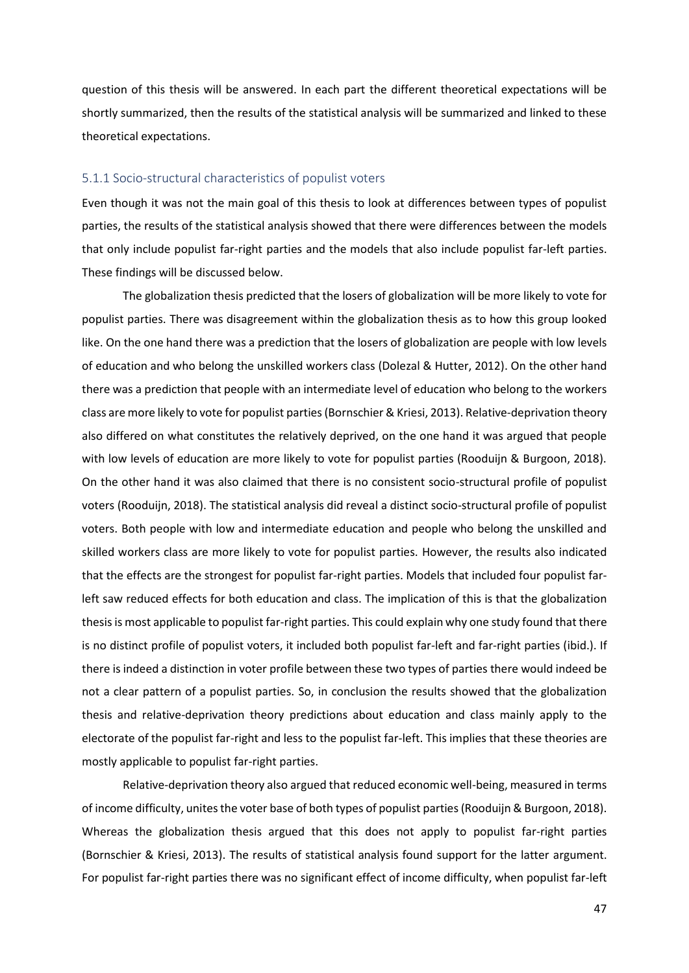question of this thesis will be answered. In each part the different theoretical expectations will be shortly summarized, then the results of the statistical analysis will be summarized and linked to these theoretical expectations.

#### <span id="page-46-0"></span>5.1.1 Socio-structural characteristics of populist voters

Even though it was not the main goal of this thesis to look at differences between types of populist parties, the results of the statistical analysis showed that there were differences between the models that only include populist far-right parties and the models that also include populist far-left parties. These findings will be discussed below.

The globalization thesis predicted that the losers of globalization will be more likely to vote for populist parties. There was disagreement within the globalization thesis as to how this group looked like. On the one hand there was a prediction that the losers of globalization are people with low levels of education and who belong the unskilled workers class (Dolezal & Hutter, 2012). On the other hand there was a prediction that people with an intermediate level of education who belong to the workers class are more likely to vote for populist parties (Bornschier & Kriesi, 2013). Relative-deprivation theory also differed on what constitutes the relatively deprived, on the one hand it was argued that people with low levels of education are more likely to vote for populist parties (Rooduijn & Burgoon, 2018). On the other hand it was also claimed that there is no consistent socio-structural profile of populist voters (Rooduijn, 2018). The statistical analysis did reveal a distinct socio-structural profile of populist voters. Both people with low and intermediate education and people who belong the unskilled and skilled workers class are more likely to vote for populist parties. However, the results also indicated that the effects are the strongest for populist far-right parties. Models that included four populist farleft saw reduced effects for both education and class. The implication of this is that the globalization thesis is most applicable to populist far-right parties. This could explain why one study found that there is no distinct profile of populist voters, it included both populist far-left and far-right parties (ibid.). If there is indeed a distinction in voter profile between these two types of parties there would indeed be not a clear pattern of a populist parties. So, in conclusion the results showed that the globalization thesis and relative-deprivation theory predictions about education and class mainly apply to the electorate of the populist far-right and less to the populist far-left. This implies that these theories are mostly applicable to populist far-right parties.

Relative-deprivation theory also argued that reduced economic well-being, measured in terms of income difficulty, unites the voter base of both types of populist parties (Rooduijn & Burgoon, 2018). Whereas the globalization thesis argued that this does not apply to populist far-right parties (Bornschier & Kriesi, 2013). The results of statistical analysis found support for the latter argument. For populist far-right parties there was no significant effect of income difficulty, when populist far-left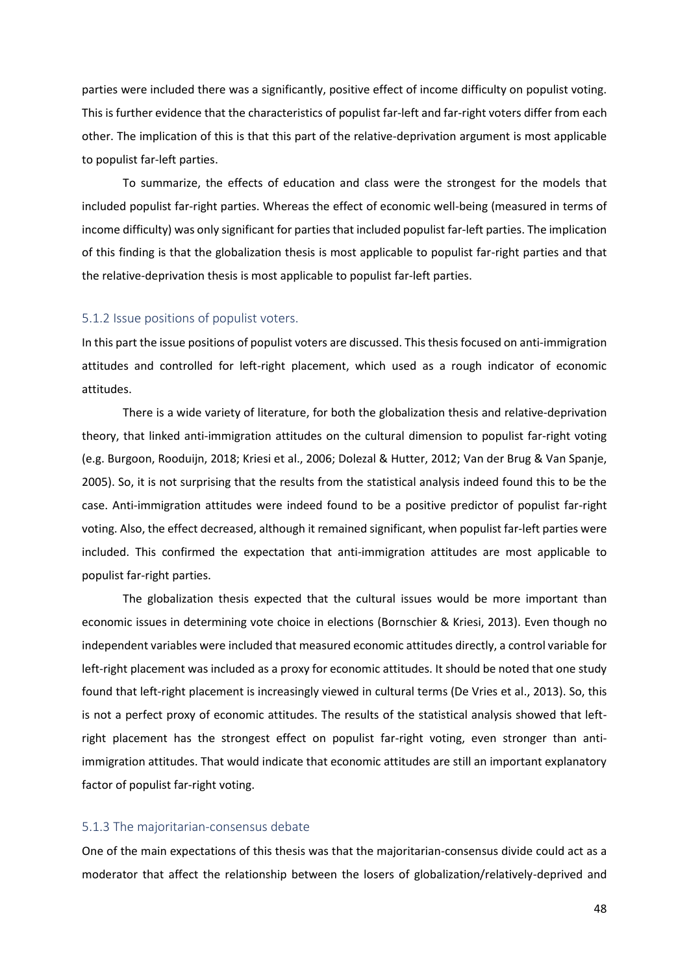parties were included there was a significantly, positive effect of income difficulty on populist voting. This is further evidence that the characteristics of populist far-left and far-right voters differ from each other. The implication of this is that this part of the relative-deprivation argument is most applicable to populist far-left parties.

To summarize, the effects of education and class were the strongest for the models that included populist far-right parties. Whereas the effect of economic well-being (measured in terms of income difficulty) was only significant for parties that included populist far-left parties. The implication of this finding is that the globalization thesis is most applicable to populist far-right parties and that the relative-deprivation thesis is most applicable to populist far-left parties.

#### <span id="page-47-0"></span>5.1.2 Issue positions of populist voters.

In this part the issue positions of populist voters are discussed. This thesis focused on anti-immigration attitudes and controlled for left-right placement, which used as a rough indicator of economic attitudes.

There is a wide variety of literature, for both the globalization thesis and relative-deprivation theory, that linked anti-immigration attitudes on the cultural dimension to populist far-right voting (e.g. Burgoon, Rooduijn, 2018; Kriesi et al., 2006; Dolezal & Hutter, 2012; Van der Brug & Van Spanje, 2005). So, it is not surprising that the results from the statistical analysis indeed found this to be the case. Anti-immigration attitudes were indeed found to be a positive predictor of populist far-right voting. Also, the effect decreased, although it remained significant, when populist far-left parties were included. This confirmed the expectation that anti-immigration attitudes are most applicable to populist far-right parties.

The globalization thesis expected that the cultural issues would be more important than economic issues in determining vote choice in elections (Bornschier & Kriesi, 2013). Even though no independent variables were included that measured economic attitudes directly, a control variable for left-right placement was included as a proxy for economic attitudes. It should be noted that one study found that left-right placement is increasingly viewed in cultural terms (De Vries et al., 2013). So, this is not a perfect proxy of economic attitudes. The results of the statistical analysis showed that leftright placement has the strongest effect on populist far-right voting, even stronger than antiimmigration attitudes. That would indicate that economic attitudes are still an important explanatory factor of populist far-right voting.

#### <span id="page-47-1"></span>5.1.3 The majoritarian-consensus debate

One of the main expectations of this thesis was that the majoritarian-consensus divide could act as a moderator that affect the relationship between the losers of globalization/relatively-deprived and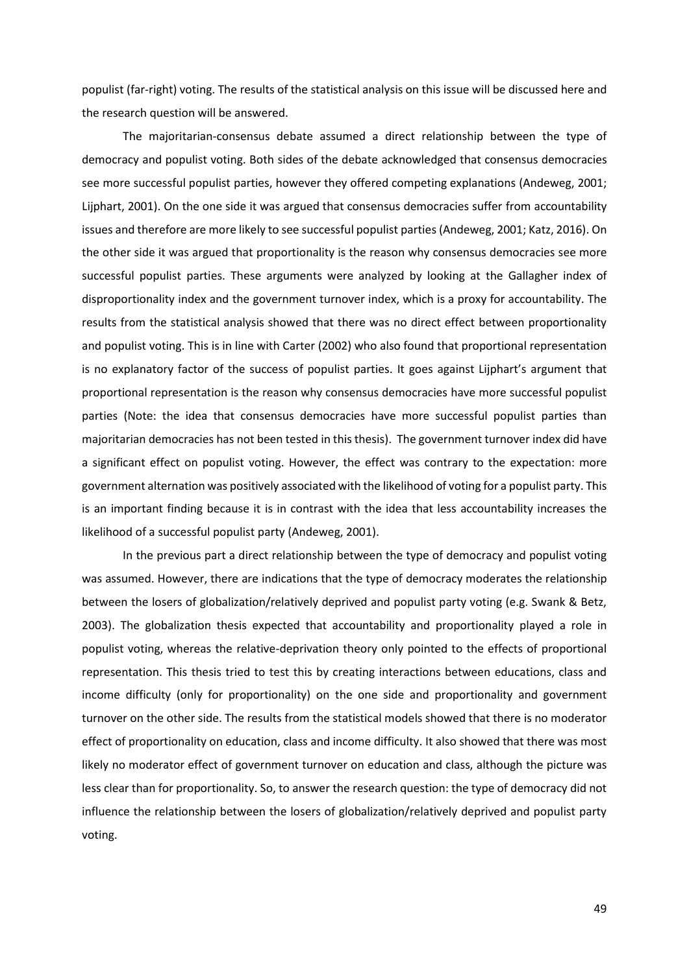populist (far-right) voting. The results of the statistical analysis on this issue will be discussed here and the research question will be answered.

The majoritarian-consensus debate assumed a direct relationship between the type of democracy and populist voting. Both sides of the debate acknowledged that consensus democracies see more successful populist parties, however they offered competing explanations (Andeweg, 2001; Lijphart, 2001). On the one side it was argued that consensus democracies suffer from accountability issues and therefore are more likely to see successful populist parties (Andeweg, 2001; Katz, 2016). On the other side it was argued that proportionality is the reason why consensus democracies see more successful populist parties. These arguments were analyzed by looking at the Gallagher index of disproportionality index and the government turnover index, which is a proxy for accountability. The results from the statistical analysis showed that there was no direct effect between proportionality and populist voting. This is in line with Carter (2002) who also found that proportional representation is no explanatory factor of the success of populist parties. It goes against Lijphart's argument that proportional representation is the reason why consensus democracies have more successful populist parties (Note: the idea that consensus democracies have more successful populist parties than majoritarian democracies has not been tested in this thesis). The government turnover index did have a significant effect on populist voting. However, the effect was contrary to the expectation: more government alternation was positively associated with the likelihood of voting for a populist party. This is an important finding because it is in contrast with the idea that less accountability increases the likelihood of a successful populist party (Andeweg, 2001).

In the previous part a direct relationship between the type of democracy and populist voting was assumed. However, there are indications that the type of democracy moderates the relationship between the losers of globalization/relatively deprived and populist party voting (e.g. Swank & Betz, 2003). The globalization thesis expected that accountability and proportionality played a role in populist voting, whereas the relative-deprivation theory only pointed to the effects of proportional representation. This thesis tried to test this by creating interactions between educations, class and income difficulty (only for proportionality) on the one side and proportionality and government turnover on the other side. The results from the statistical models showed that there is no moderator effect of proportionality on education, class and income difficulty. It also showed that there was most likely no moderator effect of government turnover on education and class, although the picture was less clear than for proportionality. So, to answer the research question: the type of democracy did not influence the relationship between the losers of globalization/relatively deprived and populist party voting.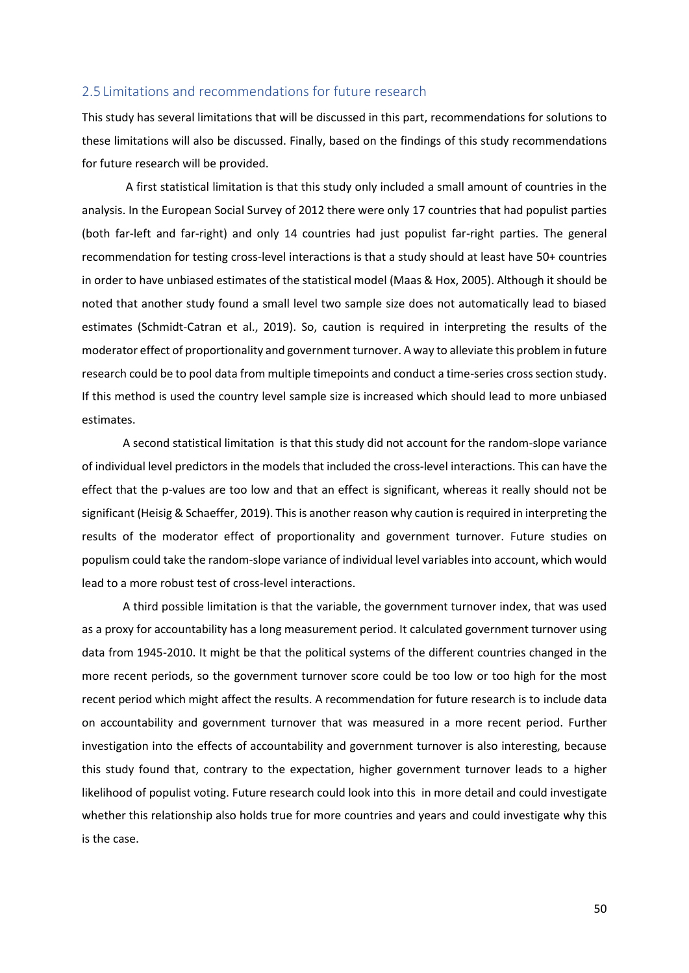#### <span id="page-49-0"></span>2.5 Limitations and recommendations for future research

This study has several limitations that will be discussed in this part, recommendations for solutions to these limitations will also be discussed. Finally, based on the findings of this study recommendations for future research will be provided.

A first statistical limitation is that this study only included a small amount of countries in the analysis. In the European Social Survey of 2012 there were only 17 countries that had populist parties (both far-left and far-right) and only 14 countries had just populist far-right parties. The general recommendation for testing cross-level interactions is that a study should at least have 50+ countries in order to have unbiased estimates of the statistical model (Maas & Hox, 2005). Although it should be noted that another study found a small level two sample size does not automatically lead to biased estimates (Schmidt-Catran et al., 2019). So, caution is required in interpreting the results of the moderator effect of proportionality and government turnover. A way to alleviate this problem in future research could be to pool data from multiple timepoints and conduct a time-series cross section study. If this method is used the country level sample size is increased which should lead to more unbiased estimates.

A second statistical limitation is that this study did not account for the random-slope variance of individual level predictors in the models that included the cross-level interactions. This can have the effect that the p-values are too low and that an effect is significant, whereas it really should not be significant (Heisig & Schaeffer, 2019). This is another reason why caution is required in interpreting the results of the moderator effect of proportionality and government turnover. Future studies on populism could take the random-slope variance of individual level variables into account, which would lead to a more robust test of cross-level interactions.

A third possible limitation is that the variable, the government turnover index, that was used as a proxy for accountability has a long measurement period. It calculated government turnover using data from 1945-2010. It might be that the political systems of the different countries changed in the more recent periods, so the government turnover score could be too low or too high for the most recent period which might affect the results. A recommendation for future research is to include data on accountability and government turnover that was measured in a more recent period. Further investigation into the effects of accountability and government turnover is also interesting, because this study found that, contrary to the expectation, higher government turnover leads to a higher likelihood of populist voting. Future research could look into this in more detail and could investigate whether this relationship also holds true for more countries and years and could investigate why this is the case.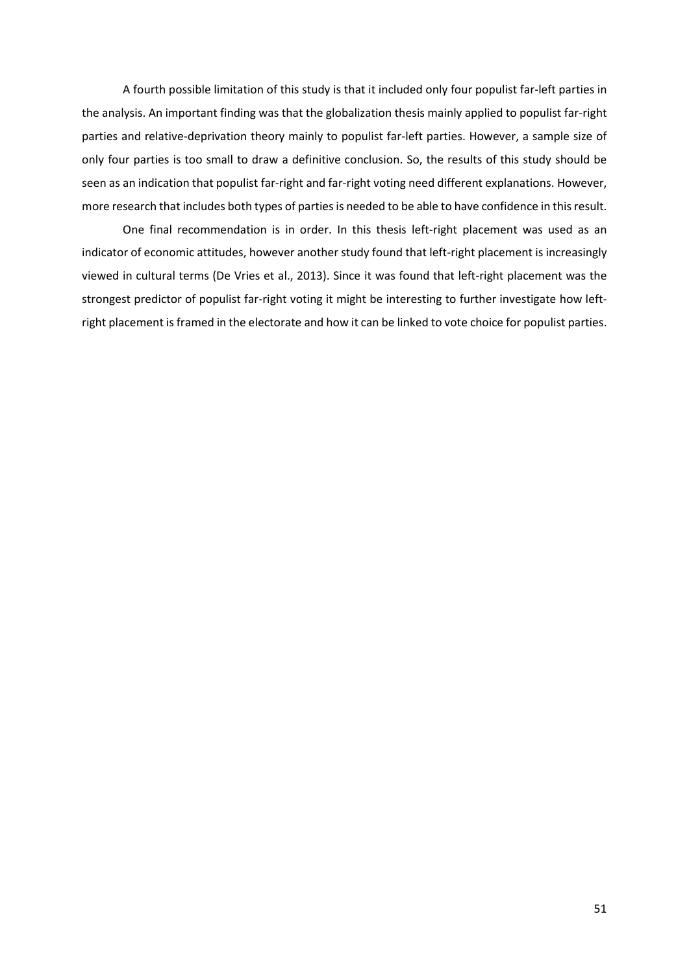A fourth possible limitation of this study is that it included only four populist far-left parties in the analysis. An important finding was that the globalization thesis mainly applied to populist far-right parties and relative-deprivation theory mainly to populist far-left parties. However, a sample size of only four parties is too small to draw a definitive conclusion. So, the results of this study should be seen as an indication that populist far-right and far-right voting need different explanations. However, more research that includes both types of parties is needed to be able to have confidence in this result.

One final recommendation is in order. In this thesis left-right placement was used as an indicator of economic attitudes, however another study found that left-right placement is increasingly viewed in cultural terms (De Vries et al., 2013). Since it was found that left-right placement was the strongest predictor of populist far-right voting it might be interesting to further investigate how leftright placement is framed in the electorate and how it can be linked to vote choice for populist parties.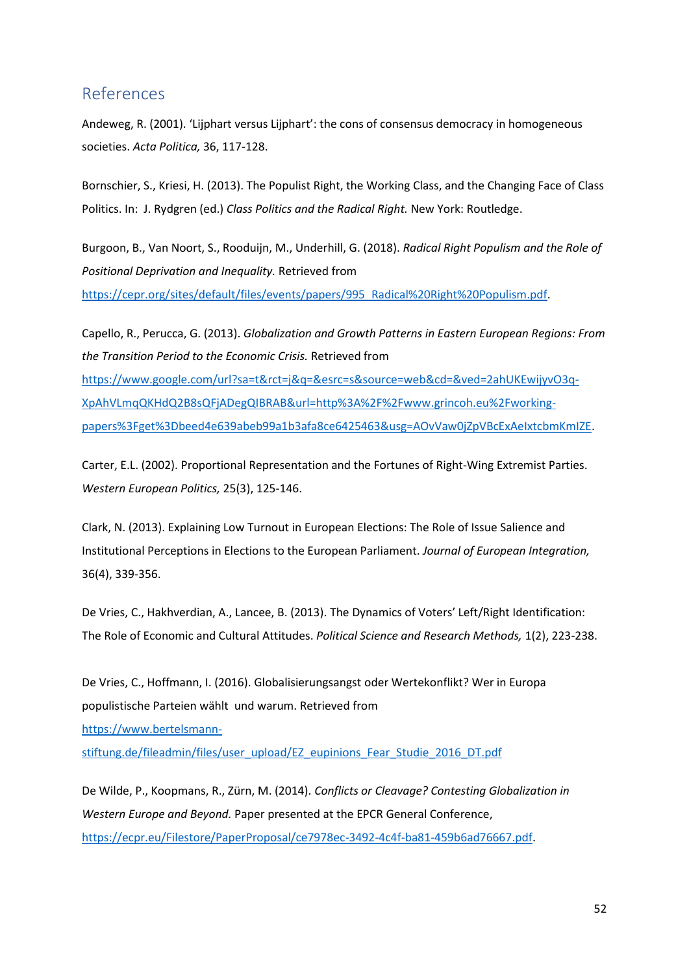# <span id="page-51-0"></span>References

Andeweg, R. (2001). 'Lijphart versus Lijphart': the cons of consensus democracy in homogeneous societies. *Acta Politica,* 36, 117-128.

Bornschier, S., Kriesi, H. (2013). The Populist Right, the Working Class, and the Changing Face of Class Politics. In: J. Rydgren (ed.) *Class Politics and the Radical Right.* New York: Routledge.

Burgoon, B., Van Noort, S., Rooduijn, M., Underhill, G. (2018). *Radical Right Populism and the Role of Positional Deprivation and Inequality.* Retrieved from [https://cepr.org/sites/default/files/events/papers/995\\_Radical%20Right%20Populism.pdf.](https://cepr.org/sites/default/files/events/papers/995_Radical%20Right%20Populism.pdf)

Capello, R., Perucca, G. (2013). *Globalization and Growth Patterns in Eastern European Regions: From the Transition Period to the Economic Crisis.* Retrieved from [https://www.google.com/url?sa=t&rct=j&q=&esrc=s&source=web&cd=&ved=2ahUKEwijyvO3q-](https://www.google.com/url?sa=t&rct=j&q=&esrc=s&source=web&cd=&ved=2ahUKEwijyvO3q-XpAhVLmqQKHdQ2B8sQFjADegQIBRAB&url=http%3A%2F%2Fwww.grincoh.eu%2Fworking-papers%3Fget%3Dbeed4e639abeb99a1b3afa8ce6425463&usg=AOvVaw0jZpVBcExAeIxtcbmKmIZE)[XpAhVLmqQKHdQ2B8sQFjADegQIBRAB&url=http%3A%2F%2Fwww.grincoh.eu%2Fworking](https://www.google.com/url?sa=t&rct=j&q=&esrc=s&source=web&cd=&ved=2ahUKEwijyvO3q-XpAhVLmqQKHdQ2B8sQFjADegQIBRAB&url=http%3A%2F%2Fwww.grincoh.eu%2Fworking-papers%3Fget%3Dbeed4e639abeb99a1b3afa8ce6425463&usg=AOvVaw0jZpVBcExAeIxtcbmKmIZE)[papers%3Fget%3Dbeed4e639abeb99a1b3afa8ce6425463&usg=AOvVaw0jZpVBcExAeIxtcbmKmIZE.](https://www.google.com/url?sa=t&rct=j&q=&esrc=s&source=web&cd=&ved=2ahUKEwijyvO3q-XpAhVLmqQKHdQ2B8sQFjADegQIBRAB&url=http%3A%2F%2Fwww.grincoh.eu%2Fworking-papers%3Fget%3Dbeed4e639abeb99a1b3afa8ce6425463&usg=AOvVaw0jZpVBcExAeIxtcbmKmIZE)

Carter, E.L. (2002). Proportional Representation and the Fortunes of Right-Wing Extremist Parties. *Western European Politics,* 25(3), 125-146.

Clark, N. (2013). Explaining Low Turnout in European Elections: The Role of Issue Salience and Institutional Perceptions in Elections to the European Parliament. *Journal of European Integration,* 36(4), 339-356.

De Vries, C., Hakhverdian, A., Lancee, B. (2013). The Dynamics of Voters' Left/Right Identification: The Role of Economic and Cultural Attitudes. *Political Science and Research Methods,* 1(2), 223-238.

De Vries, C., Hoffmann, I. (2016). Globalisierungsangst oder Wertekonflikt? Wer in Europa populistische Parteien wählt und warum. Retrieved from [https://www.bertelsmann-](https://www.bertelsmann-stiftung.de/fileadmin/files/user_upload/EZ_eupinions_Fear_Studie_2016_DT.pdf)

[stiftung.de/fileadmin/files/user\\_upload/EZ\\_eupinions\\_Fear\\_Studie\\_2016\\_DT.pdf](https://www.bertelsmann-stiftung.de/fileadmin/files/user_upload/EZ_eupinions_Fear_Studie_2016_DT.pdf)

De Wilde, P., Koopmans, R., Zürn, M. (2014). *Conflicts or Cleavage? Contesting Globalization in Western Europe and Beyond.* Paper presented at the EPCR General Conference, [https://ecpr.eu/Filestore/PaperProposal/ce7978ec-3492-4c4f-ba81-459b6ad76667.pdf.](https://ecpr.eu/Filestore/PaperProposal/ce7978ec-3492-4c4f-ba81-459b6ad76667.pdf)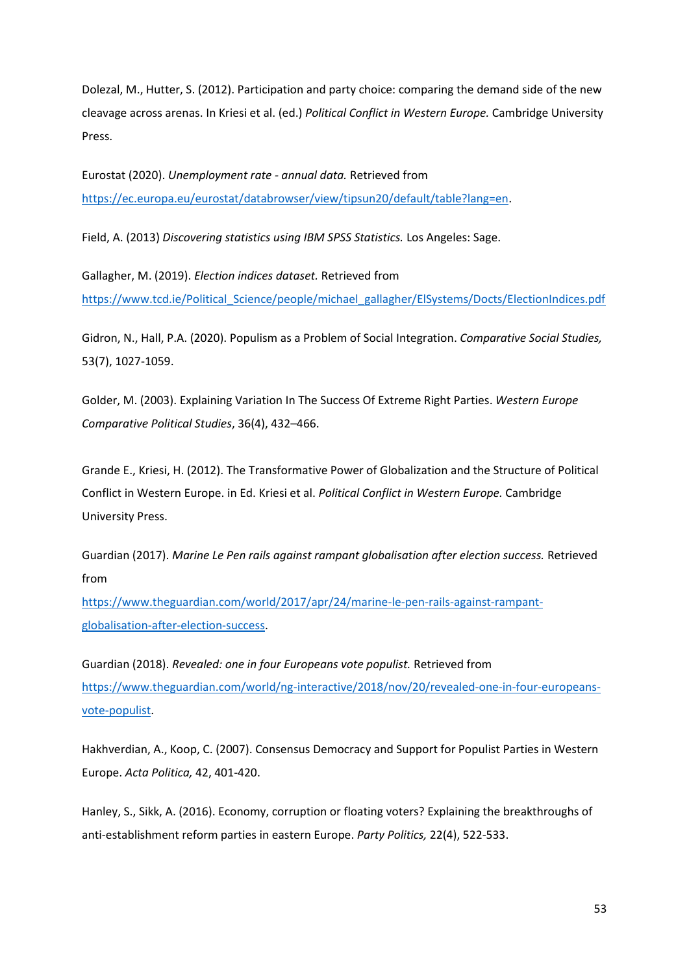Dolezal, M., Hutter, S. (2012). Participation and party choice: comparing the demand side of the new cleavage across arenas. In Kriesi et al. (ed.) *Political Conflict in Western Europe.* Cambridge University Press.

Eurostat (2020). *Unemployment rate - annual data.* Retrieved from [https://ec.europa.eu/eurostat/databrowser/view/tipsun20/default/table?lang=en.](https://ec.europa.eu/eurostat/databrowser/view/tipsun20/default/table?lang=en)

Field, A. (2013) *Discovering statistics using IBM SPSS Statistics.* Los Angeles: Sage.

Gallagher, M. (2019). *Election indices dataset.* Retrieved from [https://www.tcd.ie/Political\\_Science/people/michael\\_gallagher/ElSystems/Docts/ElectionIndices.pdf](https://www.tcd.ie/Political_Science/people/michael_gallagher/ElSystems/Docts/ElectionIndices.pdf)

Gidron, N., Hall, P.A. (2020). Populism as a Problem of Social Integration. *Comparative Social Studies,*  53(7), 1027-1059.

Golder, M. (2003). Explaining Variation In The Success Of Extreme Right Parties. *Western Europe Comparative Political Studies*, 36(4), 432–466.

Grande E., Kriesi, H. (2012). The Transformative Power of Globalization and the Structure of Political Conflict in Western Europe. in Ed. Kriesi et al. *Political Conflict in Western Europe.* Cambridge University Press.

Guardian (2017). *Marine Le Pen rails against rampant globalisation after election success.* Retrieved from

[https://www.theguardian.com/world/2017/apr/24/marine-le-pen-rails-against-rampant](https://www.theguardian.com/world/2017/apr/24/marine-le-pen-rails-against-rampant-globalisation-after-election-success)[globalisation-after-election-success.](https://www.theguardian.com/world/2017/apr/24/marine-le-pen-rails-against-rampant-globalisation-after-election-success)

Guardian (2018). *Revealed: one in four Europeans vote populist.* Retrieved from [https://www.theguardian.com/world/ng-interactive/2018/nov/20/revealed-one-in-four-europeans](https://www.theguardian.com/world/ng-interactive/2018/nov/20/revealed-one-in-four-europeans-vote-populist)[vote-populist.](https://www.theguardian.com/world/ng-interactive/2018/nov/20/revealed-one-in-four-europeans-vote-populist)

Hakhverdian, A., Koop, C. (2007). Consensus Democracy and Support for Populist Parties in Western Europe. *Acta Politica,* 42, 401-420.

Hanley, S., Sikk, A. (2016). Economy, corruption or floating voters? Explaining the breakthroughs of anti-establishment reform parties in eastern Europe. *Party Politics,* 22(4), 522-533.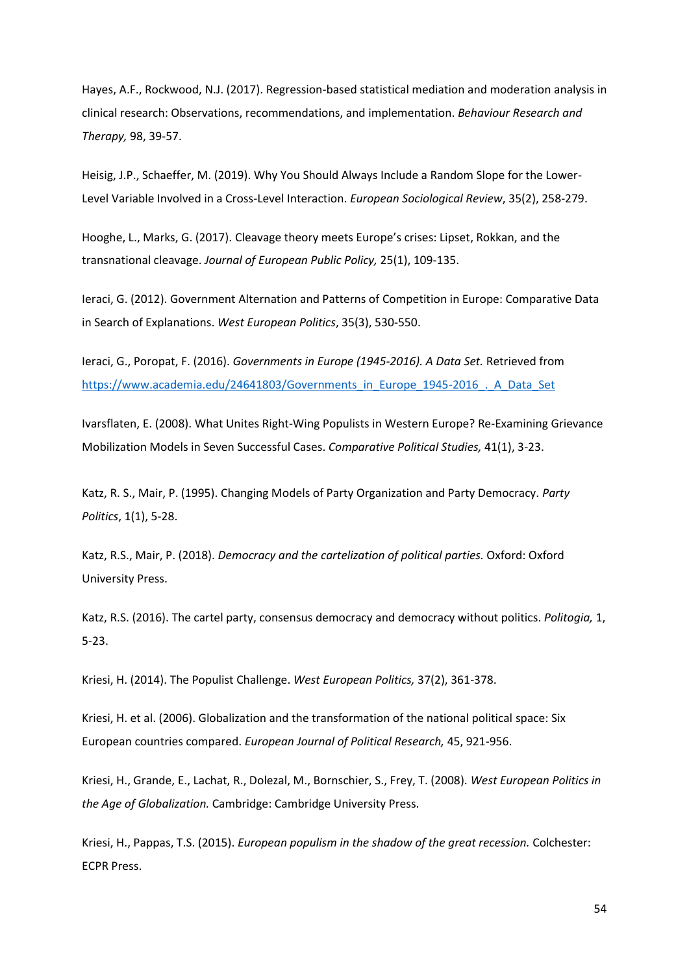Hayes, A.F., Rockwood, N.J. (2017). Regression-based statistical mediation and moderation analysis in clinical research: Observations, recommendations, and implementation. *Behaviour Research and Therapy,* 98, 39-57.

Heisig, J.P., Schaeffer, M. (2019). Why You Should Always Include a Random Slope for the Lower-Level Variable Involved in a Cross-Level Interaction. *European Sociological Review*, 35(2), 258-279.

Hooghe, L., Marks, G. (2017). Cleavage theory meets Europe's crises: Lipset, Rokkan, and the transnational cleavage. *Journal of European Public Policy,* 25(1), 109-135.

Ieraci, G. (2012). Government Alternation and Patterns of Competition in Europe: Comparative Data in Search of Explanations. *West European Politics*, 35(3), 530-550.

Ieraci, G., Poropat, F. (2016). *Governments in Europe (1945-2016). A Data Set.* Retrieved from [https://www.academia.edu/24641803/Governments\\_in\\_Europe\\_1945-2016\\_.\\_A\\_Data\\_Set](https://www.academia.edu/24641803/Governments_in_Europe_1945-2016_._A_Data_Set)

Ivarsflaten, E. (2008). What Unites Right-Wing Populists in Western Europe? Re-Examining Grievance Mobilization Models in Seven Successful Cases. *Comparative Political Studies,* 41(1), 3-23.

Katz, R. S., Mair, P. (1995). Changing Models of Party Organization and Party Democracy. *Party Politics*, 1(1), 5-28.

Katz, R.S., Mair, P. (2018). *Democracy and the cartelization of political parties.* Oxford: Oxford University Press.

Katz, R.S. (2016). The cartel party, consensus democracy and democracy without politics. *Politogia,* 1, 5-23.

Kriesi, H. (2014). The Populist Challenge. *West European Politics,* 37(2), 361-378.

Kriesi, H. et al. (2006). Globalization and the transformation of the national political space: Six European countries compared. *European Journal of Political Research,* 45, 921-956.

Kriesi, H., Grande, E., Lachat, R., Dolezal, M., Bornschier, S., Frey, T. (2008). *West European Politics in the Age of Globalization.* Cambridge: Cambridge University Press.

Kriesi, H., Pappas, T.S. (2015). *European populism in the shadow of the great recession.* Colchester: ECPR Press.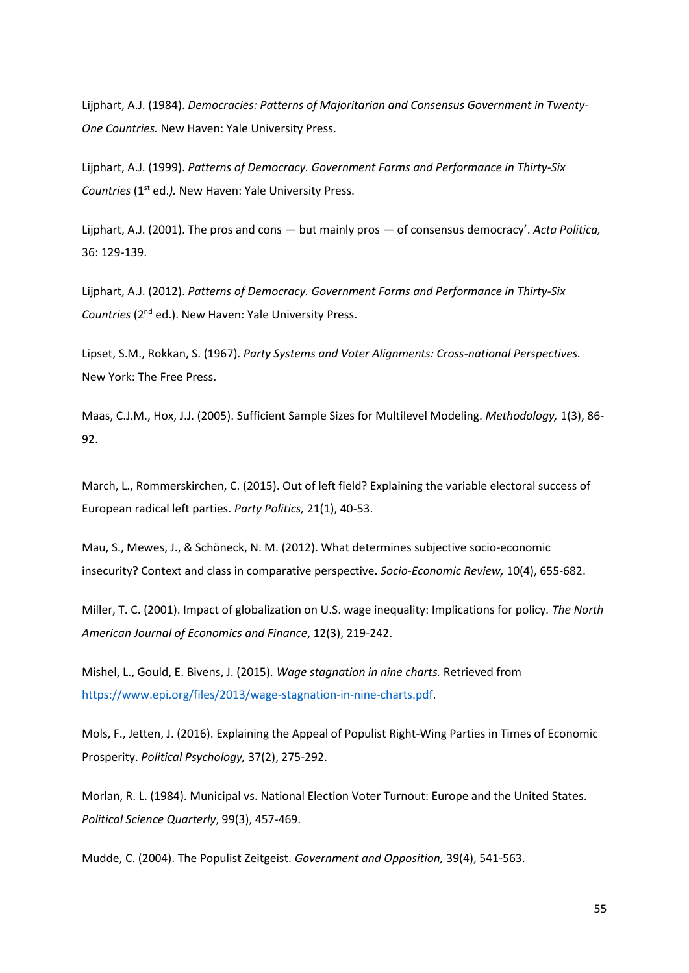Lijphart, A.J. (1984). *Democracies: Patterns of Majoritarian and Consensus Government in Twenty-One Countries.* New Haven: Yale University Press.

Lijphart, A.J. (1999). *Patterns of Democracy. Government Forms and Performance in Thirty-Six Countries (1<sup>st</sup> ed.).* New Haven: Yale University Press.

Lijphart, A.J. (2001). The pros and cons — but mainly pros — of consensus democracy'. *Acta Politica,*  36: 129-139.

Lijphart, A.J. (2012). *Patterns of Democracy. Government Forms and Performance in Thirty-Six*  Countries (2<sup>nd</sup> ed.). New Haven: Yale University Press.

Lipset, S.M., Rokkan, S. (1967). *Party Systems and Voter Alignments: Cross-national Perspectives.*  New York: The Free Press.

Maas, C.J.M., Hox, J.J. (2005). Sufficient Sample Sizes for Multilevel Modeling. *Methodology,* 1(3), 86- 92.

March, L., Rommerskirchen, C. (2015). Out of left field? Explaining the variable electoral success of European radical left parties. *Party Politics,* 21(1), 40-53.

Mau, S., Mewes, J., & Schöneck, N. M. (2012). What determines subjective socio-economic insecurity? Context and class in comparative perspective. *Socio-Economic Review,* 10(4), 655-682.

Miller, T. C. (2001). Impact of globalization on U.S. wage inequality: Implications for policy*. The North American Journal of Economics and Finance*, 12(3), 219-242.

Mishel, L., Gould, E. Bivens, J. (2015). *Wage stagnation in nine charts.* Retrieved from [https://www.epi.org/files/2013/wage-stagnation-in-nine-charts.pdf.](https://www.epi.org/files/2013/wage-stagnation-in-nine-charts.pdf)

Mols, F., Jetten, J. (2016). Explaining the Appeal of Populist Right-Wing Parties in Times of Economic Prosperity. *Political Psychology,* 37(2), 275-292.

Morlan, R. L. (1984). Municipal vs. National Election Voter Turnout: Europe and the United States. *Political Science Quarterly*, 99(3), 457-469.

Mudde, C. (2004). The Populist Zeitgeist. *Government and Opposition,* 39(4), 541-563.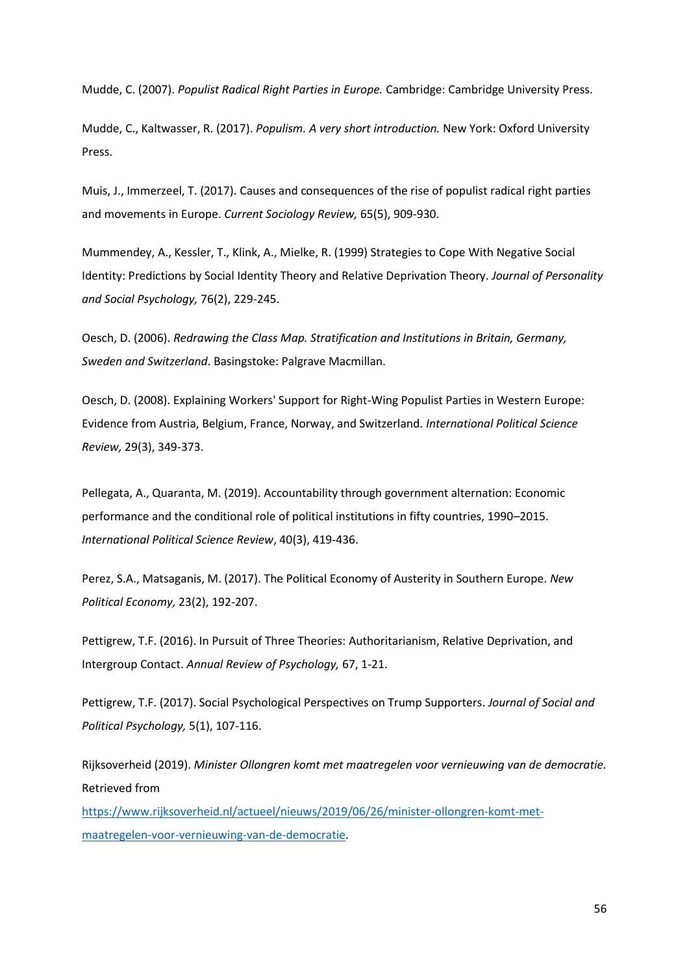Mudde, C. (2007). *Populist Radical Right Parties in Europe.* Cambridge: Cambridge University Press.

Mudde, C., Kaltwasser, R. (2017). *Populism. A very short introduction.* New York: Oxford University Press.

Muis, J., Immerzeel, T. (2017). Causes and consequences of the rise of populist radical right parties and movements in Europe. *Current Sociology Review,* 65(5), 909-930.

Mummendey, A., Kessler, T., Klink, A., Mielke, R. (1999) Strategies to Cope With Negative Social Identity: Predictions by Social Identity Theory and Relative Deprivation Theory. *Journal of Personality and Social Psychology,* 76(2), 229-245.

Oesch, D. (2006). *Redrawing the Class Map. Stratification and Institutions in Britain, Germany, Sweden and Switzerland*. Basingstoke: Palgrave Macmillan.

Oesch, D. (2008). Explaining Workers' Support for Right-Wing Populist Parties in Western Europe: Evidence from Austria, Belgium, France, Norway, and Switzerland. *International Political Science Review,* 29(3), 349-373.

Pellegata, A., Quaranta, M. (2019). Accountability through government alternation: Economic performance and the conditional role of political institutions in fifty countries, 1990–2015. *International Political Science Review*, 40(3), 419-436.

Perez, S.A., Matsaganis, M. (2017). The Political Economy of Austerity in Southern Europe. *New Political Economy,* 23(2), 192-207.

Pettigrew, T.F. (2016). In Pursuit of Three Theories: Authoritarianism, Relative Deprivation, and Intergroup Contact. *Annual Review of Psychology,* 67, 1-21.

Pettigrew, T.F. (2017). Social Psychological Perspectives on Trump Supporters. *Journal of Social and Political Psychology,* 5(1), 107-116.

Rijksoverheid (2019). *Minister Ollongren komt met maatregelen voor vernieuwing van de democratie.* Retrieved from

[https://www.rijksoverheid.nl/actueel/nieuws/2019/06/26/minister-ollongren-komt-met](https://www.rijksoverheid.nl/actueel/nieuws/2019/06/26/minister-ollongren-komt-met-maatregelen-voor-vernieuwing-van-de-democratie)[maatregelen-voor-vernieuwing-van-de-democratie.](https://www.rijksoverheid.nl/actueel/nieuws/2019/06/26/minister-ollongren-komt-met-maatregelen-voor-vernieuwing-van-de-democratie)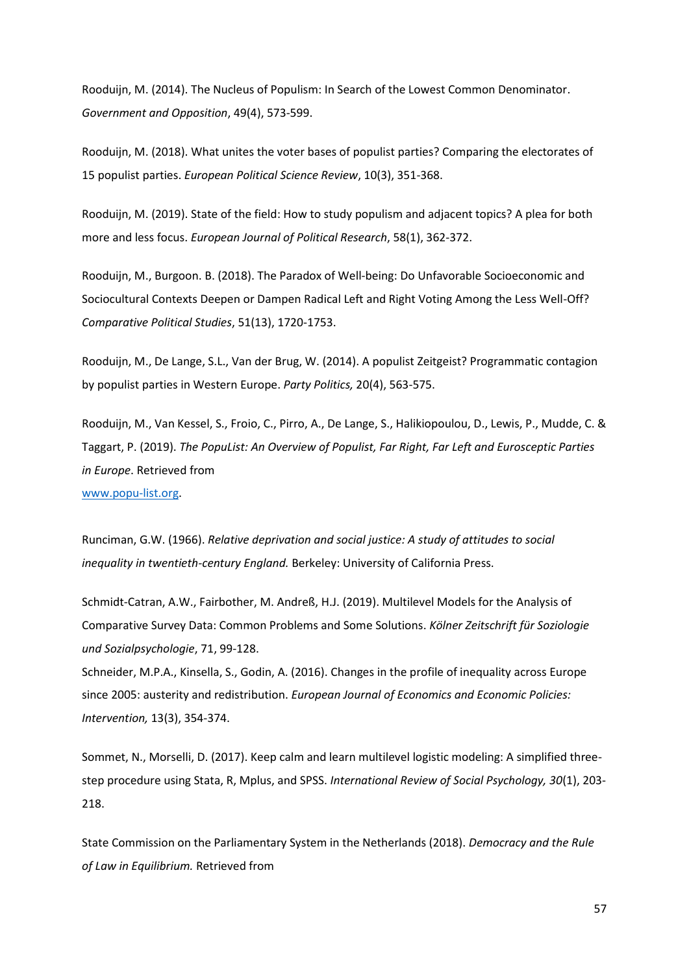Rooduijn, M. (2014). The Nucleus of Populism: In Search of the Lowest Common Denominator. *Government and Opposition*, 49(4), 573-599.

Rooduijn, M. (2018). What unites the voter bases of populist parties? Comparing the electorates of 15 populist parties. *European Political Science Review*, 10(3), 351-368.

Rooduijn, M. (2019). State of the field: How to study populism and adjacent topics? A plea for both more and less focus. *European Journal of Political Research*, 58(1), 362-372.

Rooduijn, M., Burgoon. B. (2018). The Paradox of Well-being: Do Unfavorable Socioeconomic and Sociocultural Contexts Deepen or Dampen Radical Left and Right Voting Among the Less Well-Off? *Comparative Political Studies*, 51(13), 1720-1753.

Rooduijn, M., De Lange, S.L., Van der Brug, W. (2014). A populist Zeitgeist? Programmatic contagion by populist parties in Western Europe. *Party Politics,* 20(4), 563-575.

Rooduijn, M., Van Kessel, S., Froio, C., Pirro, A., De Lange, S., Halikiopoulou, D., Lewis, P., Mudde, C. & Taggart, P. (2019). *The PopuList: An Overview of Populist, Far Right, Far Left and Eurosceptic Parties in Europe*. Retrieved from

[www.popu-list.org.](http://www.popu-list.org/)

Runciman, G.W. (1966). *Relative deprivation and social justice: A study of attitudes to social inequality in twentieth-century England.* Berkeley: University of California Press.

Schmidt-Catran, A.W., Fairbother, M. Andreß, H.J. (2019). Multilevel Models for the Analysis of Comparative Survey Data: Common Problems and Some Solutions. *Kölner Zeitschrift für Soziologie und Sozialpsychologie*, 71, 99-128.

Schneider, M.P.A., Kinsella, S., Godin, A. (2016). Changes in the profile of inequality across Europe since 2005: austerity and redistribution. *European Journal of Economics and Economic Policies: Intervention,* 13(3), 354-374.

Sommet, N., Morselli, D. (2017). Keep calm and learn multilevel logistic modeling: A simplified threestep procedure using Stata, R, Mplus, and SPSS. *International Review of Social Psychology, 30*(1), 203- 218.

State Commission on the Parliamentary System in the Netherlands (2018). *Democracy and the Rule of Law in Equilibrium.* Retrieved from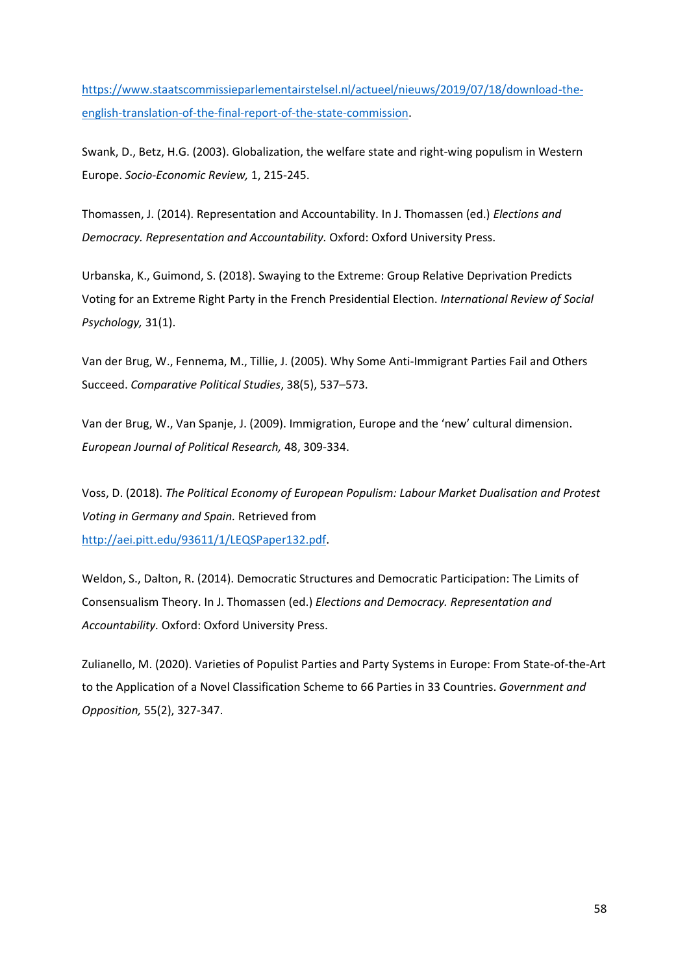[https://www.staatscommissieparlementairstelsel.nl/actueel/nieuws/2019/07/18/download-the](https://www.staatscommissieparlementairstelsel.nl/actueel/nieuws/2019/07/18/download-the-english-translation-of-the-final-report-of-the-state-commission)[english-translation-of-the-final-report-of-the-state-commission.](https://www.staatscommissieparlementairstelsel.nl/actueel/nieuws/2019/07/18/download-the-english-translation-of-the-final-report-of-the-state-commission)

Swank, D., Betz, H.G. (2003). Globalization, the welfare state and right-wing populism in Western Europe. *Socio-Economic Review,* 1, 215-245.

Thomassen, J. (2014). Representation and Accountability. In J. Thomassen (ed.) *Elections and Democracy. Representation and Accountability.* Oxford: Oxford University Press.

Urbanska, K., Guimond, S. (2018). Swaying to the Extreme: Group Relative Deprivation Predicts Voting for an Extreme Right Party in the French Presidential Election. *International Review of Social Psychology,* 31(1).

Van der Brug, W., Fennema, M., Tillie, J. (2005). Why Some Anti-Immigrant Parties Fail and Others Succeed. *Comparative Political Studies*, 38(5), 537–573.

Van der Brug, W., Van Spanje, J. (2009). Immigration, Europe and the 'new' cultural dimension. *European Journal of Political Research,* 48, 309-334.

Voss, D. (2018). *The Political Economy of European Populism: Labour Market Dualisation and Protest Voting in Germany and Spain.* Retrieved from [http://aei.pitt.edu/93611/1/LEQSPaper132.pdf.](http://aei.pitt.edu/93611/1/LEQSPaper132.pdf)

Weldon, S., Dalton, R. (2014). Democratic Structures and Democratic Participation: The Limits of Consensualism Theory. In J. Thomassen (ed.) *Elections and Democracy. Representation and Accountability.* Oxford: Oxford University Press.

Zulianello, M. (2020). Varieties of Populist Parties and Party Systems in Europe: From State-of-the-Art to the Application of a Novel Classification Scheme to 66 Parties in 33 Countries. *Government and Opposition,* 55(2), 327-347.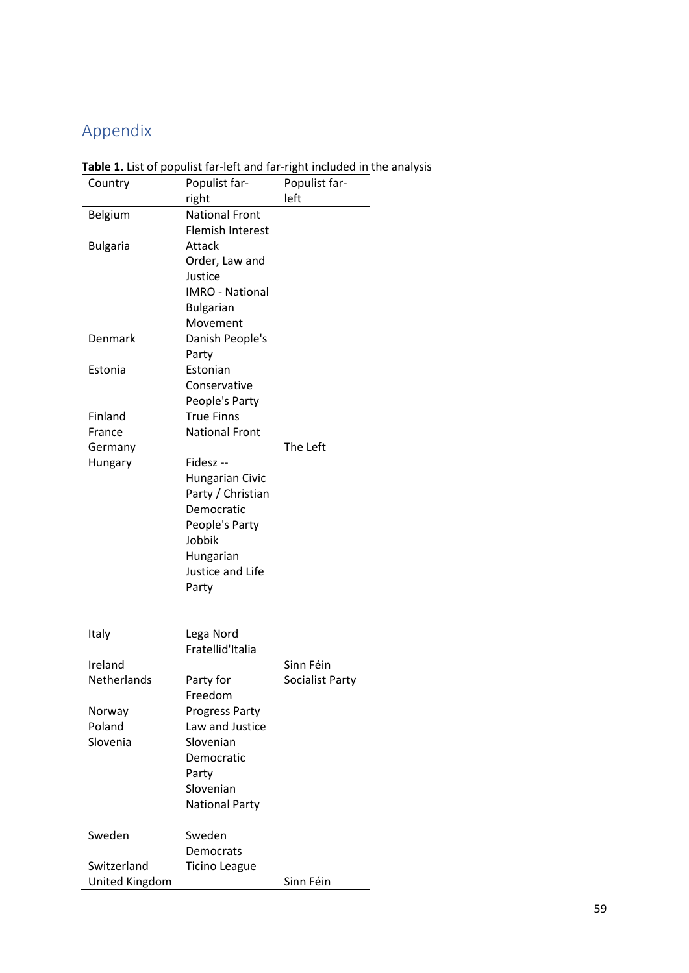# <span id="page-58-0"></span>Appendix

| Country         | Populist far-           | Populist far-   |
|-----------------|-------------------------|-----------------|
|                 | right                   | left            |
| Belgium         | <b>National Front</b>   |                 |
|                 | <b>Flemish Interest</b> |                 |
| <b>Bulgaria</b> | Attack                  |                 |
|                 | Order, Law and          |                 |
|                 | Justice                 |                 |
|                 | <b>IMRO - National</b>  |                 |
|                 | <b>Bulgarian</b>        |                 |
|                 | Movement                |                 |
| Denmark         | Danish People's         |                 |
|                 | Party                   |                 |
| Estonia         | Estonian                |                 |
|                 |                         |                 |
|                 | Conservative            |                 |
|                 | People's Party          |                 |
| Finland         | <b>True Finns</b>       |                 |
| France          | <b>National Front</b>   |                 |
| Germany         |                         | The Left        |
| Hungary         | Fidesz-                 |                 |
|                 | <b>Hungarian Civic</b>  |                 |
|                 | Party / Christian       |                 |
|                 | Democratic              |                 |
|                 | People's Party          |                 |
|                 | Jobbik                  |                 |
|                 | Hungarian               |                 |
|                 | Justice and Life        |                 |
|                 | Party                   |                 |
|                 |                         |                 |
|                 |                         |                 |
| Italy           | Lega Nord               |                 |
|                 | Fratellid'Italia        |                 |
| Ireland         |                         | Sinn Féin       |
| Netherlands     | Party for               | Socialist Party |
|                 | Freedom                 |                 |
|                 |                         |                 |
| Norway          | <b>Progress Party</b>   |                 |
| Poland          | Law and Justice         |                 |
| Slovenia        | Slovenian               |                 |
|                 | Democratic              |                 |
|                 | Party                   |                 |
|                 | Slovenian               |                 |
|                 | <b>National Party</b>   |                 |
|                 |                         |                 |
| Sweden          | Sweden                  |                 |
|                 | Democrats               |                 |
| Switzerland     | <b>Ticino League</b>    |                 |
| United Kingdom  |                         | Sinn Féin       |

**Table 1.** List of populist far-left and far-right included in the analysis